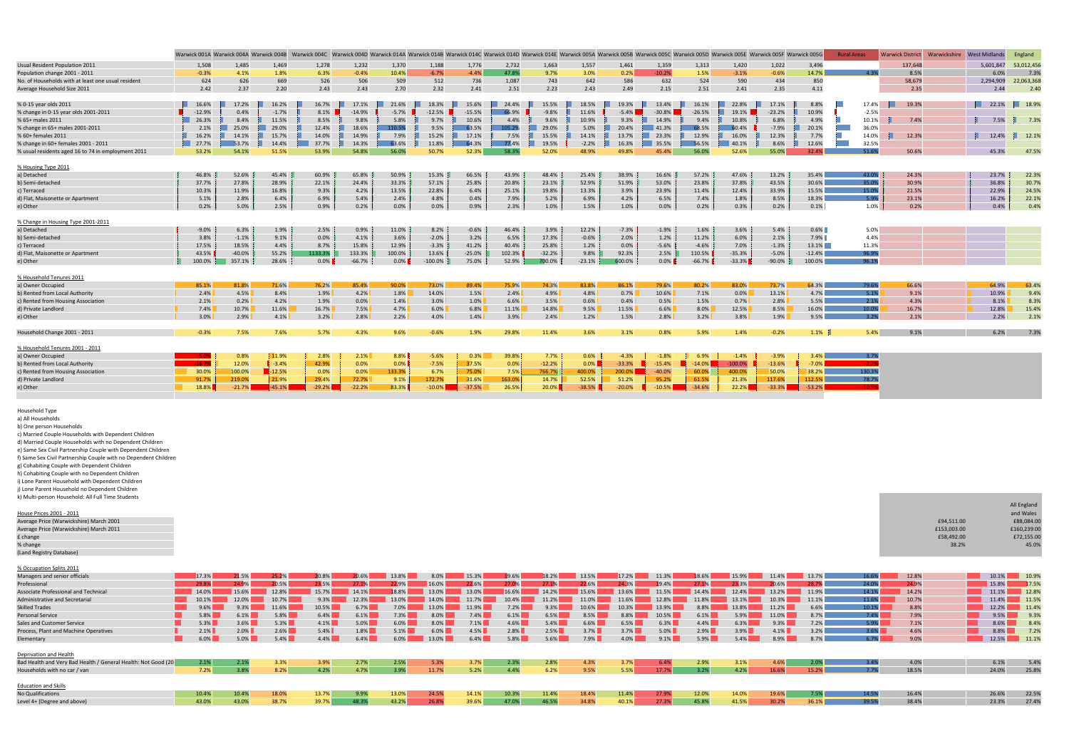|                                                    |          |          |          |          |          |         |           |          |        |            |          | Warwick 001A Warwick 004A Warwick 004B Warwick 004C Warwick 004D Warwick 014A Warwick 014B Warwick 014B Warwick 014C Warwick 014D Warwick 014D Warwick 0014 Warwick 005A Warwick 005A Warwick 005B Warwick 005B Warwick 005D W |           |           |           |          |          | <b>Rural Areas</b> | <b>Warwick District</b> | Warwickshire | <b>West Midlands</b> | England    |
|----------------------------------------------------|----------|----------|----------|----------|----------|---------|-----------|----------|--------|------------|----------|--------------------------------------------------------------------------------------------------------------------------------------------------------------------------------------------------------------------------------|-----------|-----------|-----------|----------|----------|--------------------|-------------------------|--------------|----------------------|------------|
| Usual Resident Population 2011                     | 1,508    | 1,485    | 1,469    | 1,278    | 1,232    | 1,370   | 1,188     | 1,776    | 2,732  | 1,663      | 1,557    | 1,461                                                                                                                                                                                                                          | 1,359     | 1,313     | 1,420     | 1,022    | 3,496    |                    | 137,648                 |              | 5,601,847            | 53,012,456 |
| Population change 2001 - 2011                      | $-0.3%$  | 4.1%     | 1.8%     | 6.3%     | $-0.4%$  | 10.4%   | $-6.7%$   | $-4.4%$  | 47.8%  | 9.7%       | 3.0%     | 0.2%                                                                                                                                                                                                                           | $-10.2%$  | 1.5%      | $-3.1%$   | $-0.6%$  | 14.7%    | 4 3%               | 8.5%                    |              | 6.0%                 | 7.3%       |
| No. of Households with at least one usual resident | 624      | 626      | 669      | 526      | 506      | 509     | 512       | 736      | 1,087  | 743        | 642      | 586                                                                                                                                                                                                                            | 632       | 524       | 590       | 434      | 850      |                    | 58,679                  |              | 2,294,909            | 22,063,368 |
| Average Household Size 2011                        | 2.42     | 2.37     | 2.20     | 2.43     | 2.43     | 2.70    | 2.32      | 2.41     | 2.51   | 2.23       | 2.43     | 2.49                                                                                                                                                                                                                           | 2.15      | 2.51      | 2.41      | 2.35     | 4.11     |                    | 2.35                    |              | 2.44                 | 2.40       |
|                                                    |          |          |          |          |          |         |           |          |        |            |          |                                                                                                                                                                                                                                |           |           |           |          |          |                    |                         |              |                      |            |
| % 0-15 year olds 2011                              | 16.6%    | 17.2%    | 16.2%    | 16.7%    | 17.1%    | 21.6%   | 18.3%     | 15.6%    | 24.4%  | 15.5%      | 18.5%    | 19.3%                                                                                                                                                                                                                          | 13.4%     | 16.1%     | 22.8%     | 17.1%    | 8.8%     | 17.4%              | 19.3%<br>n m            |              | 122.1%               | 18.9%      |
| % change in 0-15 year olds 2001-2011               | $-12.9%$ | 0.4%     | $-1.7%$  | 8.1%     | $-14.9%$ | $-5.7%$ | $-12.5%$  | $-15.5%$ | 66.9%  | $-9.8%$    | 11.6%    | $-5.4\%$                                                                                                                                                                                                                       | $-30.8\%$ | $-26.5%$  | 19.1%     | $-23.2%$ | 10.9%    | $-2.5%$            |                         |              |                      |            |
| % 65+ males 2011                                   | 126.3%   | 8.4%     | 11.5%    | 8.5%     | 9.8%     | 5.8%    | 9.7%      | 10.6%    | 4.4%   | 9.6%       | 10.9%    | 9.3%                                                                                                                                                                                                                           | 14.9%     | 9.4%      | 10.8%     | 6.8%     | 4.9%     | 10.1%              | 7.4%                    |              | 7.5%                 | 7.3%       |
| % change in 65+ males 2001-2011                    | 2.1%     | 25.0%    | 29.0%    | 12.4%    | 18.6%    | 110.5%  | 9.5%      | 63.5%    | 105.2% | 29.0%      | 5.0%     | 20.4%                                                                                                                                                                                                                          | 41.3%     | 68.5%     | 60.4%     | $-7.9%$  | 20.1%    | 36.0%              |                         |              |                      |            |
| % 60+ females 2011                                 | 16.2%    | 14.1%    | 15.7%    | 14.0%    | 14.9%    | 7.9%    | 15.2%     | 17.1%    | 7.5%   | ш<br>15.5% | 14.1%    | 13.7%                                                                                                                                                                                                                          | 23.3%     | 12.9%     | 16.0%     | 12.3%    | 7.7%     | 14.0%              | 12.3%                   |              | 12.4%                | 12.1%      |
| % change in 60+ females 2001 - 2011                | 127.7%   | 53.7%    | 14.4%    | 37.7%    | 14.3%    | 63.6%   | 11.8%     | 64.3%    | 77.4%  | ш<br>19.5% | $-2.2%$  | 16.3%                                                                                                                                                                                                                          | 35.5%     | 56.5%     | 40.1%     | 8.6%     | 12.6%    | 32.5%              |                         |              |                      |            |
| % usual residents aged 16 to 74 in employment 2011 | 53.2%    | 54.1%    | 51.5%    | 53.9%    | 54.8%    | 56.0%   | 50.7%     | 52.3%    | 58.3%  | 52.0%      | 48.9%    | 49.8%                                                                                                                                                                                                                          | 45.4%     | 56.0%     | 52.6%     | 55.0%    | 32.4%    | 51.6%              | 50.6%                   |              | 45.3%                | 47.5%      |
|                                                    |          |          |          |          |          |         |           |          |        |            |          |                                                                                                                                                                                                                                |           |           |           |          |          |                    |                         |              |                      |            |
| % Housing Type 2011                                |          |          |          |          |          |         |           |          |        |            |          |                                                                                                                                                                                                                                |           |           |           |          |          |                    |                         |              |                      |            |
| a) Detached                                        | 46.8%    | 52.6%    | 45.4%    | 60.9%    | 65.8%    | 50.9%   | 15.3%     | 66.5%    | 43.9%  | 48.4%      | 25.4%    | 38.9%                                                                                                                                                                                                                          | 16.6%     | 57.2%     | 47.6%     | 13.2%    | 35.4%    | 43.0%              | 24.3%                   |              | 23.7%                | 22.3%      |
| b) Semi-detached                                   | 37.7%    | 27.8%    | 28.9%    | 22.1%    | 24.4%    | 33.3%   | 57.1%     | 25.8%    | 20.8%  | 23.1%      | 52.9%    | 51.9%                                                                                                                                                                                                                          | 53.0%     | 23.8%     | 37.8%     | 43.5%    | 30.6%    | 35.0%              | 30.9%                   |              | 36.8%                | 30.7%      |
| c) Terraced                                        | 10.3%    | 11.9%    | 16.8%    | 9.3%     | 4.2%     | 13.5%   | 22.8%     | 6.4%     | 25.1%  | 19.8%      | 13.3%    | 3.9%                                                                                                                                                                                                                           | 23.9%     | 11.4%     | 12.4%     | 33.9%    | 15.5%    | 15.0%              | 21.5%                   |              | 22.9%                | 24.5%      |
| d) Flat, Maisonette or Apartment                   | 5.1%     | 2.8%     | 6.4%     | 6.9%     | 5.4%     | 2.4%    | 4.8%      | 0.4%     | 7.9%   | 5.2%       | 6.9%     | 4.2%                                                                                                                                                                                                                           | 6.5%      | 7.4%      | 1.8%      | 8.5%     | 18.3%    | 5.9%               | 23.1%                   |              | 16.2%                | 22.1%      |
| e) Other                                           | 0.2%     | 5.0%     | 2.5%     | 0.9%     | 0.2%     | 0.0%    | 0.0%      | 0.9%     | 2.3%   | 1.0%       | 1.5%     | 1.0%                                                                                                                                                                                                                           | 0.0%      | 0.2%      | 0.3%      | 0.2%     | 0.1%     | 1.0%               | 0.2%                    |              | 0.4%                 | 0.4%       |
|                                                    |          |          |          |          |          |         |           |          |        |            |          |                                                                                                                                                                                                                                |           |           |           |          |          |                    |                         |              |                      |            |
| % Change in Housing Type 2001-2011                 |          |          |          |          |          |         |           |          |        |            |          |                                                                                                                                                                                                                                |           |           |           |          |          |                    |                         |              |                      |            |
| a) Detached                                        | $-9.0%$  | 6.3%     | 1.9%     | 2.5%     | 0.9%     | 11.0%   | 8.2%      | $-0.6%$  | 46.4%  | 3.9%       | 12.2%    | $-7.3%$                                                                                                                                                                                                                        | $-1.9%$   | 1.6%      | 3.6%      | 5.4%     | 0.6%     | 5.0%               |                         |              |                      |            |
| b) Semi-detached                                   | 3.8%     | $-1.1%$  | 9.1%     | 0.0%     | 4.1%     | 3.6%    | $-2.0%$   | 3.2%     | 6.5%   | 17.3%      | $-0.6%$  | 2.0%                                                                                                                                                                                                                           | 1.2%      | 11.2%     | 6.0%      | 2.1%     | $7.9\%$  | 4.4%               |                         |              |                      |            |
| c) Terraced                                        | 17.5%    | 18.5%    | 4.4%     | 8.7%     | 15.8%    | 12.9%   | $-3.3%$   | 41.2%    | 40.4%  | 25.8%      | 1.2%     | 0.0%                                                                                                                                                                                                                           | $-5.6%$   | $-4.6%$   | 7.0%      | $-1.3%$  | 13.1%    | 11.3%              |                         |              |                      |            |
| d) Flat, Maisonette or Apartment                   | 43.5%    | $-40.0%$ | 55.2%    | 1133.3%  | 133.3%   | 100.0%  | 13.6%     | $-25.0%$ | 102.3% | $-32.2%$   | 9.8%     | 92.3%                                                                                                                                                                                                                          | 2.5%      | 110.5%    | $-35.3%$  | $-5.0%$  | $-12.4%$ | 96.9%              |                         |              |                      |            |
| e) Other                                           | 100.0%   | 357.1%   | 28.6%    | $0.0\%$  | $-66.7%$ | $0.0\%$ | $-100.0%$ | 75.0%    | 52.9%  | 700.0%     | $-23.1%$ | 600.0%                                                                                                                                                                                                                         | $0.0\%$   | $-66.7%$  | $-33.3%$  | $-90.0%$ | 100.0%   | 96.1%              |                         |              |                      |            |
|                                                    |          |          |          |          |          |         |           |          |        |            |          |                                                                                                                                                                                                                                |           |           |           |          |          |                    |                         |              |                      |            |
| % Household Tenures 2011                           |          |          |          |          |          |         |           |          |        |            |          |                                                                                                                                                                                                                                |           |           |           |          |          |                    |                         |              |                      |            |
| a) Owner Occupied                                  | 85.1%    | 81.8%    | 71.6%    | 76.2%    | 85.4%    | 90.0%   | 73.0%     | 89.4%    | 75.9%  | 74.3%      | 83.8%    | 86.1%                                                                                                                                                                                                                          | 79.6%     | 80.2%     | 83.0%     | 73.7%    | 64.3%    | 79.6%              | 66.6%                   |              | 64.9%                | 63.4%      |
| b) Rented from Local Authority                     | 2.4%     | 4.5%     | 8.4%     | 1.9%     | 4.2%     | 1.8%    | 14.0%     | 1.5%     | 2.4%   | 4.9%       | 4.8%     | 0.7%                                                                                                                                                                                                                           | 10.6%     | 7.1%      | 0.0%      | 13.1%    | 4.7%     | 5.1%               | 9.1%                    |              | 10.9%                | 9.4%       |
| c) Rented from Housing Association                 | 2.1%     | 0.2%     | 4.2%     | 1.9%     | 0.0%     | 1.4%    | 3.0%      | 1.0%     | 6.6%   | 3.5%       | 0.6%     | 0.4%                                                                                                                                                                                                                           | 0.5%      | 1.5%      | 0.7%      | 2.8%     | 5.5%     | 2.1%               | 4.3%                    |              | 8.1%                 | 8.3%       |
| d) Private Landlord                                | 7.4%     | 10.7%    | 11.6%    | 16.7%    | 7.5%     | 4.7%    | 6.0%      | 6.8%     | 11.1%  | 14.8%      | 9.5%     | 11.5%                                                                                                                                                                                                                          | 6.6%      | 8.0%      | 12.5%     | 8.5%     | 16.0%    | 10.0%              | 16.7%                   |              | 12.8%                | 15.4%      |
| e) Other                                           | 3.0%     | 2.9%     | 4.1%     | 3.2%     | 2.8%     | 2.2%    | 4.0%      | 1.4%     | 3.9%   | 2.4%       | 1.2%     | 1.5%                                                                                                                                                                                                                           | 2.8%      | 3.2%      | 3.8%      | 1.9%     | 9.5%     | 3.2%               | 2.1%                    |              | 2.2%                 | 2.1%       |
| Household Change 2001 - 2011                       | $-0.3%$  | 7.5%     | 7.6%     | 5.7%     | 4.3%     | 9.6%    | $-0.6%$   | 1.9%     | 29.8%  | 11.4%      | 3.6%     | 3.1%                                                                                                                                                                                                                           | 0.8%      | 5.9%      | 1.4%      | $-0.2%$  | $1.1\%$  | 5.4%               | 9.1%                    |              | 6.2%                 | 7.3%       |
|                                                    |          |          |          |          |          |         |           |          |        |            |          |                                                                                                                                                                                                                                |           |           |           |          |          |                    |                         |              |                      |            |
| % Household Tenures 2001 - 2011                    |          |          |          |          |          |         |           |          |        |            |          |                                                                                                                                                                                                                                |           |           |           |          |          |                    |                         |              |                      |            |
| a) Owner Occupied                                  |          | 0.8%     | 11.9%    | 2.8%     | 2.1%     | $8.8\%$ | $-5.6%$   | 0.3%     | 39.8%  | 7.7%       | 0.6%     | $-4.3%$                                                                                                                                                                                                                        | $-1.8%$   | 6.9%      | $-1.4%$   | $-3.9%$  | 3.4%     | 3.7%               |                         |              |                      |            |
| b) Rented from Local Authority                     | $-16.7$  | 12.0%    | $-3.4%$  | 42.9%    | 0.0%     | $0.0\%$ | $-7.5%$   | 37.5%    | 0.0%   | $-12.2%$   | $0.0\%$  | $-33.3%$                                                                                                                                                                                                                       | $-15.4%$  | $-14.0\%$ | $-100.0%$ | $-13.6%$ | $-7.0\%$ | $-7.7%$            |                         |              |                      |            |
| c) Rented from Housing Association                 | 30.0%    | 100.0%   | $-12.5%$ | 0.0%     | 0.0%     | 133.3%  | 6.7%      | 75.0%    | 7.5%   | 766.7%     | 400.0%   | 200.0%                                                                                                                                                                                                                         | $-40.0%$  | 60.0%     | 400.0%    | 50.0%    | 38.2%    | 130.3%             |                         |              |                      |            |
| d) Private Landlord                                | 91.7%    | 219.0%   | 21.9%    | 29.4%    | 72.7%    | 9.1%    | 172.7%    | 31.6%    | 163.0% | 14.7%      | 52.5%    | 51.2%                                                                                                                                                                                                                          | 95.2%     | 61.5%     | 21.3%     | 117.6%   | 112.5%   | 78.7%              |                         |              |                      |            |
| e) Other                                           | 18.8%    | $-21.7%$ | $-45.1%$ | $-29.2%$ | $-22.2%$ | 83.3%   | $-10.0\%$ | $-37.5%$ | 26.5%  | 20.0%      | $-38.5%$ | $-20.0%$                                                                                                                                                                                                                       | $-10.5%$  | $-34.6%$  | 22.2%     | $-33.3%$ | $-53.2%$ | $-10.99$           |                         |              |                      |            |
|                                                    |          |          |          |          |          |         |           |          |        |            |          |                                                                                                                                                                                                                                |           |           |           |          |          |                    |                         |              |                      |            |

% change (Land Registry Database)

Household Type

a) All Households

b) One person Households

c) Married Couple Households with Dependent Children

d) Married Couple Households with no Dependent Children

e) Same Sex Civil Partnership Couple with Dependent Children

f) Same Sex Civil Partnership Couple with no Dependent Children

g) Cohabiting Couple with Dependent Children

h) Cohabiting Couple with no Dependent Children

i) Lone Parent Household with Dependent Children

j) Lone Parent Household no Dependent Children

k) Multi‐person Household: All Full Time Students

| N ividiti person nousenoid: An I an Inne students |
|---------------------------------------------------|
|                                                   |
| House Prices 2001 - 2011                          |
| Average Price (Warwickshire) March 2001           |
| Average Price (Warwickshire) March 2011           |
| £ change                                          |
| % change                                          |
| (Land Registry Database)                          |

% Occupation Splits 2011

| <u>to occupation</u> aprile 2011                              |          |         |       |         |         |       |         |         |         |         |         |       |         |         |       |         |       |       |       |               |       |
|---------------------------------------------------------------|----------|---------|-------|---------|---------|-------|---------|---------|---------|---------|---------|-------|---------|---------|-------|---------|-------|-------|-------|---------------|-------|
| Managers and senior officials                                 | 17.3%    | 21.5%   | 25.2% | 20.8%   | 20.6%   | 13.8% | $8.0\%$ | 15.3%   | 19.6%   | 18.2%   | 13.5%   | 17.2% | 11.3%   | 18.6%   | 15.9% | 11.4%   | 13.7% | 16.6% | 12.8% | 10.1%         | 10.9% |
| Professional                                                  | 29.8%    | 24 9%   | 20.5% | 23.5%   | 27 1%   | 22.9% | 16.0%   | 22.6%   | 27.0%   |         | 22.6%   | 24.3% | 19.4%   | 27.1%   | 23 3% | 20.6%   | 28.7% | 24.0% | 24.9% | 15.8%         | 17.5% |
| Associate Professional and Technical                          | $14.0\%$ | 15.6%   | 12.8% | 15.7%   | 14.1%   | 18.8% | 13.0%   | 13.0%   | 16.6%   | 14.2%   | 15.6%   | 13.6% | 11.5%   | 14.4%   | 12.4% | 13.2%   | 11.9% | 14.1% | 14.2% | $\vert$ 11.1% | 12.8% |
| Administrative and Secretarial                                |          | 12.0%   | 10.7% | 9.3%    | 12.3%   | 13.0% | 14.0%   | 11.7%   | 10.4%   | 11.2%   | 11.0%   | 11.6% | 12.8%   | 11.8%   | 13.1% | 10.3%   | 11.1% | 11.6% | 10.7% | $11.4\%$      | 11.5% |
| <b>Skilled Trades</b>                                         |          |         | 11.6% | 10.5%   | 6.7%    | 7.0%  |         | 11.9%   | 7.2%    | 9.3%    |         | 10.3% | 13.9%   | 8.8%    | 13.8% | 11.2%   | 6.6%  | 10.1% | 8.8%  | $12.2\%$      | 11.4% |
| <b>Personal Service</b>                                       | 5.8%     | 6.1%    | 5.8%  | 6.4%    | 6.1%    | 7.3%  |         | 7.4%    | 6.1%    | 6.5%    | 8.5%    | 8.8%  | 10.5%   | 6.1%    | 5.9%  | 11.0%   | 8.7%  | 7.4%  | 7.9%  | 9.5%          | 9.3%  |
| Sales and Customer Service                                    | $5.3\%$  | 3.6%    | 5.3%  | 4.1%    | $5.0\%$ | 6.0%  | $8.0\%$ | $7.1\%$ | 4.6%    | $5.4\%$ | 6.6%    | 6.5%  | 6.3%    | 4.4%    | 6.3%  | $9.3\%$ | 7.2%  | 5.9%  | 7.1%  | $8.6\%$       | 8.4%  |
| Process, Plant and Machine Operatives                         | 2.1%     | 2.0%    | 2.6%  | $5.4\%$ | 1.8%    | 5.1%  | 6.0%    | 4.5%    | 2.8%    | 2.5%    | 3.7%    | 3.7%  | $5.0\%$ | 2.9%    | 3.9%  | $4.1\%$ | 3.2%  | 3.6%  | 4.6%  | $8.8\%$       | 7.2%  |
| Elementary                                                    | 6.0%     | $5.0\%$ | 5.4%  | 4.4%    | 6.4%    | 6.0%  | 13.0%   | 6.4%    | $5.8\%$ | 5.6%    | $7.9\%$ | 4.0%  | $9.1\%$ | $5.9\%$ | 5.4%  | 8.9%    | 8.7%  | 6.7%  | 9.0%  | $12.5\%$      | 11.1% |
|                                                               |          |         |       |         |         |       |         |         |         |         |         |       |         |         |       |         |       |       |       |               |       |
| Deprivation and Health                                        |          |         |       |         |         |       |         |         |         |         |         |       |         |         |       |         |       |       |       |               |       |
| Bad Health and Very Bad Health / General Health: Not Good (20 | 2.1%     | 2.1%    | 3.3%  | 3.9%    | 2.7%    | 2.5%  | 5.3%    | 3.7%    | 2.3%    | 2.8%    | 4.3%    | 3.7%  | 6.4%    | 2.9%    | 3.1%  | 4.6%    | 2.0%  | 3.4%  | 4.0%  | 6.1%          | 5.4%  |
| Households with no car / van                                  | 7.2%     | 3.8%    | 8.2%  | 4.2%    | 4.7%    | 3.9%  | 11.7%   | 5.2%    | 4.4%    | 6.2%    | 9.5%    | 5.5%  | 17.7%   | 3.2%    | 4.2%  | 16.6%   | 15.2% | 7.7%  | 18.5% | 24.0%         | 25.8% |
|                                                               |          |         |       |         |         |       |         |         |         |         |         |       |         |         |       |         |       |       |       |               |       |
| <b>Education and Skills</b>                                   |          |         |       |         |         |       |         |         |         |         |         |       |         |         |       |         |       |       |       |               |       |
| No Qualifications                                             | 10.4%    | 10.4%   | 18.0% | 13.7%   | 9.9%    | 13.0% | 24.5%   | 14.1%   | 10.3%   | 11.4%   | 18.4%   | 11.4% | 27.9%   | 12.0%   | 14.0% | 19.6%   | 7.5%  | 14.5% | 16.4% | 26.6%         | 22.5% |
| Level 4+ (Degree and above)                                   | 43.0%    | 43.0%   | 38.7% | 39.7%   | 48.3%   | 43.2% | 26.8%   | 39.6%   | 47.0%   | 46.5%   | 34.8%   | 40.1% | 27.3%   | 45.8%   | 41.5% | 30.2%   | 36.1% | 39.5% | 38.4% | 23.3%         | 27.4% |
|                                                               |          |         |       |         |         |       |         |         |         |         |         |       |         |         |       |         |       |       |       |               |       |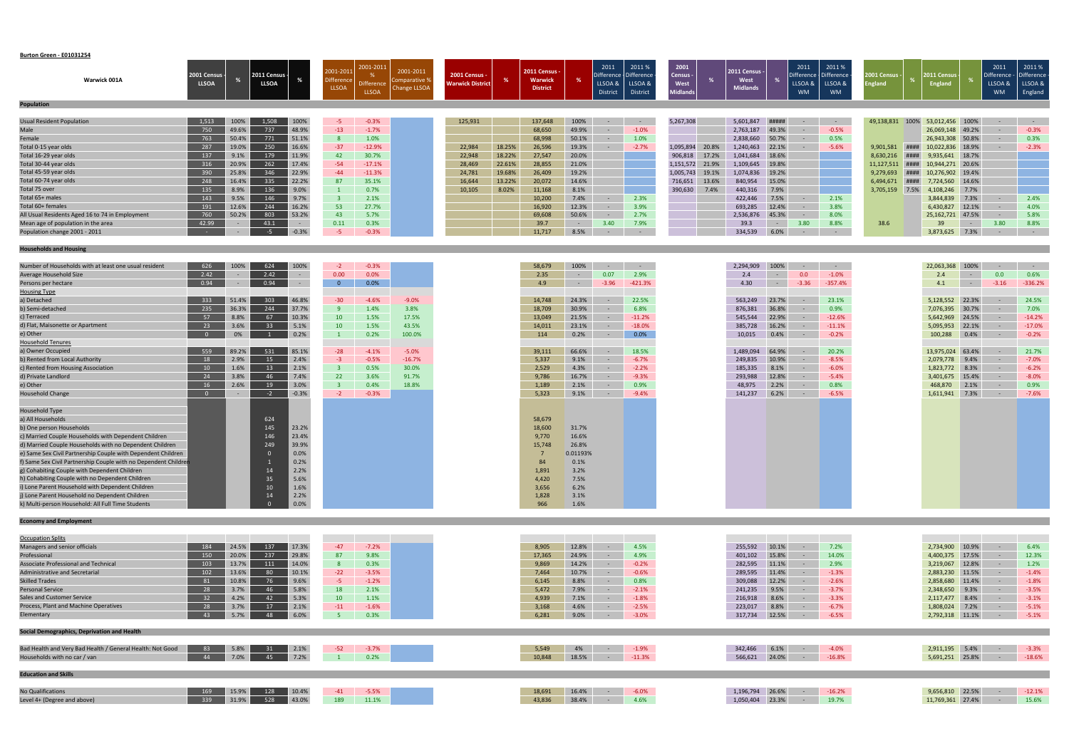#### **Burton Green ‐ E01031254**

| Warwick 001A                                    | 2001 Census<br><b>LLSOA</b> |       | 2011 Census -<br><b>LLSOA</b> |         | 2001-201<br><b>Difference</b><br><b>LLSOA</b> | 2001-2011<br><b>Difference</b><br><b>LLSOA</b> | 2001-2011<br><b>Comparative %</b><br><b>Change LLSOA</b> | 2001 Census -<br><b>Warwick District</b> |        | <b>2011 Census -</b><br><b>Warwick</b><br><b>District</b> |        | 2011<br>Difference - Difference<br>LLSOA &<br>District | 2011 %<br>LLSOA &<br><b>District</b> | 2001<br>Census -<br>West<br><b>Midlands</b> |       | <b>2011 Census -</b><br>West<br><b>Midlands</b> |            | 2011<br>Difference - Difference<br>LLSOA &<br><b>WM</b> | 2011%<br>LLSOA &<br><b>WM</b> | 001 Census<br>ingland |      | 2011 Census -<br>England |                | 2011<br>Difference<br>LLSOA &<br><b>WM</b> | 2011%<br>Difference -<br>LLSOA &<br>England |
|-------------------------------------------------|-----------------------------|-------|-------------------------------|---------|-----------------------------------------------|------------------------------------------------|----------------------------------------------------------|------------------------------------------|--------|-----------------------------------------------------------|--------|--------------------------------------------------------|--------------------------------------|---------------------------------------------|-------|-------------------------------------------------|------------|---------------------------------------------------------|-------------------------------|-----------------------|------|--------------------------|----------------|--------------------------------------------|---------------------------------------------|
| <b>Population</b>                               |                             |       |                               |         |                                               |                                                |                                                          |                                          |        |                                                           |        |                                                        |                                      |                                             |       |                                                 |            |                                                         |                               |                       |      |                          |                |                                            |                                             |
| <b>Usual Resident Population</b>                | 1,513                       | 100%  | 1.508                         | 100%    | -5.                                           | $-0.3%$                                        |                                                          | 125,931                                  |        | 137,648                                                   | 100%   | $\sim$                                                 | $\sim$                               | 5,267,308                                   |       | 5,601,847                                       | #####      |                                                         | $\sim$ $ \sim$                | 49,138,831            | 100% | 53,012,456 100%          |                |                                            |                                             |
| Male                                            | 750                         | 49.6% | 737                           | 48.9%   | $-13$                                         | $-1.7%$                                        |                                                          |                                          |        | 68,650                                                    | 49.9%  |                                                        | $-1.0%$                              |                                             |       | 2,763,187                                       | 49.3%      |                                                         | $-0.5%$                       |                       |      | 26,069,148 49.2%         |                |                                            | $-0.3%$                                     |
| Female                                          | 763                         | 50.4% | 771                           | 51.1%   |                                               | 1.0%                                           |                                                          |                                          |        | 68,998                                                    | 50.1%  |                                                        | 1.0%                                 |                                             |       | 2,838,660                                       | 50.7%      |                                                         | 0.5%                          |                       |      | 26,943,308 50.8%         |                |                                            | 0.3%                                        |
| Total 0-15 year olds                            | 287                         | 19.0% | 250                           | 16.6%   | $-37$                                         | $-12.9%$                                       |                                                          | 22,984                                   | 18.25% | 26,596                                                    | 19.3%  |                                                        | $-2.7%$                              | 1,095,894                                   | 20.8% | 1,240,463                                       | 22.1%      |                                                         | $-5.6%$                       | 9,901,581             | #### | 10,022,836 18.9%         |                |                                            | $-2.3%$                                     |
| Total 16-29 year olds                           | 137                         | 9.1%  | 179                           | 11.9%   | 42                                            | 30.7%                                          |                                                          | 22,948                                   | 18.22% | 27,547                                                    | 20.0%  |                                                        |                                      | 906,818                                     | 17.2% | 1,041,684                                       | 18.6%      |                                                         |                               | 8,630,216             | #### | 9,935,641                | 18.7%          |                                            |                                             |
| Total 30-44 year olds                           | 316                         | 20.9% | 262                           | 17.4%   | $-54$                                         | $-17.1%$                                       |                                                          | 28,469                                   | 22.61% | 28,855                                                    | 21.0%  |                                                        |                                      | 1,151,572                                   | 21.9% | 1,109,645 19.8%                                 |            |                                                         |                               | 11,127,511            | #### | 10,944,271 20.6%         |                |                                            |                                             |
| Total 45-59 year olds                           | 390                         | 25.8% | 346                           | 22.9%   | $-44$                                         | $-11.3%$                                       |                                                          | 24,781                                   | 19.68% | 26,409                                                    | 19.2%  |                                                        |                                      | 1,005,743                                   | 19.1% | 1,074,836 19.2%                                 |            |                                                         |                               | 9,279,693             | #### | 10,276,902 19.4%         |                |                                            |                                             |
| Total 60-74 year olds                           | 248                         | 16.4% | 335                           | 22.2%   | 87                                            | 35.1%                                          |                                                          | 16,644                                   | 13.22% | 20,072                                                    | 14.6%  |                                                        |                                      | 716,651                                     | 13.6% | 840,954                                         | 15.0%      |                                                         |                               | 6,494,671             | #### | 7,724,560                | 14.6%          |                                            |                                             |
| Total 75 over                                   | 135                         | 8.9%  | 136                           | 9.0%    |                                               | 0.7%                                           |                                                          | 10,105                                   | 8.02%  | 11,168                                                    | 8.1%   |                                                        |                                      | 390,630                                     | 7.4%  | 440,316                                         | 7.9%       |                                                         |                               | 3,705,159             | 7.5% | 4,108,246                | 7.7%           |                                            |                                             |
| Total 65+ males                                 | 143                         | 9.5%  | 146                           | 9.7%    |                                               | 2.1%                                           |                                                          |                                          |        | 10,200                                                    | 7.4%   |                                                        | 2.3%                                 |                                             |       | 422,446                                         | 7.5%       |                                                         | 2.1%                          |                       |      | 3,844,839                | 7.3%           |                                            | 2.4%                                        |
| Total 60+ females                               | 191                         | 12.6% | 244                           | 16.2%   | 53                                            | 27.7%                                          |                                                          |                                          |        | 16,920                                                    | 12.3%  |                                                        | 3.9%                                 |                                             |       | 693,285                                         | 12.4%      |                                                         | 3.8%                          |                       |      | 6,430,827                | 12.1%          |                                            | 4.0%                                        |
| All Usual Residents Aged 16 to 74 in Employment | 760                         | 50.2% | 803                           | 53.2%   | 43                                            | 5.7%                                           |                                                          |                                          |        | 69,608                                                    | 50.6%  | $\sim$                                                 | 2.7%                                 |                                             |       | 2,536,876                                       | 45.3%      |                                                         | 8.0%                          |                       |      | 25,162,721 47.5%         |                | $\sim$                                     | 5.8%                                        |
| Mean age of population in the area              | 42.99                       |       | 43.1                          | $\sim$  | 0.11                                          | 0.3%                                           |                                                          |                                          |        | 39.7                                                      | $\sim$ | 3.40                                                   | 7.9%                                 |                                             |       | 39.3                                            | $\sim$ $-$ |                                                         | 8.8%                          | 38.6                  |      | 39                       | $\sim$ $ \sim$ | 3.80                                       | 8.8%                                        |
| Population change 2001 - 2011                   | <b>State State</b>          |       | $-5$                          | $-0.3%$ | $-5$                                          | $-0.3%$                                        |                                                          |                                          |        | 11,717                                                    | 8.5%   | $\sim$                                                 | $\sim$                               |                                             |       | 334,539                                         | 6.0%       |                                                         | $\sim$ 100 $\sim$             |                       |      | 3,873,625                | 7.3%           |                                            | $\sim$ $-$                                  |
|                                                 |                             |       |                               |         |                                               |                                                |                                                          |                                          |        |                                                           |        |                                                        |                                      |                                             |       |                                                 |            |                                                         |                               |                       |      |                          |                |                                            |                                             |

| Number of Households with at least one usual resident          | 626            | 100%  | 624             | 100%    | $-2$            | $-0.3%$ |          |
|----------------------------------------------------------------|----------------|-------|-----------------|---------|-----------------|---------|----------|
| <b>Average Household Size</b>                                  | 2.42           |       | 2.42            | $\sim$  | 0.00            | 0.0%    |          |
| Persons per hectare                                            | 0.94           |       | 0.94            |         | $\overline{0}$  | 0.0%    |          |
| <b>Housing Type</b>                                            |                |       |                 |         |                 |         |          |
| a) Detached                                                    | 333            | 51.4% | 303             | 46.8%   | $-30$           | $-4.6%$ | $-9.0%$  |
| b) Semi-detached                                               | 235            | 36.3% | 244             | 37.7%   |                 | 1.4%    | 3.8%     |
| c) Terraced                                                    | 57             | 8.8%  | 67              | 10.3%   | 10              | 1.5%    | 17.5%    |
| d) Flat, Maisonette or Apartment                               | 23             | 3.6%  | 33 <sup>°</sup> | 5.1%    | 10 <sup>°</sup> | 1.5%    | 43.5%    |
| e) Other                                                       |                | 0%    |                 | 0.2%    |                 | 0.2%    | 100.0%   |
| <b>Household Tenures</b>                                       |                |       |                 |         |                 |         |          |
| a) Owner Occupied                                              | 559            | 89.2% | 531             | 85.1%   | $-28$           | $-4.1%$ | $-5.0%$  |
| b) Rented from Local Authority                                 | $\frac{18}{2}$ | 2.9%  | 15              | 2.4%    | $-3$            | $-0.5%$ | $-16.7%$ |
| c) Rented from Housing Association                             | 10             | 1.6%  | 13              | 2.1%    |                 | 0.5%    | 30.0%    |
| d) Private Landlord                                            | 24             | 3.8%  | 46              | 7.4%    | 22              | 3.6%    | 91.7%    |
| e) Other                                                       | 16             | 2.6%  | 19              | 3.0%    |                 | 0.4%    | 18.8%    |
| <b>Household Change</b>                                        |                |       | $-2$            | $-0.3%$ | $-2$            | $-0.3%$ |          |
|                                                                |                |       |                 |         |                 |         |          |
| <b>Household Type</b>                                          |                |       |                 |         |                 |         |          |
| a) All Households                                              |                |       | 624             |         |                 |         |          |
| b) One person Households                                       |                |       | 145             | 23.2%   |                 |         |          |
| c) Married Couple Households with Dependent Children           |                |       | 146             | 23.4%   |                 |         |          |
| d) Married Couple Households with no Dependent Children        |                |       | 249             | 39.9%   |                 |         |          |
| e) Same Sex Civil Partnership Couple with Dependent Children   |                |       |                 | 0.0%    |                 |         |          |
| f) Same Sex Civil Partnership Couple with no Dependent Childre |                |       |                 | 0.2%    |                 |         |          |
| g) Cohabiting Couple with Dependent Children                   |                |       |                 | 2.2%    |                 |         |          |
| h) Cohabiting Couple with no Dependent Children                |                |       | 35              | 5.6%    |                 |         |          |
| i) Lone Parent Household with Dependent Children               |                |       | 10              | 1.6%    |                 |         |          |
|                                                                |                |       |                 | 2.2%    |                 |         |          |
| j) Lone Parent Household no Dependent Children                 |                |       |                 |         |                 |         |          |

| <b>Occupation Splits</b>                                  |      |       |     |       |                 |         |
|-----------------------------------------------------------|------|-------|-----|-------|-----------------|---------|
| Managers and senior officials                             | 184  | 24.5% | 137 | 17.3% | $-47$           | $-7.2%$ |
| Professional                                              | 150  | 20.0% | 237 | 29.8% | 87              | 9.8%    |
| Associate Professional and Technical                      | 103  | 13.7% | 111 | 14.0% | 8               | 0.3%    |
| Administrative and Secretarial                            | 102  | 13.6% | 80  | 10.1% | $-22$           | $-3.5%$ |
| <b>Skilled Trades</b>                                     |      | 10.8% | 76  | 9.6%  | $-5$            | $-1.2%$ |
| <b>Personal Service</b>                                   |      | 3.7%  | 46  | 5.8%  | 18              | 2.1%    |
| Sales and Customer Service                                |      | 4.2%  | 42  | 5.3%  | 10 <sup>1</sup> | 1.1%    |
| Process, Plant and Machine Operatives                     |      | 3.7%  |     | 2.1%  | $-11$           | $-1.6%$ |
| Elementary                                                | - 43 | 5.7%  | 48  | 6.0%  |                 | 0.3%    |
|                                                           |      |       |     |       |                 |         |
| Social Demographics, Deprivation and Health               |      |       |     |       |                 |         |
|                                                           |      |       |     |       |                 |         |
| Bad Health and Very Bad Health / General Health: Not Good | 83   | 5.8%  |     | 2.1%  | $-52$           | $-3.7%$ |
| Households with no car / van                              | - 44 | 7.0%  | 45  | 7.2%  |                 | 0.2%    |
|                                                           |      |       |     |       |                 |         |
| <b>Education and Skills</b>                               |      |       |     |       |                 |         |
|                                                           |      |       |     |       |                 |         |
| No Qualifications                                         | 169  | 15.9% | 128 | 10.4% | $-41$           | $-5.5%$ |

Level 4+

#### **Households and Housing**

#### **Economy and Employment**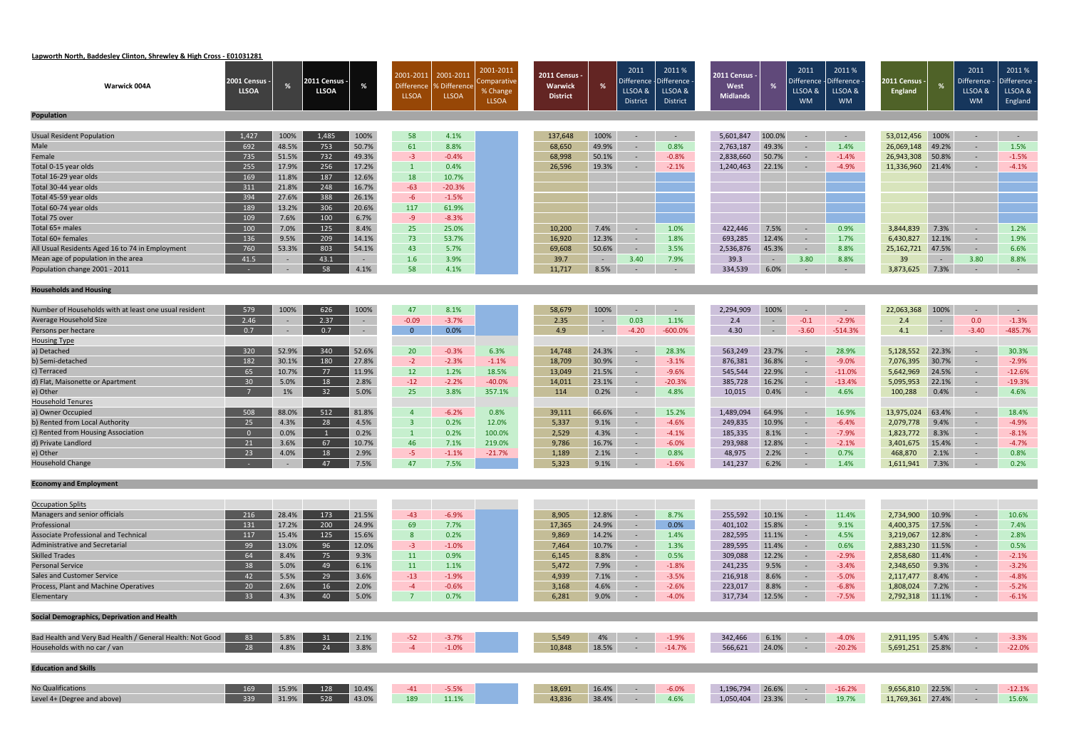# **Lapworth North, Baddesley Clinton, Shrewley & High Cross ‐ E01031281**

| <b>Warwick 004A</b>                                       | 2001 Census -<br><b>LLSOA</b> | %            | 2011 Census -<br><b>LLSOA</b> |               | 2001-2011<br>Difference<br><b>LLSOA</b> | 2001-201<br>6 Difference<br><b>LLSOA</b> | 2001-2011<br>:omparative<br>% Change<br><b>LLSOA</b> | 2011 Census -<br>Warwick<br><b>District</b> | %               | 2011<br>Difference<br>LLSOA &<br><b>District</b> | 2011 %<br>Difference<br>LLSOA &<br>District | 2011 Census -<br>West<br><b>Midlands</b> | %              | 2011<br>Difference<br>LLSOA &<br><b>WM</b> | 2011 %<br><b>Difference</b><br>LLSOA &<br><b>WM</b> | 2011 Census -<br><b>England</b> | ℀              | 2011<br>Difference -<br>LLSOA &<br><b>WM</b> | 2011%<br>- Difference<br>LLSOA &<br>England |
|-----------------------------------------------------------|-------------------------------|--------------|-------------------------------|---------------|-----------------------------------------|------------------------------------------|------------------------------------------------------|---------------------------------------------|-----------------|--------------------------------------------------|---------------------------------------------|------------------------------------------|----------------|--------------------------------------------|-----------------------------------------------------|---------------------------------|----------------|----------------------------------------------|---------------------------------------------|
| <b>Population</b>                                         |                               |              |                               |               |                                         |                                          |                                                      |                                             |                 |                                                  |                                             |                                          |                |                                            |                                                     |                                 |                |                                              |                                             |
| Usual Resident Population                                 | 1,427                         | 100%         | 1,485                         | 100%          | 58                                      | 4.1%                                     |                                                      | 137,648                                     | 100%            | $\sim$                                           | $\sim$                                      | 5,601,847                                | 100.0%         | $\sim$                                     | $\sim$                                              | 53,012,456                      | 100%           | $\sim$ $-$                                   | $\sim$ $-$                                  |
| Male                                                      | 692                           | 48.5%        | 753                           | 50.7%         | 61                                      | 8.8%                                     |                                                      | 68,650                                      | 49.9%           | $\sim$                                           | 0.8%                                        | 2,763,187                                | 49.3%          | $\sim$                                     | 1.4%                                                | 26,069,148                      | 49.2%          | $\sim$                                       | 1.5%                                        |
| Female                                                    | 735                           | 51.5%        | 732                           | 49.3%         | $-3$                                    | $-0.4%$                                  |                                                      | 68,998                                      | 50.1%           | $\sim$ $-$                                       | $-0.8%$                                     | 2,838,660                                | 50.7%          | $\sim$ $-$                                 | $-1.4%$                                             | 26,943,308                      | 50.8%          | $\sim$                                       | $-1.5%$                                     |
| Total 0-15 year olds                                      | 255                           | 17.9%        | 256                           | 17.2%         | $\mathbf{1}$                            | 0.4%                                     |                                                      | 26,596                                      | 19.3%           | $\sim$                                           | $-2.1%$                                     | 1,240,463                                | 22.1%          |                                            | $-4.9%$                                             | 11,336,960                      | 21.4%          | $\sim$                                       | $-4.1%$                                     |
| Total 16-29 year olds                                     | 169                           | 11.8%        | 187                           | 12.6%         | 18                                      | 10.7%                                    |                                                      |                                             |                 |                                                  |                                             |                                          |                |                                            |                                                     |                                 |                |                                              |                                             |
| Total 30-44 year olds                                     | 311                           | 21.8%        | 248                           | 16.7%         | $-63$                                   | $-20.3%$                                 |                                                      |                                             |                 |                                                  |                                             |                                          |                |                                            |                                                     |                                 |                |                                              |                                             |
| Total 45-59 year olds                                     | 394                           | 27.6%        | 388                           | 26.1%         | $-6$                                    | $-1.5%$                                  |                                                      |                                             |                 |                                                  |                                             |                                          |                |                                            |                                                     |                                 |                |                                              |                                             |
| Total 60-74 year olds                                     | 189                           | 13.2%        | 306                           | 20.6%         | 117                                     | 61.9%                                    |                                                      |                                             |                 |                                                  |                                             |                                          |                |                                            |                                                     |                                 |                |                                              |                                             |
| Total 75 over                                             | 109                           | 7.6%         | 100                           | 6.7%          | $-9$                                    | $-8.3%$                                  |                                                      |                                             |                 |                                                  |                                             |                                          |                |                                            |                                                     |                                 |                |                                              |                                             |
| Total 65+ males                                           | 100                           | 7.0%         | 125                           | 8.4%          | 25                                      | 25.0%                                    |                                                      | 10,200                                      | 7.4%            | $\sim$                                           | 1.0%                                        | 422,446                                  | 7.5%           | $\sim$                                     | 0.9%                                                | 3,844,839                       | 7.3%           | $\sim$ $-$                                   | 1.2%                                        |
| Total 60+ females                                         | 136                           | 9.5%         | 209                           | 14.1%         | 73                                      | 53.7%                                    |                                                      | 16,920                                      | 12.3%           | $\sim$                                           | 1.8%                                        | 693,285                                  | 12.4%          | $\sim$                                     | 1.7%                                                | 6,430,827                       | 12.1%          | $\sim$                                       | 1.9%                                        |
| All Usual Residents Aged 16 to 74 in Employment           | 760                           | 53.3%        | 803                           | 54.1%         | 43                                      | 5.7%                                     |                                                      | 69,608                                      | 50.6%           | $\sim$                                           | 3.5%                                        | 2,536,876                                | 45.3%          | $\sim$ $-$                                 | 8.8%                                                | 25, 162, 721                    | 47.5%          | $\sim$                                       | 6.6%                                        |
| Mean age of population in the area                        | 41.5                          | $\sim$       | 43.1                          | $\sim$ $-$    | 1.6                                     | 3.9%                                     |                                                      | 39.7                                        | $\sim$ $ \sim$  | 3.40                                             | 7.9%                                        | 39.3                                     | $\sim$ $ \sim$ | 3.80                                       | 8.8%                                                | 39                              | $\sim 10^{-1}$ | 3.80                                         | 8.8%                                        |
| Population change 2001 - 2011                             |                               | $\sim$       | 58                            | 4.1%          | 58                                      | 4.1%                                     |                                                      | 11,717                                      | 8.5%            | $\sim$                                           | $\sim$                                      | 334,539                                  | 6.0%           | $\sim$                                     | $\sim$                                              | 3,873,625                       | 7.3%           | $\sim$                                       | $\sim$ $-$                                  |
| <b>Households and Housing</b>                             |                               |              |                               |               |                                         |                                          |                                                      |                                             |                 |                                                  |                                             |                                          |                |                                            |                                                     |                                 |                |                                              |                                             |
|                                                           |                               |              |                               |               |                                         |                                          |                                                      |                                             |                 |                                                  |                                             |                                          |                |                                            |                                                     |                                 |                |                                              |                                             |
| Number of Households with at least one usual resident     | 579                           | 100%         | 626                           | 100%          | 47                                      | 8.1%                                     |                                                      | 58,679                                      | 100%            | $\sim$                                           | $\sim$                                      | 2,294,909                                | 100%           | $\sim$                                     | $\sim$                                              | 22,063,368                      | 100%           | $\sim$                                       | $\sim$ $-$                                  |
| Average Household Size                                    | 2.46                          |              | 2.37                          | $\sim$        | $-0.09$                                 | $-3.7%$                                  |                                                      | 2.35                                        | $\sim$ $ \sim$  | 0.03                                             | 1.1%                                        | 2.4                                      | $\sim$         | $-0.1$                                     | $-2.9%$                                             | 2.4                             | $\sim$ $-$     | 0.0                                          | $-1.3%$                                     |
| Persons per hectare                                       | 0.7                           | $\sim$       | 0.7                           | $\sim$        | $\overline{0}$                          | 0.0%                                     |                                                      | 4.9                                         | $\sim$          | $-4.20$                                          | $-600.0%$                                   | 4.30                                     | $\sim$ $-$     | $-3.60$                                    | $-514.3%$                                           | 4.1                             | $\sim$ $ \sim$ | $-3.40$                                      | $-485.7%$                                   |
| <b>Housing Type</b>                                       |                               |              |                               |               |                                         |                                          |                                                      |                                             |                 |                                                  |                                             |                                          |                |                                            |                                                     |                                 |                |                                              |                                             |
| a) Detached                                               | 320                           | 52.9%        | 340                           | 52.6%         | 20                                      | $-0.3%$                                  | 6.3%                                                 | 14,748                                      | 24.3%           | $\sim$                                           | 28.3%                                       | 563,249                                  | 23.7%          | $\sim$                                     | 28.9%                                               | 5,128,552                       | 22.3%          | $\sim$                                       | 30.3%                                       |
| b) Semi-detached                                          | 182                           | 30.1%        | 180                           | 27.8%         | $-2$                                    | $-2.3%$                                  | $-1.1%$                                              | 18,709                                      | 30.9%           | $\sim$ $-$                                       | $-3.1%$                                     | 876,381                                  | 36.8%          | $\sim$                                     | $-9.0%$                                             | 7,076,395                       | 30.7%          | $\sim$                                       | $-2.9%$                                     |
| c) Terraced                                               | 65                            | 10.7%        | 77                            | 11.9%         | 12                                      | 1.2%                                     | 18.5%                                                | 13,049                                      | 21.5%           | $\sim$                                           | $-9.6%$                                     | 545,544                                  | 22.9%          | $\sim$                                     | $-11.0%$                                            | 5,642,969                       | 24.5%          | $\sim$                                       | $-12.6%$                                    |
| d) Flat, Maisonette or Apartment                          | 30                            | 5.0%         | 18                            | 2.8%          | $-12$                                   | $-2.2%$                                  | $-40.0%$                                             | 14,011                                      | 23.1%           | $\sim$                                           | $-20.3%$                                    | 385,728                                  | 16.2%          | $\sim$                                     | $-13.4%$                                            | 5,095,953                       | 22.1%          | $\sim$                                       | $-19.3%$                                    |
| e) Other                                                  |                               | 1%           | 32                            | 5.0%          | 25                                      | 3.8%                                     | 357.1%                                               | 114                                         | 0.2%            | $\sim$                                           | 4.8%                                        | 10,015                                   | 0.4%           | $\sim$ $-$                                 | 4.6%                                                | 100,288                         | 0.4%           | $\sim$                                       | 4.6%                                        |
| <b>Household Tenures</b>                                  |                               |              |                               |               |                                         |                                          |                                                      |                                             |                 |                                                  |                                             |                                          |                |                                            |                                                     |                                 |                |                                              |                                             |
| a) Owner Occupied                                         | 508                           | 88.0%        | 512                           | 81.8%         | $\overline{4}$                          | $-6.2%$                                  | 0.8%                                                 | 39,111                                      | 66.6%           | $\sim$                                           | 15.2%                                       | 1,489,094                                | 64.9%          | $\sim$                                     | 16.9%                                               | 13,975,024                      | 63.4%          | $\sim$                                       | 18.4%                                       |
| b) Rented from Local Authority                            | 25                            | 4.3%         | 28                            | 4.5%          | $\overline{\mathbf{3}}$                 | 0.2%                                     | 12.0%                                                | 5,337                                       | 9.1%            | $\sim$                                           | $-4.6%$                                     | 249,835                                  | 10.9%          |                                            | $-6.4%$                                             | 2,079,778                       | 9.4%           | $\sim$                                       | $-4.9%$                                     |
| c) Rented from Housing Association<br>d) Private Landlord | $\overline{0}$                | $0.0\%$      | 67                            | 0.2%          | $\mathbf{1}$                            | 0.2%                                     | 100.0%                                               | 2,529                                       | 4.3%            | $\sim$                                           | $-4.1%$                                     | 185,335                                  | 8.1%           | $\sim$                                     | $-7.9\%$                                            | 1,823,772                       | 8.3%           | $\sim$ $-$                                   | $-8.1%$                                     |
|                                                           | 21<br>23                      | 3.6%<br>4.0% | 18                            | 10.7%<br>2.9% | 46<br>$-5$                              | 7.1%                                     | 219.0%<br>$-21.7%$                                   | 9,786                                       | 16.7%           | $\sim$<br>$\sim$                                 | $-6.0%$<br>0.8%                             | 293,988                                  | 12.8%<br>2.2%  | $\sim$                                     | $-2.1%$<br>0.7%                                     | 3,401,675                       | 15.4%<br>2.1%  | $\sim$<br>$\sim$                             | $-4.7%$<br>0.8%                             |
| e) Other<br><b>Household Change</b>                       |                               |              | 47 7.5%                       |               | 47                                      | $-1.1%$<br>7.5%                          |                                                      | 1,189<br>5,323                              | 2.1%<br>$9.1\%$ |                                                  | $-1.6\%$                                    | 48,975<br>141,237 6.2%                   |                |                                            | $-1.4\%$                                            | 468,870<br>1,611,941 7.3%       |                | $\sim$ - 0.2%                                |                                             |
|                                                           |                               |              |                               |               |                                         |                                          |                                                      |                                             |                 |                                                  |                                             |                                          |                |                                            |                                                     |                                 |                |                                              |                                             |
| <b>Economy and Employment</b>                             |                               |              |                               |               |                                         |                                          |                                                      |                                             |                 |                                                  |                                             |                                          |                |                                            |                                                     |                                 |                |                                              |                                             |
| <b>Occupation Splits</b>                                  |                               |              |                               |               |                                         |                                          |                                                      |                                             |                 |                                                  |                                             |                                          |                |                                            |                                                     |                                 |                |                                              |                                             |
| Managers and senior officials                             | 216                           | 28.4%        | 173                           | 21.5%         | $-43$                                   | $-6.9%$                                  |                                                      | 8,905                                       | 12.8%           | $\sim$                                           | 8.7%                                        | 255,592                                  | 10.1%          | $\sim$                                     | 11.4%                                               | 2,734,900                       | 10.9%          | $\sim$                                       | 10.6%                                       |
| Professional                                              | 131                           | 17.2%        | 200                           | 24.9%         | 69                                      | 7.7%                                     |                                                      | 17,365                                      | 24.9%           | $\sim$                                           | 0.0%                                        | 401,102                                  | 15.8%          |                                            | 9.1%                                                | 4,400,375                       | 17.5%          | $\sim$                                       | 7.4%                                        |
| Associate Professional and Technical                      | 117                           | 15.4%        | 125                           | 15.6%         | 8                                       | 0.2%                                     |                                                      | 9,869                                       | 14.2%           | $\sim$                                           | 1.4%                                        | 282,595                                  | 11.1%          | $\sim$                                     | 4.5%                                                | 3,219,067                       | 12.8%          | $\sim$                                       | 2.8%                                        |
| Administrative and Secretarial                            | 99                            | 13.0%        | 96                            | 12.0%         | $-3$                                    | $-1.0%$                                  |                                                      | 7,464                                       | 10.7%           | $\sim$                                           | 1.3%                                        | 289,595                                  | 11.4%          | $\sim$ $-$                                 | 0.6%                                                | 2,883,230                       | 11.5%          | $\sim$                                       | 0.5%                                        |
| <b>Skilled Trades</b>                                     | 64                            | 8.4%         | 75                            | 9.3%          | 11                                      | 0.9%                                     |                                                      | 6,145                                       | 8.8%            | $\sim$                                           | 0.5%                                        | 309,088                                  | 12.2%          | $\sim$ $-$                                 | $-2.9%$                                             | 2,858,680                       | 11.4%          | $\sim$                                       | $-2.1%$                                     |
| <b>Personal Service</b>                                   | 38                            | 5.0%         | 49                            | 6.1%          | 11                                      | 1.1%                                     |                                                      | 5,472                                       | 7.9%            | $\sim$ $-$                                       | $-1.8%$                                     | 241,235                                  | 9.5%           | $\sim$ $-$                                 | $-3.4%$                                             | 2,348,650                       | 9.3%           | $\sim$                                       | $-3.2%$                                     |
| Sales and Customer Service                                | 42                            | 5.5%         | 29                            | 3.6%          | $-13$                                   | $-1.9%$                                  |                                                      | 4,939                                       | 7.1%            | $\sim$                                           | $-3.5%$                                     | 216,918                                  | 8.6%           | $\sim$                                     | $-5.0%$                                             | 2,117,477                       | 8.4%           | $\sim$                                       | $-4.8%$                                     |
| Process, Plant and Machine Operatives                     | 20                            | 2.6%         | 16                            | 2.0%          | $-4$                                    | $-0.6%$                                  |                                                      | 3,168                                       | 4.6%            | $\sim$                                           | $-2.6%$                                     | 223,017                                  | 8.8%           | $\sim$                                     | $-6.8%$                                             | 1,808,024                       | 7.2%           | $\sim$                                       | $-5.2%$                                     |
| Elementary                                                | 33 <sup>°</sup>               | 4.3%         | 40                            | 5.0%          | $\overline{7}$                          | 0.7%                                     |                                                      | 6,281                                       | 9.0%            | $\sim$ $-$                                       | $-4.0%$                                     | 317,734                                  | 12.5%          | $\sim$ $ \sim$                             | $-7.5%$                                             | 2,792,318 11.1%                 |                | $\sim$ $-$                                   | $-6.1%$                                     |
| Social Demographics, Deprivation and Health               |                               |              |                               |               |                                         |                                          |                                                      |                                             |                 |                                                  |                                             |                                          |                |                                            |                                                     |                                 |                |                                              |                                             |
|                                                           |                               |              |                               |               |                                         |                                          |                                                      |                                             |                 |                                                  |                                             |                                          |                |                                            |                                                     |                                 |                |                                              |                                             |
| Bad Health and Very Bad Health / General Health: Not Good | 83                            | 5.8%         | 31                            | 2.1%          | $-52$                                   | $-3.7%$                                  |                                                      | 5,549                                       | 4%              | $\sim$ $-$                                       | $-1.9%$                                     | 342,466                                  | 6.1%           | $\sim$ $ \sim$                             | $-4.0%$                                             | 2,911,195                       | 5.4%           | $\sim$                                       | $-3.3%$                                     |
| Households with no car / van                              | 28                            | 4.8%         | 24                            | 3.8%          | $-4$                                    | $-1.0%$                                  |                                                      | 10,848                                      | 18.5%           | $\sim$ $-$                                       | $-14.7%$                                    | 566,621                                  | 24.0%          | $\sim$ $-$                                 | $-20.2%$                                            | 5,691,251 25.8%                 |                | $\sim$                                       | $-22.0%$                                    |
| <b>Education and Skills</b>                               |                               |              |                               |               |                                         |                                          |                                                      |                                             |                 |                                                  |                                             |                                          |                |                                            |                                                     |                                 |                |                                              |                                             |
| <b>No Qualifications</b>                                  | 169                           | 15.9%        | 128                           | 10.4%         | $-41$                                   | $-5.5%$                                  |                                                      | 18,691                                      | 16.4%           | $\sim$ $-$                                       | $-6.0%$                                     | 1,196,794                                | 26.6%          | $\sim$                                     | $-16.2%$                                            | 9,656,810                       | 22.5%          | $\sim$ $-$                                   | $-12.1%$                                    |
| Level 4+ (Degree and above)                               | 339                           | $31.9\%$     | 528                           | 43.0%         | 189                                     | 11.1%                                    |                                                      | 43,836                                      | 38.4%           | $\sim$ $-$                                       | 4.6%                                        | 1,050,404                                | 23.3%          | $\sim$                                     | 19.7%                                               | 11,769,361 27.4%                |                | $\sim$ $-$                                   | 15.6%                                       |
|                                                           |                               |              |                               |               |                                         |                                          |                                                      |                                             |                 |                                                  |                                             |                                          |                |                                            |                                                     |                                 |                |                                              |                                             |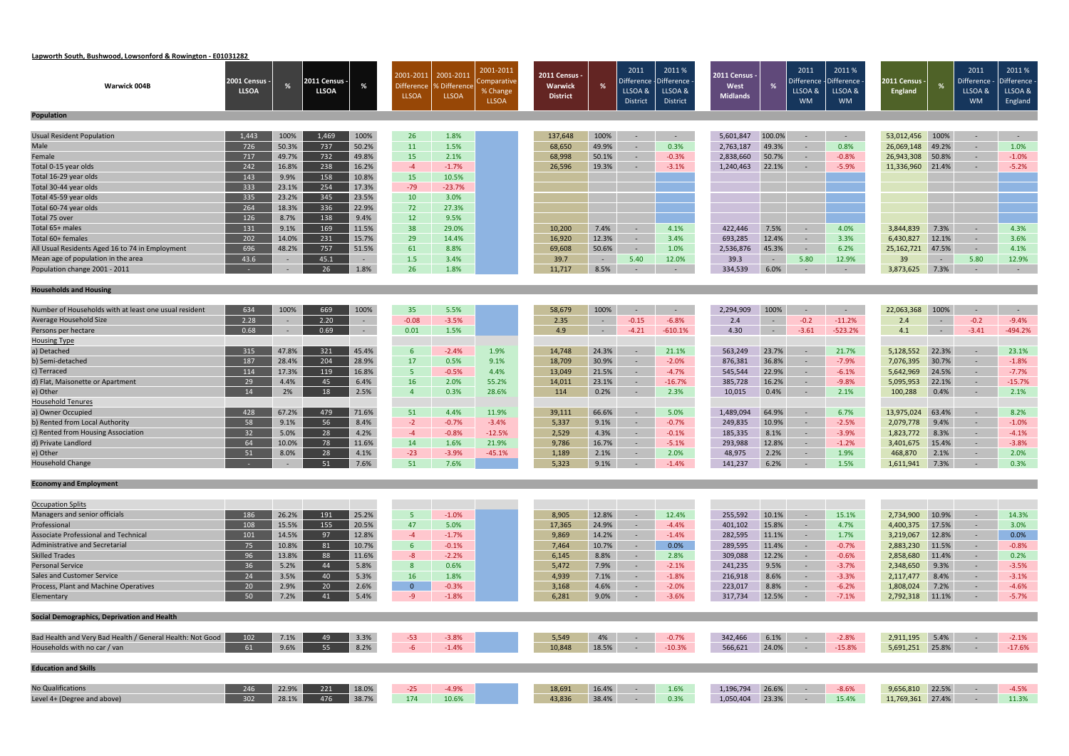# **Lapworth South, Bushwood, Lowsonford & Rowington ‐ E01031282**

|                                                           |                                      |        |                               |        | 2001-2011         | 2001-2011    | 2001-2011               | 2011 Census -   |                | 2011                  | 2011 %                       | <b>2011 Census -</b> |                | 2011                  | 2011%                 |                                 |                | 2011                               | 2011%      |
|-----------------------------------------------------------|--------------------------------------|--------|-------------------------------|--------|-------------------|--------------|-------------------------|-----------------|----------------|-----------------------|------------------------------|----------------------|----------------|-----------------------|-----------------------|---------------------------------|----------------|------------------------------------|------------|
| <b>Warwick 004B</b>                                       | <b>2001 Census -</b><br><b>LLSOA</b> | %      | 2011 Census ·<br><b>LLSOA</b> |        | <b>Difference</b> | Difference ه | Comparative<br>% Change | Warwick         | %              | Difference<br>LLSOA & | <b>Difference</b><br>LLSOA & | West                 | %              | )ifference<br>LLSOA & | Difference<br>LLSOA & | 2011 Census ·<br><b>England</b> | %              | Difference - Difference<br>LLSOA & | LLSOA &    |
|                                                           |                                      |        |                               |        | <b>LLSOA</b>      | <b>LLSOA</b> | <b>LLSOA</b>            | <b>District</b> |                | <b>District</b>       | District                     | <b>Midlands</b>      |                | <b>WM</b>             | <b>WM</b>             |                                 |                | <b>WM</b>                          | England    |
|                                                           |                                      |        |                               |        |                   |              |                         |                 |                |                       |                              |                      |                |                       |                       |                                 |                |                                    |            |
| <b>Population</b>                                         |                                      |        |                               |        |                   |              |                         |                 |                |                       |                              |                      |                |                       |                       |                                 |                |                                    |            |
| <b>Usual Resident Population</b>                          | 1,443                                | 100%   | 1,469                         | 100%   | 26                | 1.8%         |                         | 137,648         | 100%           | $\sim$                | $\sim$                       | 5,601,847            | 100.0%         | $\sim$                | $\sim$ $-$            | 53,012,456                      | 100%           | $\sim$                             | $\sim$ $-$ |
| Male                                                      | 726                                  | 50.3%  | 737                           | 50.2%  | 11                | 1.5%         |                         | 68,650          | 49.9%          | $\sim$                | 0.3%                         | 2,763,187            | 49.3%          | $\sim$                | 0.8%                  | 26,069,148                      | 49.2%          | $\sim$                             | 1.0%       |
| Female                                                    | 717                                  | 49.7%  | 732                           | 49.8%  | 15                | 2.1%         |                         | 68,998          | 50.1%          | $\sim$                | $-0.3%$                      | 2,838,660            | 50.7%          | $\sim$                | $-0.8%$               | 26,943,308                      | 50.8%          | $\sim$                             | $-1.0%$    |
| Total 0-15 year olds                                      | 242                                  | 16.8%  | 238                           | 16.2%  | $-4$              | $-1.7%$      |                         | 26,596          | 19.3%          | $\sim$                | $-3.1%$                      | 1,240,463            | 22.1%          | $\sim$                | $-5.9%$               | 11,336,960                      | 21.4%          | $\sim$                             | $-5.2%$    |
| Total 16-29 year olds                                     | 143                                  | 9.9%   | 158                           | 10.8%  | <b>15</b>         | 10.5%        |                         |                 |                |                       |                              |                      |                |                       |                       |                                 |                |                                    |            |
| Total 30-44 year olds                                     | 333                                  | 23.1%  | 254                           | 17.3%  | $-79$             | $-23.7%$     |                         |                 |                |                       |                              |                      |                |                       |                       |                                 |                |                                    |            |
| Total 45-59 year olds                                     | 335                                  | 23.2%  | 345                           | 23.5%  | 10                | 3.0%         |                         |                 |                |                       |                              |                      |                |                       |                       |                                 |                |                                    |            |
| Total 60-74 year olds                                     | 264                                  | 18.3%  | 336                           | 22.9%  | 72                | 27.3%        |                         |                 |                |                       |                              |                      |                |                       |                       |                                 |                |                                    |            |
| Total 75 over                                             | 126                                  | 8.7%   | 138                           | 9.4%   | 12                | 9.5%         |                         |                 |                |                       |                              |                      |                |                       |                       |                                 |                |                                    |            |
| Total 65+ males                                           | 131                                  | 9.1%   | 169                           | 11.5%  | 38                | 29.0%        |                         | 10,200          | 7.4%           | $\sim$                | 4.1%                         | 422,446              | 7.5%           | $\sim$                | 4.0%                  | 3,844,839                       | 7.3%           | $\sim$                             | 4.3%       |
| Total 60+ females                                         | 202                                  | 14.0%  | 231                           | 15.7%  | 29                | 14.4%        |                         | 16,920          | 12.3%          | $\sim$                | 3.4%                         | 693,285              | 12.4%          | $\sim$ $-$            | 3.3%                  | 6,430,827                       | 12.1%          | $\sim$                             | 3.6%       |
| All Usual Residents Aged 16 to 74 in Employment           | 696                                  | 48.2%  | 757                           | 51.5%  | 61                | 8.8%         |                         | 69,608          | 50.6%          | $\sim$                | 1.0%                         | 2,536,876            | 45.3%          | $\sim$                | 6.2%                  | 25,162,721                      | 47.5%          | $\sim$                             | 4.1%       |
| Mean age of population in the area                        | 43.6                                 |        | 45.1                          | $\sim$ | 1.5               | 3.4%         |                         | 39.7            | $\sim 10^{-1}$ | 5.40                  | 12.0%                        | 39.3                 | $\sim$ $ \sim$ | 5.80                  | 12.9%                 | 39                              | $\sim$ $ \sim$ | 5.80                               | 12.9%      |
| Population change 2001 - 2011                             |                                      | $\sim$ | 26                            | 1.8%   | 26                | 1.8%         |                         | 11,717          | 8.5%           | $\sim$                | $\sim$                       | 334,539              | 6.0%           |                       | $\sim$ $-$            | 3,873,625                       | 7.3%           | $\sim$                             | $\sim$ $-$ |
|                                                           |                                      |        |                               |        |                   |              |                         |                 |                |                       |                              |                      |                |                       |                       |                                 |                |                                    |            |
| <b>Households and Housing</b>                             |                                      |        |                               |        |                   |              |                         |                 |                |                       |                              |                      |                |                       |                       |                                 |                |                                    |            |
| Number of Households with at least one usual resident     | 634                                  | 100%   | 669                           | 100%   |                   | 5.5%         |                         |                 | 100%           | $\sim$                | $\sim$                       | 2,294,909            | 100%           |                       |                       | 22,063,368                      | 100%           | $\sim$                             | $\sim$ $-$ |
| Average Household Size                                    | 2.28                                 |        | 2.20                          | $\sim$ | 35<br>$-0.08$     | $-3.5%$      |                         | 58,679<br>2.35  | $\sim$         | $-0.15$               | $-6.8%$                      | 2.4                  | $\sim$         | $-0.2$                | $\sim$<br>$-11.2%$    | 2.4                             | $\sim$ $-$     | $-0.2$                             | $-9.4%$    |
| Persons per hectare                                       | 0.68                                 | $\sim$ | 0.69                          | $\sim$ | 0.01              | 1.5%         |                         | 4.9             | $\sim$ $-$     | $-4.21$               | $-610.1%$                    | 4.30                 | $\sim$         | $-3.61$               | $-523.2%$             | 4.1                             | $\sim 10^{-1}$ | $-3.41$                            | $-494.2%$  |
| <b>Housing Type</b>                                       |                                      |        |                               |        |                   |              |                         |                 |                |                       |                              |                      |                |                       |                       |                                 |                |                                    |            |
| a) Detached                                               | 315                                  | 47.8%  | 321                           | 45.4%  | $6^{\circ}$       | $-2.4%$      | 1.9%                    | 14,748          | 24.3%          | $\sim$                | 21.1%                        | 563,249              | 23.7%          | $\sim$                | 21.7%                 | 5,128,552                       | 22.3%          | $\sim$                             | 23.1%      |
| b) Semi-detached                                          | 187                                  | 28.4%  | 204                           | 28.9%  | 17                | 0.5%         | 9.1%                    | 18,709          | 30.9%          | $\sim$                | $-2.0%$                      | 876,381              | 36.8%          | $\sim$                | $-7.9%$               | 7,076,395                       | 30.7%          | $\sim$                             | $-1.8%$    |
| c) Terraced                                               | 114                                  | 17.3%  | 119                           | 16.8%  | 5 <sub>1</sub>    | $-0.5%$      | 4.4%                    | 13,049          | 21.5%          | $\sim$                | $-4.7%$                      | 545,544              | 22.9%          | $\sim$                | $-6.1%$               | 5,642,969                       | 24.5%          | $\sim$                             | $-7.7%$    |
| d) Flat, Maisonette or Apartment                          | 29                                   | 4.4%   | 45                            | 6.4%   | 16                | 2.0%         | 55.2%                   | 14,011          | 23.1%          | $\sim$                | $-16.7%$                     | 385,728              | 16.2%          | $\sim$ $-$            | $-9.8%$               | 5,095,953                       | 22.1%          | $\sim$                             | $-15.7%$   |
| e) Other                                                  | 14                                   | 2%     | 18                            | 2.5%   | $\overline{4}$    | 0.3%         | 28.6%                   | 114             | 0.2%           | $\sim$                | 2.3%                         | 10,015               | 0.4%           | $\sim$ $-$            | 2.1%                  | 100,288                         | 0.4%           | $\sim$                             | 2.1%       |
| <b>Household Tenures</b>                                  |                                      |        |                               |        |                   |              |                         |                 |                |                       |                              |                      |                |                       |                       |                                 |                |                                    |            |
| a) Owner Occupied                                         | 428                                  | 67.2%  | 479                           | 71.6%  | 51                | 4.4%         | 11.9%                   | 39,111          | 66.6%          | $\sim$                | 5.0%                         | 1,489,094            | 64.9%          | $\sim$                | 6.7%                  | 13,975,024                      | 63.4%          | $\sim$                             | 8.2%       |
| b) Rented from Local Authority                            | 58                                   | 9.1%   | 56                            | 8.4%   | $-2$              | $-0.7%$      | $-3.4%$                 | 5,337           | 9.1%           | $\sim$                | $-0.7%$                      | 249,835              | 10.9%          | $\sim$                | $-2.5%$               | 2,079,778                       | 9.4%           | $\sim$                             | $-1.0%$    |
| c) Rented from Housing Association                        | 32                                   | 5.0%   | 28                            | 4.2%   | $-4$              | $-0.8%$      | $-12.5%$                | 2,529           | 4.3%           | $\sim$                | $-0.1%$                      | 185,335              | 8.1%           | $\sim$ $-$            | $-3.9%$               | 1,823,772                       | 8.3%           | $\sim$                             | $-4.1%$    |
| d) Private Landlord                                       | 64                                   | 10.0%  | 78                            | 11.6%  | 14                | 1.6%         | 21.9%                   | 9,786           | 16.7%          |                       | $-5.1%$                      | 293,988              | 12.8%          | $\sim$                | $-1.2%$               | 3,401,675                       | 15.4%          | $\sim$                             | $-3.8%$    |
| e) Other                                                  | 51                                   | 8.0%   | 28                            | 4.1%   | $-23$             | $-3.9%$      | $-45.1%$                | 1,189           | 2.1%           | $\sim$                | 2.0%                         | 48,975               | 2.2%           | $\sim$ $-$            | 1.9%                  | 468,870                         | 2.1%           | $\sim$                             | 2.0%       |
| <b>Household Change</b>                                   |                                      |        | 51 7.6%                       |        | 51                | 7.6%         |                         | 5,323           | 9.1%           |                       | $-1.4\%$                     | 141,237 6.2%         |                |                       | $-1.5\%$              | 1,611,941 7.3%                  |                | $\sim$ $-$ 0.3%                    |            |
|                                                           |                                      |        |                               |        |                   |              |                         |                 |                |                       |                              |                      |                |                       |                       |                                 |                |                                    |            |
| <b>Economy and Employment</b>                             |                                      |        |                               |        |                   |              |                         |                 |                |                       |                              |                      |                |                       |                       |                                 |                |                                    |            |
| <b>Occupation Splits</b>                                  |                                      |        |                               |        |                   |              |                         |                 |                |                       |                              |                      |                |                       |                       |                                 |                |                                    |            |
| Managers and senior officials                             | 186                                  | 26.2%  | 191                           | 25.2%  | 5 <sup>°</sup>    | $-1.0%$      |                         | 8,905           | 12.8%          | $\sim$                | 12.4%                        | 255,592              | 10.1%          | $\sim$                | 15.1%                 | 2,734,900                       | 10.9%          | $\sim$                             | 14.3%      |
| Professional                                              | 108                                  | 15.5%  | 155                           | 20.5%  | 47                | 5.0%         |                         | 17,365          | 24.9%          | $\sim$                | $-4.4%$                      | 401,102              | 15.8%          |                       | 4.7%                  | 4,400,375                       | 17.5%          | $\sim$                             | 3.0%       |
| <b>Associate Professional and Technical</b>               | 101                                  | 14.5%  | 97                            | 12.8%  | $-4$              | $-1.7%$      |                         | 9,869           | 14.2%          | $\sim$ $-$            | $-1.4%$                      | 282,595              | 11.1%          | $\sim$                | 1.7%                  | 3,219,067                       | 12.8%          | $\sim$                             | 0.0%       |
| <b>Administrative and Secretarial</b>                     | 75                                   | 10.8%  | 81                            | 10.7%  | $6^{\circ}$       | $-0.1%$      |                         | 7,464           | 10.7%          | $\sim$                | 0.0%                         | 289,595              | 11.4%          | $\sim$ $-$            | $-0.7%$               | 2,883,230                       | 11.5%          | $\sim$ $-$                         | $-0.8%$    |
| <b>Skilled Trades</b>                                     | 96                                   | 13.8%  | 88                            | 11.6%  | $-8$              | $-2.2%$      |                         | 6,145           | 8.8%           | $\sim$                | 2.8%                         | 309,088              | 12.2%          | $\sim$ $ \sim$        | $-0.6%$               | 2,858,680                       | 11.4%          | $\sim$                             | 0.2%       |
| <b>Personal Service</b>                                   | 36                                   | 5.2%   | 44                            | 5.8%   | 8                 | 0.6%         |                         | 5,472           | 7.9%           | $\sim$ $^{-1}$        | $-2.1%$                      | 241,235              | 9.5%           | $\sim$                | $-3.7%$               | 2,348,650                       | 9.3%           | $\sim$                             | $-3.5%$    |
| <b>Sales and Customer Service</b>                         | 24                                   | 3.5%   | 40                            | 5.3%   | 16                | 1.8%         |                         | 4,939           | 7.1%           | $\sim$ $^{-1}$        | $-1.8%$                      | 216,918              | 8.6%           | $\sim$                | $-3.3%$               | 2,117,477                       | 8.4%           | $\sim$                             | $-3.1%$    |
| Process, Plant and Machine Operatives                     | 20                                   | 2.9%   | 20                            | 2.6%   | $\overline{0}$    | $-0.3%$      |                         | 3,168           | 4.6%           | $\sim$                | $-2.0%$                      | 223,017              | 8.8%           | $\sim$                | $-6.2%$               | 1,808,024                       | 7.2%           | $\sim$                             | $-4.6%$    |
| Elementary                                                | 50 <sub>2</sub>                      | 7.2%   | 41                            | 5.4%   | $-9$              | $-1.8%$      |                         | 6,281           | $9.0\%$        | $\sim$                | $-3.6%$                      | 317,734              | 12.5%          | $\sim$ $-$            | $-7.1%$               | 2,792,318 11.1%                 |                | $\sim$ $-$                         | $-5.7%$    |
|                                                           |                                      |        |                               |        |                   |              |                         |                 |                |                       |                              |                      |                |                       |                       |                                 |                |                                    |            |
| Social Demographics, Deprivation and Health               |                                      |        |                               |        |                   |              |                         |                 |                |                       |                              |                      |                |                       |                       |                                 |                |                                    |            |
| Bad Health and Very Bad Health / General Health: Not Good | 102                                  | 7.1%   | 49                            | 3.3%   | $-53$             | $-3.8%$      |                         | 5,549           | 4%             | $\sim$ $-$            | $-0.7%$                      | 342,466              | 6.1%           | $\sim$ $-$            | $-2.8%$               | 2,911,195                       | 5.4%           | $\sim$ $-$                         | $-2.1%$    |
| Households with no car / van                              | 61                                   | 9.6%   | 55                            | 8.2%   | $-6$              | $-1.4%$      |                         | 10,848          | 18.5%          | $\sim$                | $-10.3%$                     | 566,621              | 24.0%          |                       | $-15.8%$              | 5,691,251 25.8%                 |                | $\sim$                             | $-17.6%$   |
|                                                           |                                      |        |                               |        |                   |              |                         |                 |                |                       |                              |                      |                |                       |                       |                                 |                |                                    |            |
| <b>Education and Skills</b>                               |                                      |        |                               |        |                   |              |                         |                 |                |                       |                              |                      |                |                       |                       |                                 |                |                                    |            |
| <b>No Qualifications</b>                                  | 246                                  | 22.9%  | 221                           | 18.0%  | $-25$             | $-4.9%$      |                         | 18,691          | 16.4%          | $\sim$                | 1.6%                         | 1,196,794            | 26.6%          | $\sim$                | $-8.6%$               | 9,656,810                       | 22.5%          | $\sim$ $-$                         | $-4.5%$    |
| Level 4+ (Degree and above)                               | 302                                  | 28.1%  | 476                           | 38.7%  | 174               | 10.6%        |                         | 43,836          | 38.4%          | $\sim$                | 0.3%                         | 1,050,404            | 23.3%          | $\sim$ $-$            | 15.4%                 | 11,769,361 27.4%                |                | $\sim$                             | 11.3%      |
|                                                           |                                      |        |                               |        |                   |              |                         |                 |                |                       |                              |                      |                |                       |                       |                                 |                |                                    |            |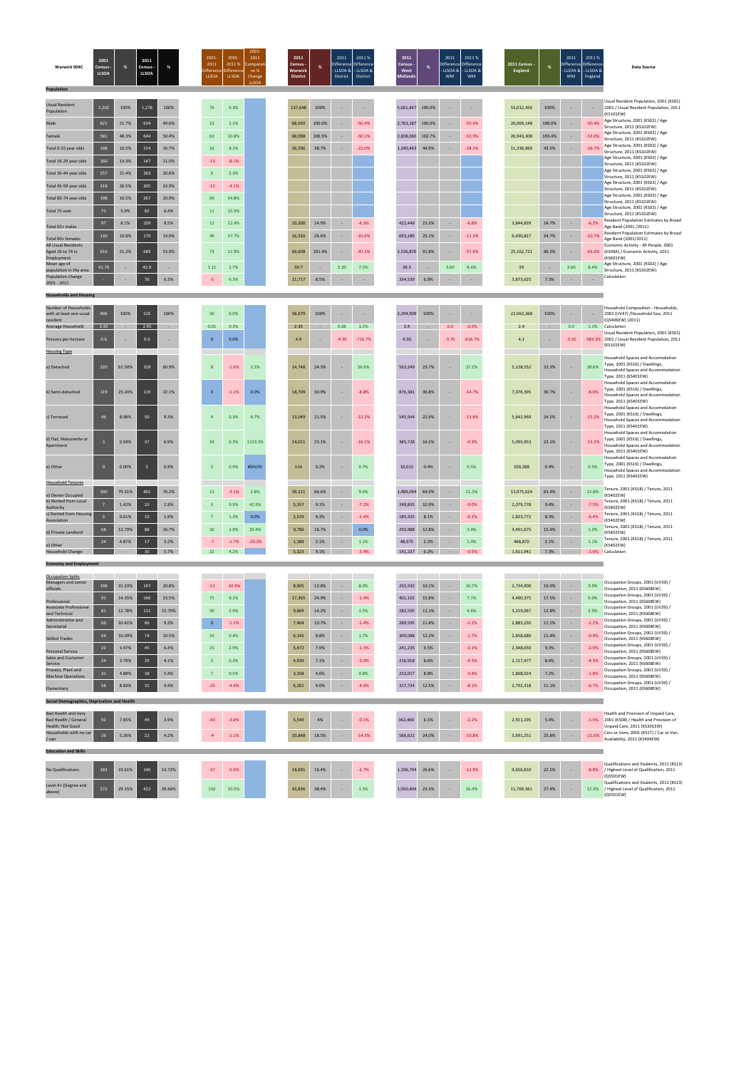| <b>Usual Resident</b><br>Population                          | 1,202 | 100%  | 1,278 | 100%  | 76              | 6.3%    |  | 137,648 | 100%   |      | . .      | 5,601,847 | 100.0% |      |          | 53,012,456 | 100%   |      | $\sim$   | Usual Resident Population, 2001 (KS01)<br>2001 / Usual Resident Population, 2011<br>(KS101EW) |
|--------------------------------------------------------------|-------|-------|-------|-------|-----------------|---------|--|---------|--------|------|----------|-----------|--------|------|----------|------------|--------|------|----------|-----------------------------------------------------------------------------------------------|
| Male                                                         | 621   | 51.7% | 634   | 49.6% | 13 <sup>°</sup> | 2.1%    |  | 68,650  | 100.0% |      | $-50.4%$ | 2,763,187 | 100.0% |      | $-50.4%$ | 26,069,148 | 100.0% |      | $-50.4%$ | Age Structure, 2001 (KS02) / Age<br>Structure, 2011 (KS102EW)                                 |
| Female                                                       | 581   | 48.3% | 644   | 50.4% | 63              | 10.8%   |  | 68,998  | 100.5% |      | $-50.1%$ | 2,838,660 | 102.7% |      | $-52.3%$ | 26,943,308 | 103.4% |      | $-53.0%$ | Age Structure, 2001 (KS02) / Age<br>Structure, 2011 (KS102EW)                                 |
| Total 0-15 year olds                                         | 198   | 16.5% | 214   | 16.7% | 16              | 8.1%    |  | 26,596  | 38.7%  |      | $-22.0%$ | 1,240,463 | 44.9%  |      | $-28.1%$ | 11,336,960 | 43.5%  |      | $-26.7%$ | Age Structure, 2001 (KS02) / Age<br>Structure, 2011 (KS102EW)                                 |
| Total 16-29 year olds                                        | 160   | 13.3% | 147   | 11.5% | $-13$           | $-8.1%$ |  |         |        |      |          |           |        |      |          |            |        |      |          | Age Structure, 2001 (KS02) / Age<br>Structure, 2011 (KS102EW)                                 |
| Total 30-44 year olds                                        | 257   | 21.4% | 263   | 20.6% |                 | 2.3%    |  |         |        |      |          |           |        |      |          |            |        |      |          | Age Structure, 2001 (KS02) / Age<br>Structure, 2011 (KS102EW)                                 |
| Total 45-59 year olds                                        | 318   | 26.5% | 305   | 23.9% | $-13$           | $-4.1%$ |  |         |        |      |          |           |        |      |          |            |        |      |          | Age Structure, 2001 (KS02) / Age<br>Structure, 2011 (KS102EW)                                 |
| Total 60-74 year olds                                        | 198   | 16.5% | 267   | 20.9% | 69              | 34.8%   |  |         |        |      |          |           |        |      |          |            |        |      |          | Age Structure, 2001 (KS02) / Age<br>Structure, 2011 (KS102EW)                                 |
| Total 75 over                                                | 71    | 5.9%  | 82    | 6.4%  | 11              | 15.5%   |  |         |        |      |          |           |        |      |          |            |        |      |          | Age Structure, 2001 (KS02) / Age<br>Structure, 2011 (KS102EW)                                 |
| Total 65+ males                                              | 97    | 8.1%  | 109   | 8.5%  | 12 <sup>2</sup> | 12.4%   |  | 10,200  | 14.9%  |      | $-6.3%$  | 422,446   | 15.3%  |      | $-6.8%$  | 3,844,839  | 14.7%  |      | $-6.2%$  | <b>Resident Population Estimates by Broad</b><br>Age Band (2001/2011)                         |
| Total 60+ females                                            | 130   | 10.8% | 179   | 14.0% | 49              | 37.7%   |  | 16,920  | 24.6%  |      | $-10.6%$ | 693,285   | 25.1%  |      | $-11.1%$ | 6,430,827  | 24.7%  | . .  | $-10.7%$ | <b>Resident Population Estimates by Broad</b><br>Age Band (2001/2011)                         |
| <b>All Usual Residents</b><br>Aged 16 to 74 in<br>Employment | 616   | 51.2% | 689   | 53.9% | 73              | 11.9%   |  | 69,608  | 101.4% |      | $-47.5%$ | 2,536,876 | 91.8%  |      | $-37.9%$ | 25,162,721 | 96.5%  |      | $-42.6%$ | Economic Activity - All People, 2001<br>(KS09A) / Economic Activity, 2011<br>(KS601EW)        |
| Mean age of<br>population in the area                        | 41.79 |       | 42.9  |       | 1.11            | 2.7%    |  | 39.7    |        | 3.20 | 7.5%     | 39.3      |        | 3.60 | 8.4%     | 39         |        | 3.60 | 8.4%     | Age Structure, 2001 (KS02) / Age<br>Structure, 2011 (KS102EW)                                 |
| Population change<br>2001 - 2011                             |       |       | 76    | 6.3%  | $-5$            | 6.3%    |  | 11,717  | 8.5%   |      |          | 334,539   | 6.0%   |      |          | 3,873,625  | 7.3%   |      | $\sim$   | Calculation                                                                                   |

| Warwick 004C      | 2001<br>Census -<br>LLSOA <sup>1</sup> | 2011<br>Census -<br><b>LLSOA</b> |  | 2001-<br>2011<br><b>LLSOA</b> | 2001<br>2011 %<br>Difference Difference<br>LLSOA | $2001 -$<br>2011<br>Comparati<br>ve %<br>Change<br><b>LLSOA</b> | 2011<br>Census -<br>Warwick<br>District | 2011<br>Difference Difference<br>District District | 2011 %<br>$\cdot$ LLSOA & $\cdot$ LLSOA & | 2011<br>Census -<br><b>West</b><br><b>Midlands</b> | 2011<br>Difference Difference<br>- LLSOA & - LLSOA &<br><b>WM</b> | 2011 %<br><b>WM</b> | 2011 Census -<br>England |  | 2011<br>Difference Difference<br>$\vert$ - LLSOA & $\vert$ - LLSOA &<br><b>WM</b> | 2011%<br>England | <b>Data Source</b> |
|-------------------|----------------------------------------|----------------------------------|--|-------------------------------|--------------------------------------------------|-----------------------------------------------------------------|-----------------------------------------|----------------------------------------------------|-------------------------------------------|----------------------------------------------------|-------------------------------------------------------------------|---------------------|--------------------------|--|-----------------------------------------------------------------------------------|------------------|--------------------|
| <b>Population</b> |                                        |                                  |  |                               |                                                  |                                                                 |                                         |                                                    |                                           |                                                    |                                                                   |                     |                          |  |                                                                                   |                  |                    |

| Number of Households<br>with at least one usual<br>resident            | 496             | 100%   | 526    | 100%   | 30                      |       | 6.0%     |          | 58,679 | 100%   |         |           | 2,294,909 | 100%   |         |           | 22,063,368 | 100%   |         |           | Household Composition - Households<br>2001 (UV47) /Household Size, 2011<br>(QS406EW) (2011)                                       |
|------------------------------------------------------------------------|-----------------|--------|--------|--------|-------------------------|-------|----------|----------|--------|--------|---------|-----------|-----------|--------|---------|-----------|------------|--------|---------|-----------|-----------------------------------------------------------------------------------------------------------------------------------|
| Average Household                                                      | 2.42            | $\sim$ | 2.43   | $\sim$ | 0.01                    |       | 0.3%     |          | 2.35   | $\sim$ | 0.08    | 3.5%      | 2.4       | $\sim$ | 0.0     | $-0.5%$   | 2.4        | $\sim$ | 0.0     | 1.1%      | Calculation                                                                                                                       |
| Persons per hectare                                                    | 0.6             |        | 0.6    |        | $\overline{0}$          |       | 0.0%     |          | 4.9    |        | $-4.30$ | $-716.7%$ | 4.30      |        | $-3.70$ | $-616.7%$ | 4.1        |        | $-3.50$ | $-583.3%$ | Usual Resident Population, 2001 (KS01)<br>2001 / Usual Resident Population, 2011<br>(KS101EW)                                     |
| <b>Housing Type</b>                                                    |                 |        |        |        |                         |       |          |          |        |        |         |           |           |        |         |           |            |        |         |           |                                                                                                                                   |
| a) Detached                                                            | 320             | 62.50% | 328    | 60.9%  | 8                       |       | $-1.6%$  | 2.5%     | 14,748 | 24.3%  |         | 36.6%     | 563,249   | 23.7%  |         | 37.2%     | 5,128,552  | 22.3%  |         | 38.6%     | Household Spaces and Accomodation<br>Type, 2001 (KS16) / Dwellings,<br>Household Spaces and Accommodation<br>Type, 2011 (KS401EW) |
| b) Semi-detached                                                       | 119             | 23.24% | 119    | 22.1%  | $\overline{0}$          |       | $-1.1%$  | 0.0%     | 18,709 | 30.9%  |         | $-8.8%$   | 876,381   | 36.8%  |         | $-14.7%$  | 7,076,395  | 30.7%  |         | $-8.6%$   | Household Spaces and Accomodation<br>Type, 2001 (KS16) / Dwellings,<br>Household Spaces and Accommodation<br>Type, 2011 (KS401EW) |
| c) Terraced                                                            | 46              | 8.98%  | 50     | 9.3%   | $\overline{4}$          |       | 0.3%     | 8.7%     | 13,049 | 21.5%  |         | $-12.2%$  | 545,544   | 22.9%  |         | $-13.6%$  | 5,642,969  | 24.5%  |         | $-15.2%$  | Household Spaces and Accomodation<br>Type, 2001 (KS16) / Dwellings,<br>Household Spaces and Accommodation<br>Type, 2011 (KS401EW) |
| d) Flat, Maisonette or<br>Apartment                                    | $\mathbf{B}$    | 0.59%  | 37     | 6.9%   | 34                      |       | 6.3%     | 1133.3%  | 14,011 | 23.1%  |         | $-16.2%$  | 385,728   | 16.2%  |         | $-9.3%$   | 5,095,953  | 22.1%  |         | $-15.2%$  | Household Spaces and Accomodation<br>Type, 2001 (KS16) / Dwellings,<br>Household Spaces and Accommodation<br>Type, 2011 (KS401EW) |
| e) Other                                                               | $\overline{0}$  | 0.00%  | 5      | 0.9%   | 5                       |       | 0.9%     | #DIV/0!  | 114    | 0.2%   |         | 0.7%      | 10,015    | 0.4%   |         | 0.5%      | 100,288    | 0.4%   |         | 0.5%      | Household Spaces and Accomodation<br>Type, 2001 (KS16) / Dwellings,<br>Household Spaces and Accommodation<br>Type, 2011 (KS401EW) |
| <b>Household Tenures</b>                                               |                 |        |        |        |                         |       |          |          |        |        |         |           |           |        |         |           |            |        |         |           |                                                                                                                                   |
| a) Owner Occupied                                                      | 390             | 79.31% | 401    | 76.2%  | 11                      |       | $-3.1%$  | 2.8%     | 39,111 | 66.6%  |         | 9.6%      | 1,489,094 | 64.9%  |         | 11.3%     | 13,975,024 | 63.4%  |         | 12.8%     | Tenure, 2001 (KS18) / Tenure, 2011<br>(KS402EW)                                                                                   |
| b) Rented from Local<br>Authority                                      | $7\overline{ }$ | 1.42%  | 10     | 1.9%   | $\overline{\mathbf{3}}$ |       | 0.5%     | 42.9%    | 5,337  | 9.1%   | ٠       | $-7.2%$   | 249,835   | 10.9%  | $\sim$  | $-9.0%$   | 2,079,778  | 9.4%   | $\sim$  | $-7.5%$   | Tenure, 2001 (KS18) / Tenure, 2011<br>(KS402EW)                                                                                   |
| c) Rented from Housing<br>Association                                  |                 | 0.61%  | 10     | 1.9%   | $\overline{7}$          |       | 1.3%     | 0.0%     | 2,529  | 4.3%   |         | $-2.4%$   | 185,335   | 8.1%   |         | $-6.2%$   | 1,823,772  | 8.3%   |         | $-6.4%$   | Tenure, 2001 (KS18) / Tenure, 2011<br>(KS402EW)                                                                                   |
| d) Private Landlord                                                    | 68              | 13.79% | 88     | 16.7%  | 20                      |       | 2.9%     | 29.4%    | 9,786  | 16.7%  |         | 0.0%      | 293,988   | 12.8%  | $\sim$  | 3.9%      | 3,401,675  | 15.4%  | $\sim$  | 1.3%      | Tenure, 2001 (KS18) / Tenure, 2011<br>(KS402EW)                                                                                   |
| e) Other                                                               | 24              | 4.87%  | 17     | 3.2%   | $-7$                    |       | $-1.7%$  | $-29.2%$ | 1,189  | 2.1%   |         | 1.1%      | 48,975    | 2.2%   | $\sim$  | 1.0%      | 468,870    | 2.1%   | ٠       | 1.1%      | Tenure, 2001 (KS18) / Tenure, 2011<br>(KS402EW)                                                                                   |
| <b>Household Change</b>                                                |                 |        | 30     | 5.7%   | 22                      |       | 4.2%     |          | 5,323  | 9.1%   | $\sim$  | $-3.4%$   | 141,237   | 6.2%   |         | $-0.5%$   | 1,611,941  | 7.3%   | $\sim$  | $-1.6%$   | Calculation                                                                                                                       |
| <b>Economy and Employment</b>                                          |                 |        |        |        |                         |       |          |          |        |        |         |           |           |        |         |           |            |        |         |           |                                                                                                                                   |
| <b>Occupation Splits</b>                                               |                 |        |        |        |                         |       |          |          |        |        |         |           |           |        |         |           |            |        |         |           |                                                                                                                                   |
| Managers and senior<br>officials                                       | 198             | 31.23% | 147    | 20.8%  |                         | $-51$ | $-10.4%$ |          | 8,905  | 12.8%  |         | 8.0%      | 255,592   | 10.1%  |         | 10.7%     | 2,734,900  | 10.9%  |         | 9.9%      | Occupation Groups, 2001 (UV30) /<br>Occupation, 2011 (KS608EW)                                                                    |
| Professional                                                           | 91              | 14.35% | 166    | 23.5%  | 75                      |       | 9.1%     |          | 17,365 | 24.9%  |         | $-1.4%$   | 401,102   | 15.8%  |         | 7.7%      | 4,400,375  | 17.5%  |         | 6.0%      | Occupation Groups, 2001 (UV30) /<br>Occupation, 2011 (KS608EW)                                                                    |
| Associate Professional<br>and Technical                                | 81              | 12.78% | 111    | 15.70% |                         |       |          |          |        |        |         |           |           |        |         |           |            |        |         |           |                                                                                                                                   |
| Administrative and<br>Secretarial                                      | 66              |        |        |        |                         | 30    | 2.9%     |          | 9,869  | 14.2%  |         | 1.5%      | 282,595   | 11.1%  |         | 4.6%      | 3,219,067  | 12.8%  |         | 2.9%      | Occupation Groups, 2001 (UV30) /<br>Occupation, 2011 (KS608EW)                                                                    |
| <b>Skilled Trades</b>                                                  |                 | 10.41% | 66     | 9.3%   | $\mathbf{0}$            |       | $-1.1%$  |          | 7,464  | 10.7%  |         | $-1.4%$   | 289,595   | 11.4%  |         | $-2.1%$   | 2,883,230  | 11.5%  |         | $-2.2%$   | Occupation Groups, 2001 (UV30) /                                                                                                  |
|                                                                        | 64              | 10.09% | 74     | 10.5%  | 10                      |       | 0.4%     |          | 6,145  | 8.8%   |         | 1.7%      | 309,088   | 12.2%  |         | $-1.7%$   | 2,858,680  | 11.4%  |         | $-0.9%$   | Occupation, 2011 (KS608EW)<br>Occupation Groups, 2001 (UV30) /                                                                    |
|                                                                        | 22              | 3.47%  | 45     | 6.4%   | 23                      |       | 2.9%     |          | 5,472  | 7.9%   | ٠       | $-1.5%$   | 241,235   | 9.5%   | $\sim$  | $-3.1%$   | 2,348,650  | 9.3%   |         | $-2.9%$   | Occupation, 2011 (KS608EW)<br>Occupation Groups, 2001 (UV30) /                                                                    |
| <b>Personal Service</b><br>Sales and Customer                          | 24              | 3.79%  | 29     | 4.1%   | -5                      |       | 0.3%     |          | 4,939  | 7.1%   | ٠       | $-3.0%$   | 216,918   | 8.6%   | $\sim$  | $-4.5%$   | 2,117,477  | 8.4%   |         | $-4.3%$   | Occupation, 2011 (KS608EW)<br>Occupation Groups, 2001 (UV30) /                                                                    |
| Service<br>Process, Plant and                                          | 31              | 4.89%  | 38     | 5.4%   | $\overline{7}$          |       | 0.5%     |          | 3,168  | 4.6%   |         | 0.8%      | 223,017   | 8.8%   |         | $-3.4%$   | 1,808,024  | 7.2%   |         | $-1.8%$   | Occupation, 2011 (KS608EW)<br>Occupation Groups, 2001 (UV30) /                                                                    |
| <b>Machine Operatives</b>                                              | 56              | 8.83%  | 31     | 4.4%   | $-25$                   |       | $-4.4%$  |          | 6,281  | 9.0%   |         | $-4.6%$   | 317,734   | 12.5%  |         | $-8.1%$   | 2,792,318  | 11.1%  |         | $-6.7%$   | Occupation, 2011 (KS608EW)<br>Occupation Groups, 2001 (UV30) /                                                                    |
| Elementary<br>Social Demographics, Deprivation and Health              |                 |        |        |        |                         |       |          |          |        |        |         |           |           |        |         |           |            |        |         |           | Occupation, 2011 (KS608EW)                                                                                                        |
|                                                                        |                 |        |        |        |                         |       |          |          |        |        |         |           |           |        |         |           |            |        |         |           |                                                                                                                                   |
| <b>Bad Health and Very</b><br>Bad Health / General<br>Health: Not Good | 92              | 7.65%  | 49     | 3.9%   |                         | $-43$ | $-3.8%$  |          | 5,549  | 4%     |         | $-0.1%$   | 342,466   | 6.1%   |         | $-2.2%$   | 2,911,195  | 5.4%   |         |           | Health and Provision of Unpaid Care,<br>-1.5% 2001 (KS08) / Health and Provision of<br>Unpaid Care, 2011 (KS301EW)                |
| Households with no car<br>/ van                                        | 26              | 5.26%  | $22\,$ | 4.2%   |                         | $-4$  | $-1.1%$  |          | 10,848 | 18.5%  | ÷       | $-14.3%$  | 566,621   | 24.0%  |         | $-19.8%$  | 5,691,251  | 25.8%  | $\sim$  | $-21.6%$  | Cars or Vans, 2001 (KS17) / Car or Van<br>Availability, 2011 (KS404EW)                                                            |
| <b>Education and Skills</b>                                            |                 |        |        |        |                         |       |          |          |        |        |         |           |           |        |         |           |            |        |         |           |                                                                                                                                   |
| No Qualifications                                                      | 183             | 19.61% | 146    | 13.72% | $-37$                   |       | $-5.9%$  |          | 18,691 | 16.4%  |         | $-2.7%$   | 1,196,794 | 26.6%  |         | $-12.9%$  | 9,656,810  | 22.5%  |         |           | Qualifications and Students, 2011 (KS13)<br>-8.8% / Highest Level of Qualification, 2011<br>(QS501EW)                             |

**Households and Housing**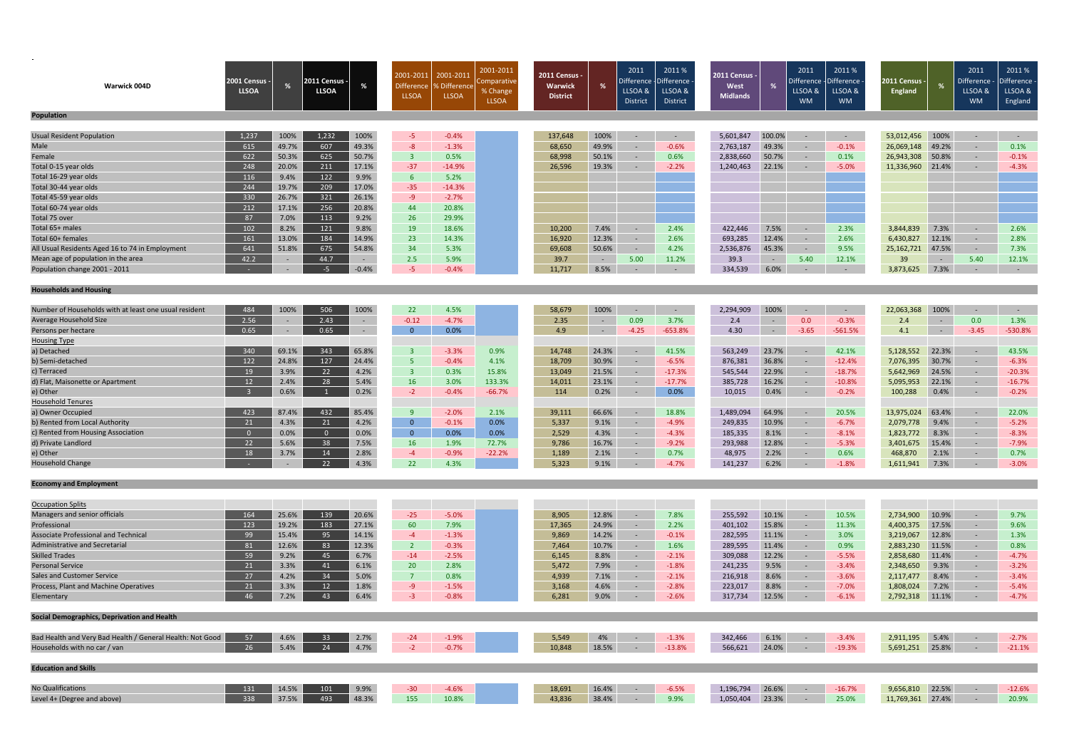| Warwick 004D<br><b>Population</b>                                    | <b>2001 Census -</b><br><b>LLSOA</b> | %              | :011 Census<br><b>LLSOA</b> | %               | 2001-2011<br><b>Difference</b><br><b>LLSOA</b> | 2001-2011<br>Difference ،<br><b>LLSOA</b> | 2001-2011<br>: omparative<br>% Change<br><b>LLSOA</b> | 2011 Census<br>Warwick<br><b>District</b> | %              | 2011<br>Difference<br>LLSOA &<br><b>District</b> | 2011 %<br><b>Difference</b><br>LLSOA &<br>District | 2011 Census<br>West<br><b>Midlands</b> | %              | 2011<br>Difference<br>LLSOA &<br><b>WM</b> | 2011%<br>)ifference<br>LLSOA &<br><b>WM</b> | 2011 Census ·<br>England            |                | 2011<br>Difference<br>LLSOA &<br><b>WM</b> | 2011%<br><b>Difference</b><br>LLSOA &<br>England |
|----------------------------------------------------------------------|--------------------------------------|----------------|-----------------------------|-----------------|------------------------------------------------|-------------------------------------------|-------------------------------------------------------|-------------------------------------------|----------------|--------------------------------------------------|----------------------------------------------------|----------------------------------------|----------------|--------------------------------------------|---------------------------------------------|-------------------------------------|----------------|--------------------------------------------|--------------------------------------------------|
|                                                                      |                                      |                |                             |                 |                                                |                                           |                                                       |                                           |                |                                                  |                                                    |                                        |                |                                            |                                             |                                     |                |                                            |                                                  |
| <b>Usual Resident Population</b>                                     | 1,237                                | 100%           | 1,232                       | 100%            | -5                                             | $-0.4%$                                   |                                                       | 137,648                                   | 100%           | $\sim$                                           | $\sim$                                             | 5,601,847                              | 100.0%         | $\sim$                                     | $\sim$ $-$                                  | 53,012,456                          | 100%           | $\sim$                                     | $\sim$ $-$                                       |
| Male                                                                 | 615                                  | 49.7%          | 607                         | 49.3%           | $-8$                                           | $-1.3%$                                   |                                                       | 68,650                                    | 49.9%          | $\sim$                                           | $-0.6%$                                            | 2,763,187                              | 49.3%          | $\sim$                                     | $-0.1%$                                     | 26,069,148                          | 49.2%          | $\sim$                                     | 0.1%                                             |
| Female                                                               | 622                                  | 50.3%          | 625                         | 50.7%           | $\overline{3}$                                 | 0.5%                                      |                                                       | 68,998                                    | 50.1%          | $\sim$                                           | 0.6%                                               | 2,838,660                              | 50.7%          | $\sim$                                     | 0.1%                                        | 26,943,308                          | 50.8%          | $\sim$                                     | $-0.1%$                                          |
| Total 0-15 year olds                                                 | 248                                  | 20.0%          | 211                         | 17.1%           | $-37$                                          | $-14.9%$                                  |                                                       | 26,596                                    | 19.3%          |                                                  | $-2.2%$                                            | 1,240,463                              | 22.1%          |                                            | $-5.0%$                                     | 11,336,960                          | 21.4%          | $\sim$                                     | $-4.3%$                                          |
| Total 16-29 year olds                                                | 116                                  | 9.4%           | 122                         | 9.9%            | $6^{\circ}$                                    | 5.2%                                      |                                                       |                                           |                |                                                  |                                                    |                                        |                |                                            |                                             |                                     |                |                                            |                                                  |
| Total 30-44 year olds                                                | 244                                  | 19.7%          | 209                         | 17.0%           | $-35$                                          | $-14.3%$                                  |                                                       |                                           |                |                                                  |                                                    |                                        |                |                                            |                                             |                                     |                |                                            |                                                  |
| Total 45-59 year olds                                                | 330                                  | 26.7%          | 321                         | 26.1%           | $-9$                                           | $-2.7%$                                   |                                                       |                                           |                |                                                  |                                                    |                                        |                |                                            |                                             |                                     |                |                                            |                                                  |
| Total 60-74 year olds                                                | 212                                  | 17.1%          | 256                         | 20.8%           | 44                                             | 20.8%                                     |                                                       |                                           |                |                                                  |                                                    |                                        |                |                                            |                                             |                                     |                |                                            |                                                  |
| Total 75 over                                                        | 87                                   | 7.0%           | 113                         | 9.2%            | 26                                             | 29.9%                                     |                                                       |                                           |                |                                                  |                                                    |                                        |                |                                            |                                             |                                     |                |                                            |                                                  |
| Total 65+ males                                                      | 102                                  | 8.2%           | 121                         | 9.8%            | 19                                             | 18.6%                                     |                                                       | 10,200                                    | 7.4%           | $\sim$                                           | 2.4%                                               | 422,446                                | 7.5%           | $\sim$                                     | 2.3%                                        | 3,844,839                           | 7.3%           | $\sim$                                     | 2.6%                                             |
| Total 60+ females                                                    | 161                                  | 13.0%          | 184                         | 14.9%           | 23                                             | 14.3%                                     |                                                       | 16,920                                    | 12.3%          | $\sim$                                           | 2.6%                                               | 693,285                                | 12.4%          | $\sim$                                     | 2.6%                                        | 6,430,827                           | 12.1%          | $\sim$                                     | 2.8%                                             |
| All Usual Residents Aged 16 to 74 in Employment                      | 641                                  | 51.8%          | 675                         | 54.8%           | 34                                             | 5.3%                                      |                                                       | 69,608                                    | 50.6%          | $\sim$                                           | 4.2%                                               | 2,536,876                              | 45.3%          | $\sim$                                     | 9.5%                                        | 25,162,721                          | 47.5%          | $\sim$                                     | 7.3%                                             |
| Mean age of population in the area                                   | 42.2                                 |                | 44.7                        | $\sim$          | 2.5                                            | 5.9%                                      |                                                       | 39.7                                      | $\sim$ $ \sim$ | 5.00                                             | 11.2%                                              | 39.3                                   | $\sim$ $-$     | 5.40                                       | 12.1%                                       | 39                                  | $\sim$ $ \sim$ | 5.40                                       | 12.1%                                            |
| Population change 2001 - 2011                                        |                                      |                | $-5$                        | $-0.4%$         | $-5$                                           | $-0.4%$                                   |                                                       | 11,717                                    | 8.5%           |                                                  |                                                    | 334,539                                | 6.0%           |                                            | $\sim$                                      | 3,873,625                           | 7.3%           | $\sim$                                     | $\sim$ $-$                                       |
|                                                                      |                                      |                |                             |                 |                                                |                                           |                                                       |                                           |                |                                                  |                                                    |                                        |                |                                            |                                             |                                     |                |                                            |                                                  |
| <b>Households and Housing</b>                                        |                                      |                |                             |                 |                                                |                                           |                                                       |                                           |                |                                                  |                                                    |                                        |                |                                            |                                             |                                     |                |                                            |                                                  |
|                                                                      |                                      |                |                             |                 |                                                |                                           |                                                       |                                           |                |                                                  |                                                    |                                        |                |                                            |                                             |                                     |                |                                            |                                                  |
| Number of Households with at least one usual resident                | 484                                  | 100%           | 506                         | 100%            | 22                                             | 4.5%                                      |                                                       | 58,679                                    | 100%           | $\sim$                                           | $\sim$                                             | 2,294,909                              | 100%           | $\sim$                                     | $\sim$ $-$                                  | 22,063,368                          | 100%           | $\sim$                                     | $\sim$ $ \sim$                                   |
| Average Household Size                                               | 2.56                                 |                | 2.43                        | $\sim$          | $-0.12$                                        | $-4.7%$                                   |                                                       | 2.35                                      | $\sim$         | 0.09                                             | 3.7%                                               | 2.4                                    | $\sim$         | 0.0                                        | $-0.3%$                                     | 2.4                                 | $\sim$ $-$     | 0.0                                        | 1.3%                                             |
| Persons per hectare                                                  | 0.65                                 | $\sim$         | 0.65                        | $\sim$          | $\mathbf{0}$                                   | 0.0%                                      |                                                       | 4.9                                       | $\sim$         | $-4.25$                                          | $-653.8%$                                          | 4.30                                   | $\sim$         | $-3.65$                                    | $-561.5%$                                   | 4.1                                 | $\sim$ $-$     | $-3.45$                                    | $-530.8%$                                        |
| <b>Housing Type</b>                                                  |                                      |                |                             |                 |                                                |                                           |                                                       |                                           |                |                                                  |                                                    |                                        |                |                                            |                                             |                                     |                |                                            |                                                  |
| a) Detached                                                          | 340                                  | 69.1%          | 343                         | 65.8%           | $\overline{\mathbf{3}}$                        | $-3.3%$                                   | 0.9%                                                  | 14,748                                    | 24.3%          | $\sim$                                           | 41.5%                                              | 563,249                                | 23.7%          | $\sim$                                     | 42.1%                                       | 5,128,552                           | 22.3%          | $\sim$                                     | 43.5%                                            |
| b) Semi-detached                                                     | 122                                  | 24.8%          | 127                         | 24.4%           | -5                                             | $-0.4%$                                   | 4.1%                                                  | 18,709                                    | 30.9%          | $\sim$                                           | $-6.5%$                                            | 876,381                                | 36.8%          | $\sim$                                     | $-12.4%$                                    | 7,076,395                           | 30.7%          | $\sim$                                     | $-6.3%$                                          |
| c) Terraced                                                          | 19                                   | 3.9%           | 22                          | 4.2%            | $\overline{3}$                                 | 0.3%                                      | 15.8%                                                 | 13,049                                    | 21.5%          | $\sim$                                           | $-17.3%$                                           | 545,544                                | 22.9%          | $\sim$                                     | $-18.7%$                                    | 5,642,969                           | 24.5%          | $\sim$                                     | $-20.3%$                                         |
| d) Flat, Maisonette or Apartment                                     | 12                                   | 2.4%           | 28                          | 5.4%            | <b>16</b>                                      | 3.0%                                      | 133.3%                                                | 14,011                                    | 23.1%          | $\sim$                                           | $-17.7%$                                           | 385,728                                | 16.2%          | $\sim$                                     | $-10.8\%$                                   | 5,095,953                           | 22.1%          | $\sim$                                     | $-16.7%$                                         |
| e) Other                                                             |                                      | 0.6%           |                             | 0.2%            | $-2$                                           | $-0.4%$                                   | $-66.7%$                                              | 114                                       | 0.2%           | $\sim$                                           | 0.0%                                               | 10,015                                 | 0.4%           | $\sim$                                     | $-0.2%$                                     | 100,288                             | 0.4%           | $\sim$                                     | $-0.2%$                                          |
| Household Tenures                                                    |                                      |                |                             |                 |                                                |                                           |                                                       |                                           |                |                                                  |                                                    |                                        |                |                                            |                                             |                                     |                |                                            |                                                  |
| a) Owner Occupied                                                    | 423                                  | 87.4%          | 432                         | 85.4%           | 9                                              | $-2.0%$                                   | 2.1%                                                  | 39,111                                    | 66.6%          | $\sim$                                           | 18.8%                                              | 1,489,094                              | 64.9%          | $\sim$ $-$                                 | 20.5%                                       | 13,975,024                          | 63.4%          | $\sim$                                     | 22.0%                                            |
| b) Rented from Local Authority<br>c) Rented from Housing Association | 21<br>$\overline{0}$                 | 4.3%<br>0.0%   | 21<br>$\overline{0}$        | 4.2%<br>$0.0\%$ | $\overline{0}$<br>$\mathbf{0}$                 | $-0.1%$<br>0.0%                           | 0.0%<br>0.0%                                          | 5,337<br>2,529                            | 9.1%<br>4.3%   | $\overline{\phantom{a}}$<br>$\sim$               | $-4.9%$<br>$-4.3%$                                 | 249,835<br>185,335                     | 10.9%<br>8.1%  | $\sim$                                     | $-6.7%$<br>$-8.1%$                          | 2,079,778<br>1,823,772              | 9.4%<br>8.3%   | $\sim$<br>$\sim$                           | $-5.2%$<br>$-8.3%$                               |
| d) Private Landlord                                                  | 22                                   | 5.6%           | 38                          | 7.5%            | <b>16</b>                                      | 1.9%                                      | 72.7%                                                 | 9,786                                     | 16.7%          | $\sim$                                           | $-9.2%$                                            | 293,988                                | 12.8%          | $\sim$<br>$\sim$                           | $-5.3%$                                     | 3,401,675                           | 15.4%          | $\sim$                                     | $-7.9%$                                          |
| e) Other                                                             | 18                                   | 3.7%           | 14                          | 2.8%            | $-4$                                           | $-0.9%$                                   | $-22.2%$                                              | 1,189                                     | 2.1%           |                                                  | 0.7%                                               | 48,975                                 | 2.2%           |                                            | 0.6%                                        | 468,870                             | 2.1%           | $\sim$                                     | 0.7%                                             |
| <b>Household Change</b>                                              | <b>Contractor</b>                    | $\sim$         | $22$ 4.3%                   |                 | 22                                             | 4.3%                                      |                                                       | 5,323                                     | $9.1\%$        | <b>State State</b>                               | -4.7%                                              | 141,237                                | 6.2%           | <b>Contract</b>                            | $-1.8\%$                                    | 1,611,941 7.3%                      |                | $\sim$                                     | $-3.0%$                                          |
|                                                                      |                                      |                |                             |                 |                                                |                                           |                                                       |                                           |                |                                                  |                                                    |                                        |                |                                            |                                             |                                     |                |                                            |                                                  |
| <b>Economy and Employment</b>                                        |                                      |                |                             |                 |                                                |                                           |                                                       |                                           |                |                                                  |                                                    |                                        |                |                                            |                                             |                                     |                |                                            |                                                  |
|                                                                      |                                      |                |                             |                 |                                                |                                           |                                                       |                                           |                |                                                  |                                                    |                                        |                |                                            |                                             |                                     |                |                                            |                                                  |
| <b>Occupation Splits</b>                                             |                                      |                |                             |                 |                                                |                                           |                                                       |                                           |                |                                                  |                                                    |                                        |                |                                            |                                             |                                     |                |                                            |                                                  |
| Managers and senior officials                                        | 164                                  | 25.6%          | 139                         | 20.6%           | $-25$                                          | $-5.0%$                                   |                                                       | 8,905                                     | 12.8%          | $\sim$                                           | 7.8%                                               | 255,592                                | 10.1%          | $\sim$                                     | 10.5%                                       | 2,734,900                           | 10.9%          | $\sim$                                     | 9.7%                                             |
| Professional                                                         | 123                                  | 19.2%          | 183                         | 27.1%           | 60                                             | 7.9%                                      |                                                       | 17,365                                    | 24.9%          | $\sim$                                           | 2.2%                                               | 401,102                                | 15.8%          | $\sim$                                     | 11.3%                                       | 4,400,375                           | 17.5%          | $\sim$                                     | 9.6%                                             |
| Associate Professional and Technical                                 | 99                                   | 15.4%          | 95                          | 14.1%           | $-4$                                           | $-1.3%$                                   |                                                       | 9,869                                     | 14.2%          | $\sim$                                           | $-0.1%$                                            | 282,595                                | 11.1%          | $\sim$                                     | 3.0%                                        | 3,219,067                           | 12.8%          | $\sim$                                     | 1.3%                                             |
| Administrative and Secretarial                                       | 81                                   | 12.6%          | 83                          | 12.3%           | $\overline{2}$                                 | $-0.3%$                                   |                                                       | 7,464                                     | 10.7%          | $\sim$                                           | 1.6%                                               | 289,595                                | 11.4%          | $\sim$                                     | 0.9%                                        | 2,883,230                           | 11.5%          | $\sim$                                     | 0.8%                                             |
| <b>Skilled Trades</b>                                                | 59                                   | 9.2%           | 45                          | 6.7%            | $-14$                                          | $-2.5%$                                   |                                                       | 6,145                                     | 8.8%           | $\sim$ $-$                                       | $-2.1%$                                            | 309,088                                | 12.2%          | $\sim$ $-$                                 | $-5.5%$                                     | 2,858,680                           | 11.4%          | $\sim$                                     | $-4.7%$                                          |
| <b>Personal Service</b>                                              | 21                                   | 3.3%           | 41                          | 6.1%            | 20                                             | 2.8%                                      |                                                       | 5,472                                     | 7.9%           | $\sim$                                           | $-1.8%$                                            | 241,235                                | 9.5%           | $\sim$ $-$                                 | $-3.4%$                                     | 2,348,650                           | 9.3%           | $\sim$                                     | $-3.2%$                                          |
| <b>Sales and Customer Service</b>                                    | 27                                   | 4.2%           | 34                          | 5.0%            | $\overline{7}$                                 | 0.8%                                      |                                                       | 4,939                                     | 7.1%           | $\sim$                                           | $-2.1%$                                            | 216,918                                | 8.6%           | $\sim$                                     | $-3.6%$                                     | 2,117,477                           | 8.4%           | $\sim$                                     | $-3.4%$                                          |
| Process, Plant and Machine Operatives                                | 21                                   | 3.3%           | 12                          | 1.8%            | $-9$                                           | $-1.5%$                                   |                                                       | 3,168                                     | 4.6%           | $\sim$                                           | $-2.8%$                                            | 223,017                                | 8.8%           | $\sim$                                     | $-7.0%$                                     | 1,808,024                           | 7.2%           | $\sim$                                     | $-5.4%$                                          |
| Elementary                                                           | 46                                   | 7.2%           | 43                          | 6.4%            | $-3$                                           | $-0.8%$                                   |                                                       | 6,281                                     | 9.0%           | $\sim$                                           | $-2.6%$                                            | 317,734                                | 12.5%          | $\sim$ $-$                                 | $-6.1%$                                     | 2,792,318 11.1%                     |                | $\sim$                                     | $-4.7%$                                          |
|                                                                      |                                      |                |                             |                 |                                                |                                           |                                                       |                                           |                |                                                  |                                                    |                                        |                |                                            |                                             |                                     |                |                                            |                                                  |
| Social Demographics, Deprivation and Health                          |                                      |                |                             |                 |                                                |                                           |                                                       |                                           |                |                                                  |                                                    |                                        |                |                                            |                                             |                                     |                |                                            |                                                  |
| Bad Health and Very Bad Health / General Health: Not Good            | 57                                   | 4.6%           | 33                          | 2.7%            | $-24$                                          | $-1.9%$                                   |                                                       | 5,549                                     | 4%             | $\sim$                                           | $-1.3%$                                            | 342,466                                | 6.1%           | $\sim$ $-$                                 | $-3.4%$                                     | 2,911,195                           | 5.4%           | $\sim$ $-$                                 | $-2.7%$                                          |
| Households with no car / van                                         | 26                                   | 5.4%           | 24                          | 4.7%            | $-2$                                           | $-0.7%$                                   |                                                       | 10,848                                    | 18.5%          | $\sim$ $-$                                       | $-13.8%$                                           | 566,621                                | 24.0%          | $\sim$ $-$                                 | $-19.3%$                                    | 5,691,251 25.8%                     |                | $\sim$                                     | $-21.1%$                                         |
|                                                                      |                                      |                |                             |                 |                                                |                                           |                                                       |                                           |                |                                                  |                                                    |                                        |                |                                            |                                             |                                     |                |                                            |                                                  |
| <b>Education and Skills</b>                                          |                                      |                |                             |                 |                                                |                                           |                                                       |                                           |                |                                                  |                                                    |                                        |                |                                            |                                             |                                     |                |                                            |                                                  |
|                                                                      |                                      |                |                             |                 |                                                |                                           |                                                       |                                           |                |                                                  |                                                    |                                        |                |                                            |                                             |                                     |                |                                            |                                                  |
| No Qualifications<br>Level 4+ (Degree and above)                     | 131<br>338                           | 14.5%<br>37.5% | 101<br>493                  | 9.9%<br>48.3%   | $-30$<br>155                                   | $-4.6%$<br>10.8%                          |                                                       | 18,691<br>43,836                          | 16.4%<br>38.4% | $\sim$ $-$                                       | $-6.5%$<br>9.9%                                    | 1,196,794                              | 26.6%<br>23.3% | $\sim$ $-$<br>$\sim$ $-$                   | $-16.7%$<br>25.0%                           | 9,656,810 22.5%<br>11,769,361 27.4% |                | $\sim$ $^{-1}$<br>$\sim$ $^{-1}$           | $-12.6%$<br>20.9%                                |
|                                                                      |                                      |                |                             |                 |                                                |                                           |                                                       |                                           |                | $\sim$ $-$                                       |                                                    | 1,050,404                              |                |                                            |                                             |                                     |                |                                            |                                                  |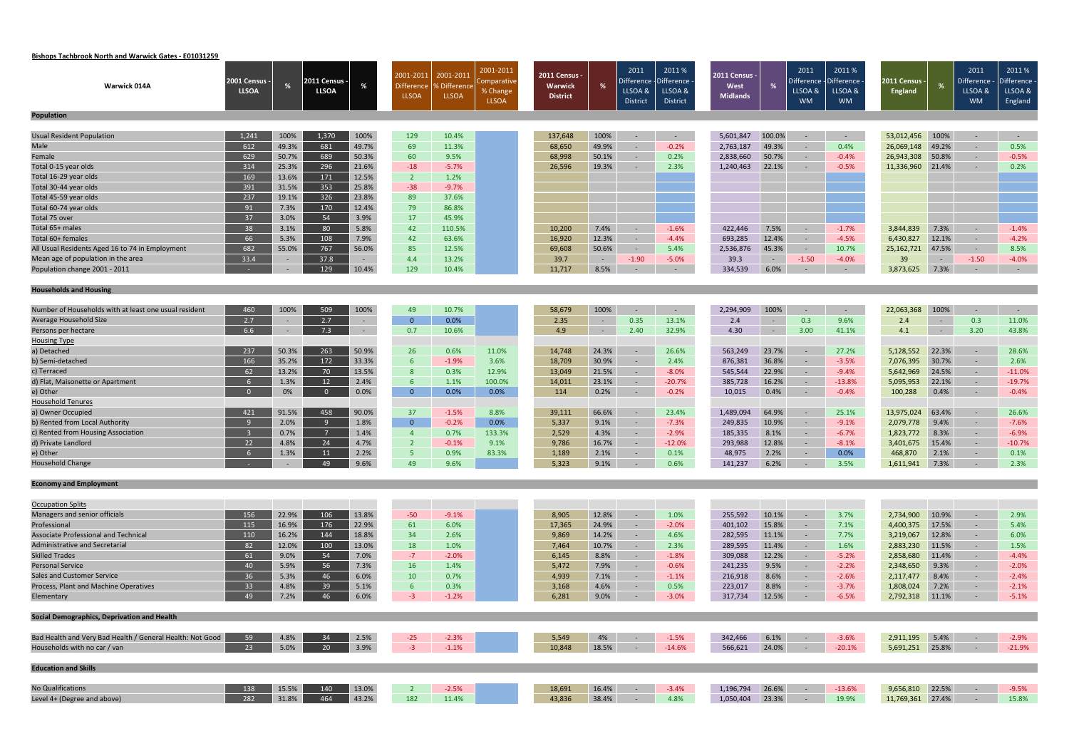# **Bishops Tachbrook North and Warwick Gates ‐ E01031259**

|                                                           | 2001 Census -           |                | <b>011 Census</b> |                | 2001-2011               | 2001-2011           | 2001-2011<br>Comparative | <b>2011 Census -</b> |        | 2011<br>Difference | 2011%<br><b>Difference</b> | 2011 Census - |                | 2011<br>Difference | 2011%<br>)ifference | 2011 Census ·    |                | 2011<br>Difference · | 2011%<br>Difference |
|-----------------------------------------------------------|-------------------------|----------------|-------------------|----------------|-------------------------|---------------------|--------------------------|----------------------|--------|--------------------|----------------------------|---------------|----------------|--------------------|---------------------|------------------|----------------|----------------------|---------------------|
| <b>Warwick 014A</b>                                       | <b>LLSOA</b>            | %              | <b>LLSOA</b>      | %              | <b>Difference</b>       | <b>% Difference</b> | % Change                 | Warwick              | %      | LLSOA &            | LLSOA &                    | West          |                | LLSOA &            | LLSOA &             | <b>England</b>   |                | LLSOA &              | LLSOA &             |
|                                                           |                         |                |                   |                | <b>LLSOA</b>            | <b>LLSOA</b>        | <b>LLSOA</b>             | <b>District</b>      |        | District           | District                   | Midlands      |                | <b>WM</b>          | <b>WM</b>           |                  |                | <b>WM</b>            | England             |
| <b>Population</b>                                         |                         |                |                   |                |                         |                     |                          |                      |        |                    |                            |               |                |                    |                     |                  |                |                      |                     |
|                                                           |                         |                |                   |                |                         |                     |                          |                      |        |                    |                            |               |                |                    |                     |                  |                |                      |                     |
| <b>Usual Resident Population</b>                          | 1,241                   | 100%           | 1,370             | 100%           | 129                     | 10.4%               |                          | 137,648              | 100%   | $\sim$             | $\sim$ $-$                 | 5,601,847     | 100.0%         | $\sim$             | $\sim$ $ \sim$      | 53,012,456       | 100%           | $\sim$               | $\sim$ $ \sim$      |
| Male                                                      | 612                     | 49.3%          | 681               | 49.7%          | 69                      | 11.3%               |                          | 68,650               | 49.9%  | $\sim$             | $-0.2%$                    | 2,763,187     | 49.3%          | $\sim$             | 0.4%                | 26,069,148       | 49.2%          | $\sim$               | 0.5%                |
| Female<br>Total 0-15 year olds                            | 629<br>314              | 50.7%          | 689<br>296        | 50.3%<br>21.6% | 60                      | 9.5%<br>$-5.7%$     |                          | 68,998<br>26,596     | 50.1%  | $\sim$             | 0.2%<br>2.3%               | 2,838,660     | 50.7%          | $\sim$ $-$         | $-0.4%$<br>$-0.5%$  | 26,943,308       | 50.8%          | $\sim$<br>$\sim$     | $-0.5%$<br>0.2%     |
| Total 16-29 year olds                                     | 169                     | 25.3%<br>13.6% | 171               | 12.5%          | $-18$<br>$\overline{2}$ | 1.2%                |                          |                      | 19.3%  | $\sim$             |                            | 1,240,463     | 22.1%          | $\sim$ $-$         |                     | 11,336,960       | 21.4%          |                      |                     |
| Total 30-44 year olds                                     | 391                     | 31.5%          | 353               | 25.8%          | $-38$                   | $-9.7%$             |                          |                      |        |                    |                            |               |                |                    |                     |                  |                |                      |                     |
| Total 45-59 year olds                                     | 237                     | 19.1%          | 326               | 23.8%          | 89                      | 37.6%               |                          |                      |        |                    |                            |               |                |                    |                     |                  |                |                      |                     |
| Total 60-74 year olds                                     | 91                      | 7.3%           | 170               | 12.4%          | 79                      | 86.8%               |                          |                      |        |                    |                            |               |                |                    |                     |                  |                |                      |                     |
| Total 75 over                                             | 37                      | 3.0%           | 54                | 3.9%           | 17                      | 45.9%               |                          |                      |        |                    |                            |               |                |                    |                     |                  |                |                      |                     |
| Total 65+ males                                           | 38                      | 3.1%           | 80                | 5.8%           | 42                      | 110.5%              |                          | 10,200               | 7.4%   | $\sim$             | $-1.6%$                    | 422,446       | 7.5%           | $\sim$ $-$         | $-1.7%$             | 3,844,839        | 7.3%           | $\sim$               | $-1.4%$             |
| Total 60+ females                                         | 66                      | 5.3%           | 108               | 7.9%           | 42                      | 63.6%               |                          | 16,920               | 12.3%  | $\sim$             | $-4.4%$                    | 693,285       | 12.4%          | $\sim$             | $-4.5%$             | 6,430,827        | 12.1%          | $\sim$               | $-4.2%$             |
| All Usual Residents Aged 16 to 74 in Employment           | 682                     | 55.0%          | 767               | 56.0%          | 85                      | 12.5%               |                          | 69,608               | 50.6%  | $\sim$             | 5.4%                       | 2,536,876     | 45.3%          | $\sim$ $-$         | 10.7%               | 25,162,721       | 47.5%          | $\sim$               | 8.5%                |
| Mean age of population in the area                        | 33.4                    | $\sim$         | 37.8              | $\sim$         | 4.4                     | 13.2%               |                          | 39.7                 | $\sim$ | $-1.90$            | $-5.0%$                    | 39.3          | $\sim$ $-$     | $-1.50$            | $-4.0%$             | 39               | $\sim$         | $-1.50$              | $-4.0%$             |
| Population change 2001 - 2011                             |                         | $\sim$         | 129               | 10.4%          | 129                     | 10.4%               |                          | 11,717               | 8.5%   | $\sim$             | $\sim$                     | 334,539       | 6.0%           | $\sim$             | $\sim$              | 3,873,625        | 7.3%           | $\sim$               | $\sim$ $-$          |
|                                                           |                         |                |                   |                |                         |                     |                          |                      |        |                    |                            |               |                |                    |                     |                  |                |                      |                     |
| <b>Households and Housing</b>                             |                         |                |                   |                |                         |                     |                          |                      |        |                    |                            |               |                |                    |                     |                  |                |                      |                     |
| Number of Households with at least one usual resident     | 460                     | 100%           | 509               | 100%           | 49                      | 10.7%               |                          | 58,679               | 100%   | $\sim$             | $\sim$                     | 2,294,909     | 100%           | $\sim$             | $\sim$ $-$          | 22,063,368       | 100%           | $\sim$               | $\sim$ $-$          |
| Average Household Size                                    | 2.7                     |                | 2.7               | $\sim$         | $\overline{0}$          | 0.0%                |                          | 2.35                 | $\sim$ | 0.35               | 13.1%                      | 2.4           | $\sim$         | 0.3                | 9.6%                | 2.4              | $\sim$ $-$     | 0.3                  | 11.0%               |
| Persons per hectare                                       | 6.6                     | $\sim$         | 7.3               | $\sim$         | 0.7                     | 10.6%               |                          | 4.9                  | $\sim$ | 2.40               | 32.9%                      | 4.30          | $\sim$ $ \sim$ | 3.00               | 41.1%               | 4.1              | $\sim 10^{-1}$ | 3.20                 | 43.8%               |
| <b>Housing Type</b>                                       |                         |                |                   |                |                         |                     |                          |                      |        |                    |                            |               |                |                    |                     |                  |                |                      |                     |
| a) Detached                                               | 237                     | 50.3%          | 263               | 50.9%          | 26                      | 0.6%                | 11.0%                    | 14,748               | 24.3%  | $\sim$             | 26.6%                      | 563,249       | 23.7%          | $\sim$             | 27.2%               | 5,128,552        | 22.3%          | $\sim$               | 28.6%               |
| b) Semi-detached                                          | 166                     | 35.2%          | 172               | 33.3%          | $6^{\circ}$             | $-1.9%$             | 3.6%                     | 18,709               | 30.9%  | $\sim$             | 2.4%                       | 876,381       | 36.8%          | $\sim$             | $-3.5%$             | 7,076,395        | 30.7%          | $\sim$               | 2.6%                |
| c) Terraced                                               | 62                      | 13.2%          | 70                | 13.5%          | 8                       | 0.3%                | 12.9%                    | 13,049               | 21.5%  | $\sim$             | $-8.0%$                    | 545,544       | 22.9%          | $\sim$ $-$         | $-9.4%$             | 5,642,969        | 24.5%          | $\sim$               | $-11.0%$            |
| d) Flat, Maisonette or Apartment                          | 6                       | 1.3%           | 12                | 2.4%           | 6                       | 1.1%                | 100.0%                   | 14,011               | 23.1%  | $\sim$             | $-20.7%$                   | 385,728       | 16.2%          | $\sim$             | $-13.8%$            | 5,095,953        | 22.1%          | $\sim$               | $-19.7%$            |
| e) Other                                                  | $\overline{0}$          | 0%             | $\overline{0}$    | 0.0%           | $\overline{0}$          | 0.0%                | 0.0%                     | 114                  | 0.2%   | $\sim$             | $-0.2%$                    | 10,015        | 0.4%           | $\sim$ $-$         | $-0.4%$             | 100,288          | 0.4%           | $\sim$               | $-0.4%$             |
| <b>Household Tenures</b>                                  |                         |                |                   |                |                         |                     |                          |                      |        |                    |                            |               |                |                    |                     |                  |                |                      |                     |
| a) Owner Occupied                                         | 421                     | 91.5%          | 458               | 90.0%          | 37                      | $-1.5%$             | 8.8%                     | 39,111               | 66.6%  | $\sim$             | 23.4%                      | 1,489,094     | 64.9%          | $\sim$             | 25.1%               | 13,975,024       | 63.4%          | $\sim$               | 26.6%               |
| b) Rented from Local Authority                            | -9                      | 2.0%           | -9                | 1.8%           | $\overline{0}$          | $-0.2%$             | 0.0%                     | 5,337                | 9.1%   | $\sim$             | $-7.3%$                    | 249,835       | 10.9%          | $\sim$ $-$         | $-9.1%$             | 2,079,778        | 9.4%           | $\sim$               | $-7.6%$             |
| c) Rented from Housing Association                        | $\overline{\mathbf{3}}$ | 0.7%           |                   | 1.4%           | $\overline{4}$          | 0.7%                | 133.3%                   | 2,529                | 4.3%   | $\sim$             | $-2.9%$                    | 185,335       | 8.1%           | $\sim$ $-$         | $-6.7%$             | 1,823,772        | 8.3%           | $\sim$               | $-6.9%$             |
| d) Private Landlord                                       | 22                      | 4.8%           | 24                | 4.7%           | $\overline{2}$          | $-0.1%$             | 9.1%                     | 9,786                | 16.7%  | $\sim$             | $-12.0%$                   | 293,988       | 12.8%          | $\sim$ $-$         | $-8.1%$             | 3,401,675        | 15.4%          | $\sim$               | $-10.7%$            |
| e) Other                                                  | 6                       | 1.3%           | 11                | 2.2%           | 5 <sup>°</sup>          | 0.9%                | 83.3%                    | 1,189                | 2.1%   |                    | 0.1%                       | 48,975        | 2.2%           | $\sim$             | 0.0%                | 468,870          | 2.1%           | $\sim$               | 0.1%                |
| <b>Household Change</b>                                   |                         |                | $\overline{AQ}$   | 9.6%           | 49                      | $Q$ 6%              |                          | 5,323                | 9.1%   |                    | 0.6%                       | 141,237       | 6.2%           |                    | 3.5%                | 1,611,941 7.3%   |                | $\sim$ - 2.3%        |                     |
| <b>Economy and Employment</b>                             |                         |                |                   |                |                         |                     |                          |                      |        |                    |                            |               |                |                    |                     |                  |                |                      |                     |
|                                                           |                         |                |                   |                |                         |                     |                          |                      |        |                    |                            |               |                |                    |                     |                  |                |                      |                     |
| <b>Occupation Splits</b>                                  |                         |                |                   |                |                         |                     |                          |                      |        |                    |                            |               |                |                    |                     |                  |                |                      |                     |
| Managers and senior officials                             | 156                     | 22.9%          | 106               | 13.8%          | $-50$                   | $-9.1%$             |                          | 8,905                | 12.8%  | $\sim$             | 1.0%                       | 255,592       | 10.1%          | $\sim$             | 3.7%                | 2,734,900        | 10.9%          | $\sim$ $-$           | 2.9%                |
| Professional                                              | 115                     | 16.9%          | 176               | 22.9%          | 61                      | 6.0%                |                          | 17,365               | 24.9%  | $\sim$             | $-2.0%$                    | 401,102       | 15.8%          | $\sim$             | 7.1%                | 4,400,375        | 17.5%          | $\sim$               | 5.4%                |
| Associate Professional and Technical                      | 110                     | 16.2%          | 144               | 18.8%          | 34                      | 2.6%                |                          | 9,869                | 14.2%  | $\sim$             | 4.6%                       | 282,595       | 11.1%          | $\sim$             | 7.7%                | 3,219,067        | 12.8%          | $\sim$               | 6.0%                |
| Administrative and Secretarial                            | 82                      | 12.0%          | 100               | 13.0%          | 18                      | 1.0%                |                          | 7,464                | 10.7%  | $\sim$             | 2.3%                       | 289,595       | 11.4%          | $\sim$ $ \sim$     | 1.6%                | 2,883,230        | 11.5%          | $\sim$               | 1.5%                |
| <b>Skilled Trades</b>                                     | 61                      | 9.0%           | 54                | 7.0%           | $-7$                    | $-2.0%$             |                          | 6,145                | 8.8%   | $\sim$ $^{-1}$     | $-1.8%$                    | 309,088       | 12.2%          | $\sim$             | $-5.2%$             | 2,858,680        | 11.4%          | $\sim$               | $-4.4%$             |
| <b>Personal Service</b>                                   | 40                      | 5.9%           | 56                | 7.3%           | 16                      | 1.4%                |                          | 5,472                | 7.9%   | $\sim$ $^{-1}$     | $-0.6%$                    | 241,235       | 9.5%           | $\sim$             | $-2.2%$             | 2,348,650        | 9.3%           | $\sim$               | $-2.0%$             |
| <b>Sales and Customer Service</b>                         | 36                      | 5.3%           | 46                | 6.0%           | 10                      | 0.7%                |                          | 4,939                | 7.1%   | $\sim$             | $-1.1%$                    | 216,918       | 8.6%           | $\sim$             | $-2.6%$             | 2,117,477        | 8.4%           | $\sim$               | $-2.4%$             |
| Process, Plant and Machine Operatives                     | 33                      | 4.8%           | 39                | 5.1%           | 6 <sup>6</sup>          | 0.3%                |                          | 3,168                | 4.6%   | $\sim$             | 0.5%                       | 223,017       | 8.8%           | $\sim$             | $-3.7%$             | 1,808,024        | 7.2%           | $\sim$               | $-2.1%$             |
| Elementary                                                | 49                      | 7.2%           | 46                | 6.0%           | $-3$                    | $-1.2%$             |                          | 6,281                | 9.0%   | $\sim$ $-$         | $-3.0%$                    | 317,734       | 12.5%          | $\sim$ $-$         | $-6.5%$             | 2,792,318        | 11.1%          | $\sim$               | $-5.1%$             |
| Social Demographics, Deprivation and Health               |                         |                |                   |                |                         |                     |                          |                      |        |                    |                            |               |                |                    |                     |                  |                |                      |                     |
| Bad Health and Very Bad Health / General Health: Not Good | 59                      | 4.8%           | 34                | 2.5%           | $-25$                   | $-2.3%$             |                          | 5,549                | 4%     | $\sim$ $-$         | $-1.5%$                    | 342,466       | 6.1%           | $\sim$ $ \sim$     | $-3.6%$             | 2,911,195 5.4%   |                | $\sim$ $-$           | $-2.9%$             |
| Households with no car / van                              | 23                      | 5.0%           | 20                | 3.9%           | $-3$                    | $-1.1%$             |                          | 10,848               | 18.5%  | $\sim$             | $-14.6%$                   | 566,621       | 24.0%          | $\sim$ $-$         | $-20.1%$            | 5,691,251 25.8%  |                | $\sim$               | $-21.9%$            |
|                                                           |                         |                |                   |                |                         |                     |                          |                      |        |                    |                            |               |                |                    |                     |                  |                |                      |                     |
| <b>Education and Skills</b>                               |                         |                |                   |                |                         |                     |                          |                      |        |                    |                            |               |                |                    |                     |                  |                |                      |                     |
| <b>No Qualifications</b>                                  | 138                     | 15.5%          | 140               | 13.0%          | $\overline{2}$          | $-2.5%$             |                          | 18,691               | 16.4%  | $\sim$             | $-3.4%$                    | 1,196,794     | 26.6%          | $\sim$ $-$         | $-13.6%$            | 9,656,810        | 22.5%          | $\sim$               | $-9.5%$             |
| Level 4+ (Degree and above)                               | 282                     | 31.8%          | 464               | 43.2%          | 182                     | 11.4%               |                          | 43,836               | 38.4%  | $\sim$ $-$         | 4.8%                       | 1,050,404     | 23.3%          | $\sim$ $-$         | 19.9%               | 11,769,361 27.4% |                | $\sim$               | 15.8%               |
|                                                           |                         |                |                   |                |                         |                     |                          |                      |        |                    |                            |               |                |                    |                     |                  |                |                      |                     |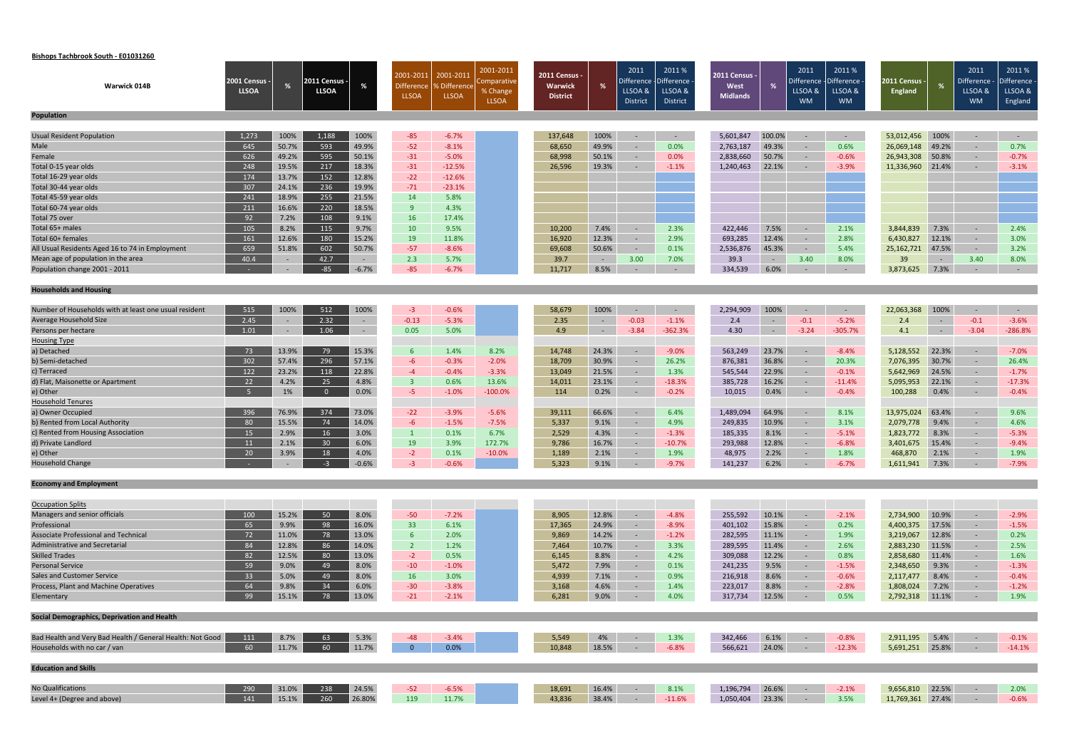# **Bishops Tachbrook South ‐ E01031260**

|                                                           |                               |               |                             |               | 2001-2011               | 2001-2011       | 2001-2011               | 2011 Census -   |                | 2011                  | 2011 %                 | 2011 Census -      |                | 2011                  | 2011%                 |                                 |                | 2011                    | 2011%                 |
|-----------------------------------------------------------|-------------------------------|---------------|-----------------------------|---------------|-------------------------|-----------------|-------------------------|-----------------|----------------|-----------------------|------------------------|--------------------|----------------|-----------------------|-----------------------|---------------------------------|----------------|-------------------------|-----------------------|
| Warwick 014B                                              | 2001 Census -<br><b>LLSOA</b> | %             | :011 Census<br><b>LLSOA</b> | %             | <b>Difference</b>       | % Difference    | Comparative<br>% Change | <b>Warwick</b>  | %              | Difference<br>LLSOA & | -Difference<br>LLSOA & | West               |                | Difference<br>LLSOA & | )ifference<br>LLSOA & | 2011 Census ·<br><b>England</b> |                | Difference ·<br>LLSOA & | Difference<br>LLSOA & |
|                                                           |                               |               |                             |               | <b>LLSOA</b>            | <b>LLSOA</b>    | <b>LLSOA</b>            | <b>District</b> |                | District              | District               | <b>Midlands</b>    |                | <b>WM</b>             | <b>WM</b>             |                                 |                | <b>WM</b>               | England               |
| <b>Population</b>                                         |                               |               |                             |               |                         |                 |                         |                 |                |                       |                        |                    |                |                       |                       |                                 |                |                         |                       |
|                                                           |                               |               |                             |               |                         |                 |                         |                 |                |                       |                        |                    |                |                       |                       |                                 |                |                         |                       |
| <b>Usual Resident Population</b>                          | 1,273                         | 100%          | 1,188                       | 100%          | $-85$                   | $-6.7%$         |                         | 137,648         | 100%           | $\sim$                | $\sim$ $ \sim$         | 5,601,847          | 100.0%         | $\sim$                | $\sim 100$            | 53,012,456                      | 100%           | $\sim$                  | $\sim 100$            |
| Male                                                      | 645                           | 50.7%         | 593                         | 49.9%         | $-52$                   | $-8.1%$         |                         | 68,650          | 49.9%          | $\sim$                | 0.0%                   | 2,763,187          | 49.3%          | $\sim$                | 0.6%                  | 26,069,148                      | 49.2%          | $\sim$                  | 0.7%                  |
| Female                                                    | 626                           | 49.2%         | 595                         | 50.1%         | $-31$                   | $-5.0%$         |                         | 68,998          | 50.1%          | $\sim$                | $0.0\%$                | 2,838,660          | 50.7%          | $\sim$                | $-0.6%$               | 26,943,308                      | 50.8%          | $\sim$                  | $-0.7%$               |
| Total 0-15 year olds                                      | 248                           | 19.5%         | 217                         | 18.3%         | $-31$                   | $-12.5%$        |                         | 26,596          | 19.3%          | $\sim$                | $-1.1%$                | 1,240,463          | 22.1%          | $\sim$                | $-3.9%$               | 11,336,960                      | 21.4%          | $\sim$                  | $-3.1%$               |
| Total 16-29 year olds                                     | 174                           | 13.7%         | 152                         | 12.8%         | $-22$                   | $-12.6%$        |                         |                 |                |                       |                        |                    |                |                       |                       |                                 |                |                         |                       |
| Total 30-44 year olds                                     | 307                           | 24.1%         | 236                         | 19.9%         | $-71$                   | $-23.1%$        |                         |                 |                |                       |                        |                    |                |                       |                       |                                 |                |                         |                       |
| Total 45-59 year olds                                     | 241                           | 18.9%         | 255                         | 21.5%         | 14                      | 5.8%            |                         |                 |                |                       |                        |                    |                |                       |                       |                                 |                |                         |                       |
| Total 60-74 year olds                                     | 211                           | 16.6%         | 220                         | 18.5%         | 9                       | 4.3%            |                         |                 |                |                       |                        |                    |                |                       |                       |                                 |                |                         |                       |
| Total 75 over                                             | 92                            | 7.2%          | 108                         | 9.1%          | <b>16</b>               | 17.4%           |                         |                 |                |                       |                        |                    |                |                       |                       |                                 |                |                         |                       |
| Total 65+ males                                           | 105                           | 8.2%          | 115                         | 9.7%          | 10                      | 9.5%            |                         | 10,200          | 7.4%           | $\sim$                | 2.3%                   | 422,446            | 7.5%           | $\sim$                | 2.1%                  | 3,844,839                       | 7.3%           | $\sim$                  | 2.4%                  |
| Total 60+ females                                         | 161                           | 12.6%         | 180                         | 15.2%         | 19                      | 11.8%           |                         | 16,920          | 12.3%          | $\sim$                | 2.9%                   | 693,285            | 12.4%          | $\sim$                | 2.8%                  | 6,430,827                       | 12.1%          | $\sim$                  | 3.0%                  |
| All Usual Residents Aged 16 to 74 in Employment           | 659                           | 51.8%         | 602                         | 50.7%         | $-57$                   | $-8.6%$         |                         | 69,608          | 50.6%          | $\sim$                | 0.1%                   | 2,536,876          | 45.3%          | $\sim$                | 5.4%                  | 25,162,721                      | 47.5%          | $\sim$                  | 3.2%                  |
| Mean age of population in the area                        | 40.4                          | $\sim$        | 42.7                        | $\sim$        | 2.3                     | 5.7%            |                         | 39.7            | $\sim$ $ \sim$ | 3.00                  | 7.0%                   | 39.3               | $\sim$         | 3.40                  | 8.0%                  | 39                              | $\sim$ $ \sim$ | 3.40                    | 8.0%                  |
| Population change 2001 - 2011                             |                               | $\sim$        | $-85$                       | $-6.7%$       | $-85$                   | $-6.7%$         |                         | 11,717          | 8.5%           | $\sim$                | $\sim$                 | 334,539            | 6.0%           | $\sim$                | $\sim$                | 3,873,625                       | 7.3%           | $\sim$                  | $\sim$ $-$            |
| <b>Households and Housing</b>                             |                               |               |                             |               |                         |                 |                         |                 |                |                       |                        |                    |                |                       |                       |                                 |                |                         |                       |
|                                                           |                               |               |                             |               |                         |                 |                         |                 |                |                       |                        |                    |                |                       |                       |                                 |                |                         |                       |
| Number of Households with at least one usual resident     | 515                           | 100%          | 512                         | 100%          | $-3$                    | $-0.6%$         |                         | 58,679          | 100%           | $\sim$                | $\sim$                 | 2,294,909          | 100%           |                       | $\sim$ $-$            | 22,063,368                      | 100%           | $\sim$                  | $\sim$ $-$            |
| Average Household Size                                    | 2.45                          |               | 2.32                        | $\sim$        | $-0.13$                 | $-5.3%$         |                         | 2.35            | $\sim$         | $-0.03$               | $-1.1%$                | 2.4                | $\sim$         | $-0.1$                | $-5.2%$               | 2.4                             | $\sim$ $ \sim$ | $-0.1$                  | $-3.6%$               |
| Persons per hectare                                       | 1.01                          | $\sim$        | 1.06                        | $\sim$        | 0.05                    | 5.0%            |                         | 4.9             | ÷              | $-3.84$               | $-362.3%$              | 4.30               | $\sim$ $ \sim$ | $-3.24$               | $-305.7%$             | 4.1                             | $\sim 100$     | $-3.04$                 | $-286.8%$             |
| <b>Housing Type</b>                                       |                               |               |                             |               |                         |                 |                         |                 |                |                       |                        |                    |                |                       |                       |                                 |                |                         |                       |
| a) Detached                                               | 73                            | 13.9%         | 79                          | 15.3%         | $6^{\circ}$             | 1.4%            | 8.2%                    | 14,748          | 24.3%          | $\sim$                | $-9.0%$                | 563,249            | 23.7%          | $\sim$                | $-8.4%$               | 5,128,552                       | 22.3%          | $\sim$                  | $-7.0%$               |
| b) Semi-detached                                          | 302                           | 57.4%         | 296                         | 57.1%         | $-6$                    | $-0.3%$         | $-2.0%$                 | 18,709          | 30.9%          | $\sim$                | 26.2%                  | 876,381            | 36.8%          | $\sim$                | 20.3%                 | 7,076,395                       | 30.7%          | $\sim$                  | 26.4%                 |
| c) Terraced                                               | 122                           | 23.2%         | 118                         | 22.8%         | $-4$                    | $-0.4%$         | $-3.3%$                 | 13,049          | 21.5%          | $\sim$                | 1.3%                   | 545,544            | 22.9%          | $\sim$                | $-0.1%$               | 5,642,969                       | 24.5%          | $\sim$                  | $-1.7%$               |
| d) Flat, Maisonette or Apartment                          | 22                            | 4.2%          | 25                          | 4.8%          | $\overline{\mathbf{3}}$ | 0.6%            | 13.6%                   | 14,011          | 23.1%          | $\sim$                | $-18.3%$               | 385,728            | 16.2%          | $\sim$                | $-11.4\%$             | 5,095,953                       | 22.1%          | $\sim$                  | $-17.3%$              |
| e) Other                                                  | - 5                           | 1%            | $\overline{0}$              | 0.0%          | $-5$                    | $-1.0%$         | $-100.0%$               | 114             | 0.2%           | $\sim$                | $-0.2%$                | 10,015             | 0.4%           | $\sim$                | $-0.4%$               | 100,288                         | 0.4%           | $\sim$                  | $-0.4%$               |
| <b>Household Tenures</b>                                  |                               |               |                             |               |                         |                 |                         |                 |                |                       |                        |                    |                |                       |                       |                                 |                |                         |                       |
| a) Owner Occupied<br>b) Rented from Local Authority       | 396                           | 76.9%         | 374                         | 73.0%         | $-22$                   | $-3.9%$         | $-5.6%$                 | 39,111          | 66.6%          | $\sim$                | 6.4%                   | 1,489,094          | 64.9%          | $\sim$                | 8.1%                  | 13,975,024                      | 63.4%          | $\sim$                  | 9.6%                  |
| c) Rented from Housing Association                        | 80<br>15                      | 15.5%<br>2.9% | 74<br>16                    | 14.0%<br>3.0% | $-6$<br>$\vert 1 \vert$ | $-1.5%$<br>0.1% | $-7.5%$<br>6.7%         | 5,337           | 9.1%           | $\sim$                | 4.9%<br>$-1.3%$        | 249,835            | 10.9%<br>8.1%  | $\sim$                | 3.1%<br>$-5.1%$       | 2,079,778                       | 9.4%           | $\sim$ $-$              | 4.6%<br>$-5.3%$       |
| d) Private Landlord                                       | 11                            | 2.1%          | 30 <sup>°</sup>             | 6.0%          | 19                      | 3.9%            | 172.7%                  | 2,529<br>9,786  | 4.3%<br>16.7%  | $\sim$<br>$\sim$      | $-10.7%$               | 185,335<br>293,988 | 12.8%          | $\sim$<br>$\sim$      | $-6.8%$               | 1,823,772<br>3,401,675          | 8.3%<br>15.4%  | $\sim$                  | $-9.4%$               |
| e) Other                                                  | 20                            | 3.9%          | 18                          | 4.0%          | $-2$                    | 0.1%            | $-10.0%$                | 1,189           | 2.1%           |                       | 1.9%                   | 48,975             | 2.2%           | $\sim$                | 1.8%                  | 468,870                         | 2.1%           | $\sim$<br>$\sim$        | 1.9%                  |
| <b>Household Change</b>                                   |                               |               | $-3$                        | $-0.6%$       | -2.                     | $-0.6%$         |                         | 5,323           | 9.1%           |                       | $-9.7%$                | 141,237            | 6.2%           |                       | $-6.7%$               | 1,611,941 7.3%                  |                |                         | $-7.9%$               |
|                                                           |                               |               |                             |               |                         |                 |                         |                 |                |                       |                        |                    |                |                       |                       |                                 |                |                         |                       |
| <b>Economy and Employment</b>                             |                               |               |                             |               |                         |                 |                         |                 |                |                       |                        |                    |                |                       |                       |                                 |                |                         |                       |
| <b>Occupation Splits</b>                                  |                               |               |                             |               |                         |                 |                         |                 |                |                       |                        |                    |                |                       |                       |                                 |                |                         |                       |
| Managers and senior officials                             | 100                           | 15.2%         | 50                          | 8.0%          | $-50$                   | $-7.2%$         |                         | 8,905           | 12.8%          | $\sim$                | $-4.8%$                | 255,592            | 10.1%          | $\sim$                | $-2.1%$               | 2,734,900                       | 10.9%          | $\sim$                  | $-2.9%$               |
| Professional                                              | 65                            | 9.9%          | 98                          | 16.0%         | 33                      | 6.1%            |                         | 17,365          | 24.9%          | $\sim$                | $-8.9%$                | 401,102            | 15.8%          | $\sim$                | 0.2%                  | 4,400,375                       | 17.5%          | $\sim$                  | $-1.5%$               |
| <b>Associate Professional and Technical</b>               | 72                            | 11.0%         | 78                          | 13.0%         | 6 <sup>1</sup>          | 2.0%            |                         | 9,869           | 14.2%          | $\sim$                | $-1.2%$                | 282,595            | 11.1%          | $\sim$                | 1.9%                  | 3,219,067                       | 12.8%          | $\sim$                  | 0.2%                  |
| Administrative and Secretarial                            | 84                            | 12.8%         | 86                          | 14.0%         | $\overline{2}$          | 1.2%            |                         | 7,464           | 10.7%          | $\sim$ $-$            | 3.3%                   | 289,595            | 11.4%          | $\sim$ $ \sim$        | 2.6%                  | 2,883,230                       | 11.5%          | $\sim$                  | 2.5%                  |
| <b>Skilled Trades</b>                                     | 82                            | 12.5%         | 80                          | 13.0%         | $-2$                    | 0.5%            |                         | 6,145           | 8.8%           | $\sim$                | 4.2%                   | 309,088            | 12.2%          | $\sim$                | 0.8%                  | 2,858,680                       | 11.4%          | $\sim$                  | 1.6%                  |
| <b>Personal Service</b>                                   | 59                            | 9.0%          | 49                          | 8.0%          | $-10$                   | $-1.0%$         |                         | 5,472           | 7.9%           | $\sim$                | 0.1%                   | 241,235            | 9.5%           | $\sim$                | $-1.5%$               | 2,348,650                       | 9.3%           | $\sim$                  | $-1.3%$               |
| <b>Sales and Customer Service</b>                         | 33                            | 5.0%          | 49                          | 8.0%          | <b>16</b>               | 3.0%            |                         | 4,939           | 7.1%           | $\sim$                | 0.9%                   | 216,918            | 8.6%           | $\sim$                | $-0.6%$               | 2,117,477                       | 8.4%           | $\sim$                  | $-0.4%$               |
| Process, Plant and Machine Operatives                     | 64                            | 9.8%          | 34                          | 6.0%          | $-30$                   | $-3.8%$         |                         | 3,168           | 4.6%           | $\sim$                | 1.4%                   | 223,017            | 8.8%           | $\sim$                | $-2.8%$               | 1,808,024                       | 7.2%           | $\sim$                  | $-1.2%$               |
| Elementary                                                | 99                            | 15.1%         | 78                          | 13.0%         | $-21$                   | $-2.1%$         |                         | 6,281           | 9.0%           | $\sim$ $-$            | 4.0%                   | 317,734            | 12.5%          | $\sim$ $-$            | 0.5%                  | 2,792,318                       | 11.1%          | $\sim$ $-$              | 1.9%                  |
|                                                           |                               |               |                             |               |                         |                 |                         |                 |                |                       |                        |                    |                |                       |                       |                                 |                |                         |                       |
| Social Demographics, Deprivation and Health               |                               |               |                             |               |                         |                 |                         |                 |                |                       |                        |                    |                |                       |                       |                                 |                |                         |                       |
| Bad Health and Very Bad Health / General Health: Not Good | 111                           | 8.7%          | 63                          | 5.3%          | $-48$                   | $-3.4%$         |                         | 5,549           | 4%             | $\sim$ $-$            | 1.3%                   | 342,466            | 6.1%           | $\sim$ $-$            | $-0.8%$               | 2,911,195 5.4%                  |                | $\sim$ $-$              | $-0.1%$               |
| Households with no car / van                              | 60                            | 11.7%         | 60                          | 11.7%         | $\overline{0}$          | 0.0%            |                         | 10,848          | 18.5%          | $\sim$                | $-6.8%$                | 566,621            | 24.0%          | $\sim$ $-$            | $-12.3%$              | 5,691,251 25.8%                 |                | $\sim$                  | $-14.1%$              |
| <b>Education and Skills</b>                               |                               |               |                             |               |                         |                 |                         |                 |                |                       |                        |                    |                |                       |                       |                                 |                |                         |                       |
|                                                           |                               |               |                             |               |                         |                 |                         |                 |                |                       |                        |                    |                |                       |                       |                                 |                |                         |                       |
| No Qualifications                                         | 290                           | 31.0%         | 238                         | 24.5%         | $-52$                   | $-6.5%$         |                         | 18,691          | 16.4%          | $\sim$                | 8.1%                   | 1,196,794          | 26.6%          | $\sim$                | $-2.1%$               | 9,656,810                       | 22.5%          | $\sim$                  | 2.0%                  |
| Level 4+ (Degree and above)                               | 141                           | 15.1%         | 260                         | 26.80%        | 119                     | 11.7%           |                         | 43,836          | 38.4%          | $\sim$ $ \sim$        | $-11.6%$               | 1,050,404          | 23.3%          | $\sim$ $-$            | 3.5%                  | 11,769,361 27.4%                |                | $\sim$                  | $-0.6%$               |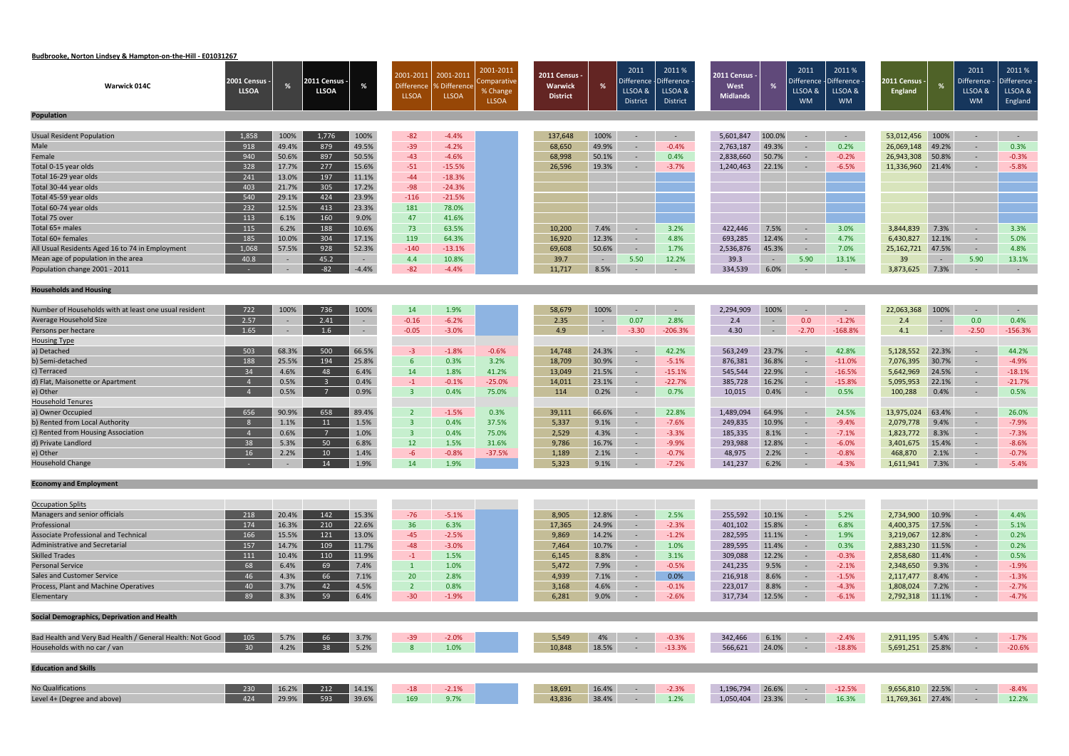# **Budbrooke, Norton Lindsey & Hampton‐on‐the‐Hill ‐ E01031267**

| <b>Warwick 014C</b>                                       | 2001 Census -<br><b>LLSOA</b> | %     | 2011 Census -<br><b>LLSOA</b> | %          | 2001-2011<br><b>Difference</b><br><b>LLSOA</b> | 2001-201<br>% Difference<br><b>LLSOA</b> | 2001-2011<br>omparative<br>% Change<br><b>LLSOA</b> | 2011 Census -<br>Warwick<br><b>District</b> | %              | 2011<br>LLSOA &<br><b>District</b> | 2011%<br>Difference - Difference<br>LLSOA &<br>District | <b>2011 Census -</b><br>West<br><b>Midlands</b> | %          | 2011<br>)ifference<br>LLSOA &<br><b>WM</b> | 2011%<br>Difference<br>LLSOA &<br><b>WM</b> | 2011 Census -<br><b>England</b> | %              | 2011<br>Difference - Difference<br>LLSOA &<br><b>WM</b> | 2011%<br>LLSOA &<br>England |
|-----------------------------------------------------------|-------------------------------|-------|-------------------------------|------------|------------------------------------------------|------------------------------------------|-----------------------------------------------------|---------------------------------------------|----------------|------------------------------------|---------------------------------------------------------|-------------------------------------------------|------------|--------------------------------------------|---------------------------------------------|---------------------------------|----------------|---------------------------------------------------------|-----------------------------|
| Population                                                |                               |       |                               |            |                                                |                                          |                                                     |                                             |                |                                    |                                                         |                                                 |            |                                            |                                             |                                 |                |                                                         |                             |
| Usual Resident Population                                 | 1,858                         | 100%  | 1,776                         | 100%       | $-82$                                          | $-4.4%$                                  |                                                     | 137,648                                     | 100%           | $\sim$                             | $\sim$                                                  | 5,601,847                                       | 100.0%     | $\sim$                                     | $\sim$ $-$                                  | 53,012,456                      | 100%           | $\sim$ $-$                                              | $\sim$ $-$                  |
| Male                                                      | 918                           | 49.4% | 879                           | 49.5%      | $-39$                                          | $-4.2%$                                  |                                                     | 68,650                                      | 49.9%          | $\sim$                             | $-0.4%$                                                 | 2,763,187                                       | 49.3%      |                                            | 0.2%                                        | 26,069,148                      | 49.2%          | $\sim$                                                  | 0.3%                        |
| Female                                                    | 940                           | 50.6% | 897                           | 50.5%      | $-43$                                          | $-4.6%$                                  |                                                     | 68,998                                      | 50.1%          | $\sim$                             | 0.4%                                                    | 2,838,660                                       | 50.7%      | $\sim$                                     | $-0.2%$                                     | 26,943,308                      | 50.8%          | $\sim$                                                  | $-0.3%$                     |
| Total 0-15 year olds                                      | 328                           | 17.7% | 277                           | 15.6%      | $-51$                                          | $-15.5%$                                 |                                                     | 26,596                                      | 19.3%          | $\sim$                             | $-3.7%$                                                 | 1,240,463                                       | 22.1%      | $\sim$                                     | $-6.5%$                                     | 11,336,960                      | 21.4%          | $\sim$                                                  | $-5.8%$                     |
| Total 16-29 year olds                                     | 241                           | 13.0% | 197                           | 11.1%      | $-44$                                          | $-18.3%$                                 |                                                     |                                             |                |                                    |                                                         |                                                 |            |                                            |                                             |                                 |                |                                                         |                             |
| Total 30-44 year olds                                     | 403                           | 21.7% | 305                           | 17.2%      | $-98$                                          | $-24.3%$                                 |                                                     |                                             |                |                                    |                                                         |                                                 |            |                                            |                                             |                                 |                |                                                         |                             |
| Total 45-59 year olds                                     | 540                           | 29.1% | 424                           | 23.9%      | $-116$                                         | $-21.5%$                                 |                                                     |                                             |                |                                    |                                                         |                                                 |            |                                            |                                             |                                 |                |                                                         |                             |
| Total 60-74 year olds                                     | 232                           | 12.5% | 413                           | 23.3%      | 181                                            | 78.0%                                    |                                                     |                                             |                |                                    |                                                         |                                                 |            |                                            |                                             |                                 |                |                                                         |                             |
| Total 75 over                                             | 113                           | 6.1%  | 160                           | 9.0%       | 47                                             | 41.6%                                    |                                                     |                                             |                |                                    |                                                         |                                                 |            |                                            |                                             |                                 |                |                                                         |                             |
| Total 65+ males                                           | 115                           | 6.2%  | 188                           | 10.6%      | 73                                             | 63.5%                                    |                                                     | 10,200                                      | 7.4%           | $\sim$                             | 3.2%                                                    | 422,446                                         | 7.5%       | $\sim$                                     | 3.0%                                        | 3,844,839                       | 7.3%           | $\sim$                                                  | 3.3%                        |
| Total 60+ females                                         | 185                           | 10.0% | 304                           | 17.1%      | 119                                            | 64.3%                                    |                                                     | 16,920                                      | 12.3%          | $\sim$                             | 4.8%                                                    | 693,285                                         | 12.4%      | $\sim$                                     | 4.7%                                        | 6,430,827                       | 12.1%          | $\sim$                                                  | 5.0%                        |
| All Usual Residents Aged 16 to 74 in Employment           | 1,068                         | 57.5% | 928                           | 52.3%      | $-140$                                         | $-13.1%$                                 |                                                     | 69,608                                      | 50.6%          | $\sim$                             | 1.7%                                                    | 2,536,876                                       | 45.3%      | $\sim$                                     | 7.0%                                        | 25, 162, 721                    | 47.5%          | $\sim$                                                  | 4.8%                        |
| Mean age of population in the area                        | 40.8                          |       | 45.2                          | $\sim$     | 4.4                                            | 10.8%                                    |                                                     | 39.7                                        | $\sim$ $ \sim$ | 5.50                               | 12.2%                                                   | 39.3                                            | $\sim$ $-$ | 5.90                                       | 13.1%                                       | 39                              | $\sim$ $ \sim$ | 5.90                                                    | 13.1%                       |
| Population change 2001 - 2011                             |                               |       | $-82$                         | $-4.4%$    | $-82$                                          | $-4.4%$                                  |                                                     | 11,717                                      | 8.5%           | $\sim$                             | $\sim$                                                  | 334,539                                         | 6.0%       | $\sim$                                     | $\sim$                                      | 3,873,625                       | 7.3%           | $\sim$                                                  | $\sim$ $-$                  |
|                                                           |                               |       |                               |            |                                                |                                          |                                                     |                                             |                |                                    |                                                         |                                                 |            |                                            |                                             |                                 |                |                                                         |                             |
| <b>Households and Housing</b>                             |                               |       |                               |            |                                                |                                          |                                                     |                                             |                |                                    |                                                         |                                                 |            |                                            |                                             |                                 |                |                                                         |                             |
|                                                           |                               |       |                               |            |                                                |                                          |                                                     |                                             |                |                                    |                                                         |                                                 |            |                                            |                                             |                                 |                |                                                         |                             |
| Number of Households with at least one usual resident     | 722                           | 100%  | 736                           | 100%       | 14                                             | 1.9%                                     |                                                     | 58,679                                      | 100%           | $\sim$                             | $\sim$                                                  | 2,294,909                                       | 100%       |                                            | $\sim$ $-$                                  | 22,063,368                      | 100%           | $\sim$                                                  | $\sim$                      |
| Average Household Size                                    | 2.57                          |       | 2.41                          | $\sim$     | $-0.16$                                        | $-6.2%$                                  |                                                     | 2.35                                        | $\sim$ $ \sim$ | 0.07                               | 2.8%                                                    | 2.4                                             | $\sim$     | 0.0                                        | $-1.2%$                                     | 2.4                             | $\sim$ $-$     | 0.0                                                     | 0.4%                        |
| Persons per hectare                                       | 1.65                          |       | 1.6                           | $\sim$ $-$ | $-0.05$                                        | $-3.0%$                                  |                                                     | 4.9                                         | $\sim$         | $-3.30$                            | $-206.3%$                                               | 4.30                                            | $\sim$ $-$ | $-2.70$                                    | $-168.8%$                                   | 4.1                             | $\sim$ $-$     | $-2.50$                                                 | $-156.3%$                   |
| <b>Housing Type</b>                                       |                               |       |                               |            |                                                |                                          |                                                     |                                             |                |                                    |                                                         |                                                 |            |                                            |                                             |                                 |                |                                                         |                             |
| a) Detached                                               | 503                           | 68.3% | 500                           | 66.5%      | $-3$                                           | $-1.8%$                                  | $-0.6%$                                             | 14,748                                      | 24.3%          | $\sim$                             | 42.2%                                                   | 563,249                                         | 23.7%      | $\sim$                                     | 42.8%                                       | 5,128,552                       | 22.3%          | $\sim$                                                  | 44.2%                       |
| b) Semi-detached                                          | 188                           | 25.5% | 194                           | 25.8%      | $6\overline{6}$                                | 0.3%                                     | 3.2%                                                | 18,709                                      | 30.9%          | $\sim$                             | $-5.1%$                                                 | 876,381                                         | 36.8%      | $\sim$ $-$                                 | $-11.0%$                                    | 7,076,395                       | 30.7%          | $\sim$                                                  | $-4.9%$                     |
| c) Terraced                                               | 34                            | 4.6%  | 48                            | 6.4%       | 14                                             | 1.8%                                     | 41.2%                                               | 13,049                                      | 21.5%          | $\sim$                             | $-15.1%$                                                | 545,544                                         | 22.9%      | $\sim$                                     | $-16.5%$                                    | 5,642,969                       | 24.5%          | $\sim$                                                  | $-18.1%$                    |
| d) Flat, Maisonette or Apartment                          | $\overline{4}$                | 0.5%  | $\overline{\mathbf{3}}$       | 0.4%       | $-1$                                           | $-0.1%$                                  | $-25.0%$                                            | 14,011                                      | 23.1%          | $\sim$                             | $-22.7%$                                                | 385,728                                         | 16.2%      | $\sim$                                     | $-15.8%$                                    | 5,095,953                       | 22.1%          | $\sim$                                                  | $-21.7%$                    |
| e) Other                                                  |                               | 0.5%  | $\overline{7}$                | 0.9%       | $\overline{3}$                                 | 0.4%                                     | 75.0%                                               | 114                                         | 0.2%           | $\sim$                             | 0.7%                                                    | 10,015                                          | 0.4%       | $\sim$                                     | 0.5%                                        | 100,288                         | 0.4%           | $\sim$                                                  | 0.5%                        |
| <b>Household Tenures</b>                                  |                               |       |                               |            |                                                |                                          |                                                     |                                             |                |                                    |                                                         |                                                 |            |                                            |                                             |                                 |                |                                                         |                             |
| a) Owner Occupied                                         | 656                           | 90.9% | 658                           | 89.4%      | $\overline{2}$                                 | $-1.5%$                                  | 0.3%                                                | 39,111                                      | 66.6%          | $\sim$                             | 22.8%                                                   | 1,489,094                                       | 64.9%      | $\sim$                                     | 24.5%                                       | 13,975,024                      | 63.4%          | $\sim$                                                  | 26.0%                       |
| b) Rented from Local Authority                            | - 8                           | 1.1%  | 11                            | 1.5%       | $\overline{3}$                                 | 0.4%                                     | 37.5%                                               | 5,337                                       | 9.1%           | $\sim$                             | $-7.6%$                                                 | 249,835                                         | 10.9%      | $\sim$                                     | $-9.4%$                                     | 2,079,778                       | 9.4%           | $\sim$                                                  | $-7.9%$                     |
| c) Rented from Housing Association                        | $\overline{4}$                | 0.6%  |                               | 1.0%       | $\overline{3}$                                 | 0.4%                                     | 75.0%                                               | 2,529                                       | 4.3%           | $\sim$                             | $-3.3%$                                                 | 185,335                                         | 8.1%       |                                            | $-7.1%$                                     | 1,823,772                       | 8.3%           | $\sim$                                                  | $-7.3%$                     |
| d) Private Landlord                                       | 38                            | 5.3%  | 50                            | 6.8%       | 12                                             | 1.5%                                     | 31.6%                                               | 9,786                                       | 16.7%          | $\sim$                             | $-9.9%$                                                 | 293,988                                         | 12.8%      | $\sim$                                     | $-6.0%$                                     | 3,401,675                       | 15.4%          | $\sim$                                                  | $-8.6%$                     |
| e) Other<br><b>Household Change</b>                       | 16                            | 2.2%  | 10 <sup>°</sup>               | 1.4%       | $-6$                                           | $-0.8%$                                  | $-37.5%$                                            | 1,189                                       | 2.1%           |                                    | $-0.7%$                                                 | 48,975                                          | 2.2%       |                                            | $-0.8%$                                     | 468,870                         | 2.1%           | $\sim$                                                  | $-0.7%$                     |
|                                                           |                               |       | 14 1.9%                       |            | 14                                             | 1.9%                                     |                                                     | 5,323                                       | 9.1%           | <b>Service Control</b>             | $-7.2%$                                                 | 141,237                                         | 6.2%       |                                            | $-4.3\%$                                    | 1,611,941 7.3%                  |                | $-5.4\%$                                                |                             |
| <b>Economy and Employment</b>                             |                               |       |                               |            |                                                |                                          |                                                     |                                             |                |                                    |                                                         |                                                 |            |                                            |                                             |                                 |                |                                                         |                             |
|                                                           |                               |       |                               |            |                                                |                                          |                                                     |                                             |                |                                    |                                                         |                                                 |            |                                            |                                             |                                 |                |                                                         |                             |
| <b>Occupation Splits</b>                                  |                               |       |                               |            |                                                |                                          |                                                     |                                             |                |                                    |                                                         |                                                 |            |                                            |                                             |                                 |                |                                                         |                             |
| Managers and senior officials                             | 218                           | 20.4% | 142                           | 15.3%      | $-76$                                          | $-5.1%$                                  |                                                     | 8,905                                       | 12.8%          | $\sim$                             | 2.5%                                                    | 255,592                                         | 10.1%      | $\sim$ $-$                                 | 5.2%                                        | 2,734,900                       | 10.9%          | $\sim$                                                  | 4.4%                        |
| Professional                                              | 174                           | 16.3% | 210                           | 22.6%      | 36                                             | 6.3%                                     |                                                     | 17,365                                      | 24.9%          | $\sim$                             | $-2.3%$                                                 | 401,102                                         | 15.8%      | $\sim$                                     | 6.8%                                        | 4,400,375                       | 17.5%          | $\sim$                                                  | 5.1%                        |
| Associate Professional and Technical                      | 166                           | 15.5% | 121                           | 13.0%      | $-45$                                          | $-2.5%$                                  |                                                     | 9,869                                       | 14.2%          | $\sim$                             | $-1.2%$                                                 | 282,595                                         | 11.1%      | $\sim$                                     | 1.9%                                        | 3,219,067                       | 12.8%          | $\sim$                                                  | 0.2%                        |
| <b>Administrative and Secretarial</b>                     | 157                           | 14.7% | 109                           | 11.7%      | $-48$                                          | $-3.0%$                                  |                                                     | 7,464                                       | 10.7%          | $\sim$ $-$                         | 1.0%                                                    | 289,595                                         | 11.4%      | $\sim$                                     | 0.3%                                        | 2,883,230                       | 11.5%          | $\sim$                                                  | 0.2%                        |
| <b>Skilled Trades</b>                                     | 111                           | 10.4% | 110                           | 11.9%      | $-1$                                           | 1.5%                                     |                                                     | 6,145                                       | 8.8%           | $\sim$                             | 3.1%                                                    | 309,088                                         | 12.2%      | $\sim$                                     | $-0.3%$                                     | 2,858,680                       | 11.4%          | $\sim$                                                  | 0.5%                        |
| <b>Personal Service</b>                                   | 68                            | 6.4%  | 69                            | 7.4%       | $\vert 1 \vert$                                | 1.0%                                     |                                                     | 5,472                                       | 7.9%           | $\sim$ $-$                         | $-0.5%$                                                 | 241,235                                         | 9.5%       | $\sim$ $ \sim$                             | $-2.1%$                                     | 2,348,650                       | 9.3%           | $\sim$                                                  | $-1.9%$                     |
| <b>Sales and Customer Service</b>                         | 46                            | 4.3%  | 66                            | 7.1%       | 20                                             | 2.8%                                     |                                                     | 4,939                                       | 7.1%           | $\sim$ $^{-1}$                     | 0.0%                                                    | 216,918                                         | 8.6%       | $\sim$                                     | $-1.5%$                                     | 2,117,477                       | 8.4%           | $\sim$                                                  | $-1.3%$                     |
| Process, Plant and Machine Operatives                     | 40                            | 3.7%  | 42                            | 4.5%       | $\overline{2}$                                 | 0.8%                                     |                                                     | 3,168                                       | 4.6%           | $\sim$                             | $-0.1%$                                                 | 223,017                                         | 8.8%       | $\sim$                                     | $-4.3%$                                     | 1,808,024                       | 7.2%           | $\sim$                                                  | $-2.7%$                     |
| Elementary                                                | 89                            | 8.3%  | 59                            | 6.4%       | $-30$                                          | $-1.9%$                                  |                                                     | 6,281                                       | 9.0%           | $\sim$                             | $-2.6%$                                                 | 317,734                                         | 12.5%      | $\sim$ $-$                                 | $-6.1%$                                     | 2,792,318 11.1%                 |                | $\sim$ $-$                                              | $-4.7%$                     |
|                                                           |                               |       |                               |            |                                                |                                          |                                                     |                                             |                |                                    |                                                         |                                                 |            |                                            |                                             |                                 |                |                                                         |                             |
| Social Demographics, Deprivation and Health               |                               |       |                               |            |                                                |                                          |                                                     |                                             |                |                                    |                                                         |                                                 |            |                                            |                                             |                                 |                |                                                         |                             |
| Bad Health and Very Bad Health / General Health: Not Good | 105                           | 5.7%  | 66                            | 3.7%       | $-39$                                          | $-2.0%$                                  |                                                     | 5,549                                       | 4%             | $\sim$                             | $-0.3%$                                                 | 342,466                                         | 6.1%       |                                            | $-2.4%$                                     | 2,911,195                       | 5.4%           | $\sim$                                                  | $-1.7%$                     |
| Households with no car / van                              | 30 <sup>°</sup>               | 4.2%  | 38                            | 5.2%       |                                                | 1.0%                                     |                                                     | 10,848                                      | 18.5%          | $\sim$                             | $-13.3%$                                                | 566,621                                         | 24.0%      | $\sim$                                     | $-18.8%$                                    | 5,691,251 25.8%                 |                | $\sim$                                                  | $-20.6%$                    |
|                                                           |                               |       |                               |            |                                                |                                          |                                                     |                                             |                |                                    |                                                         |                                                 |            |                                            |                                             |                                 |                |                                                         |                             |
| <b>Education and Skills</b>                               |                               |       |                               |            |                                                |                                          |                                                     |                                             |                |                                    |                                                         |                                                 |            |                                            |                                             |                                 |                |                                                         |                             |
| <b>No Qualifications</b>                                  | 230                           | 16.2% | 212                           | 14.1%      | $-18$                                          | $-2.1%$                                  |                                                     | 18,691                                      | 16.4%          | $\sim$ $-$                         | $-2.3%$                                                 | 1,196,794                                       | 26.6%      | $\sim$ $-$                                 | $-12.5%$                                    | 9,656,810                       | 22.5%          | $\sim$                                                  | $-8.4%$                     |
| Level 4+ (Degree and above)                               | 424                           | 29.9% | 593                           | 39.6%      | 169                                            | 9.7%                                     |                                                     | 43,836                                      | 38.4%          | $\sim$ $-$                         | 1.2%                                                    | 1,050,404                                       | 23.3%      | $\sim$                                     | 16.3%                                       | 11,769,361 27.4%                |                | $\sim$ $-$                                              | 12.2%                       |
|                                                           |                               |       |                               |            |                                                |                                          |                                                     |                                             |                |                                    |                                                         |                                                 |            |                                            |                                             |                                 |                |                                                         |                             |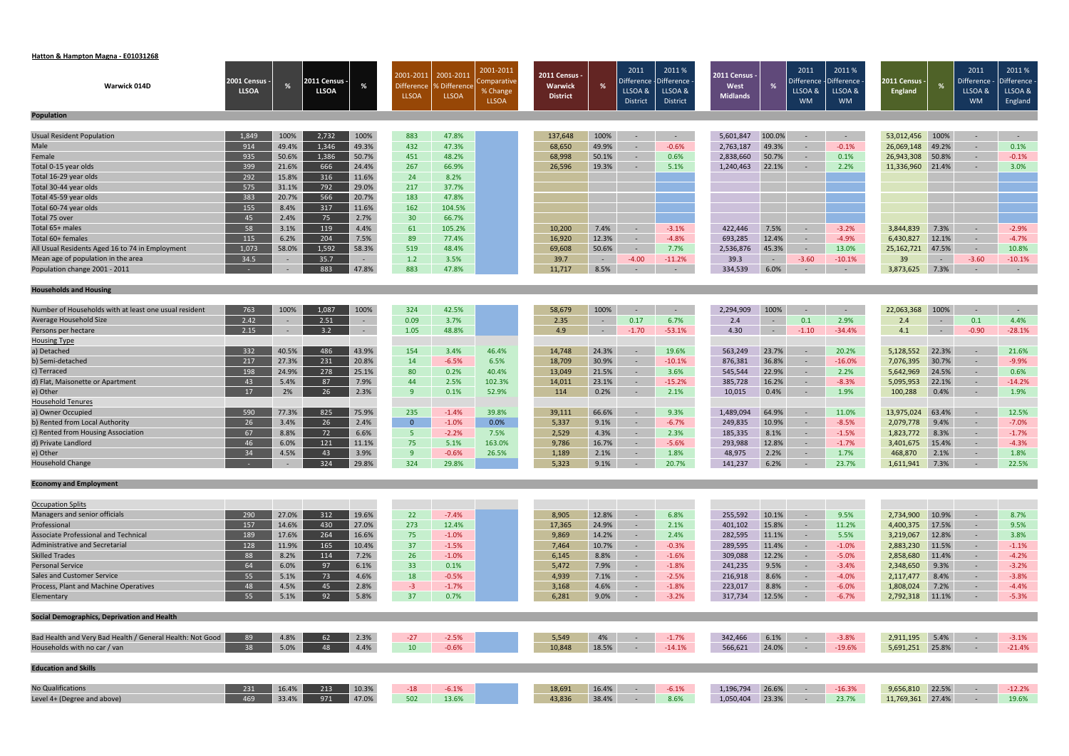#### **Hatton & Hampton Magna ‐ E01031268**

|                                                           |                               |               |                               |                      | 2001-2011         | 2001-2011           | 2001-2011               | <b>2011 Census -</b> |                | 2011                  | 2011%                        | 2011 Census       |                | 2011                  | 2011%                 |                               |                | 2011                         | 2011%                 |
|-----------------------------------------------------------|-------------------------------|---------------|-------------------------------|----------------------|-------------------|---------------------|-------------------------|----------------------|----------------|-----------------------|------------------------------|-------------------|----------------|-----------------------|-----------------------|-------------------------------|----------------|------------------------------|-----------------------|
| Warwick 014D                                              | 2001 Census -<br><b>LLSOA</b> |               | 2011 Census ·<br><b>LLSOA</b> | %                    | <b>Difference</b> | <b>6</b> Difference | Comparative<br>% Change | <b>Warwick</b>       | %              | Difference<br>LLSOA & | <b>Difference</b><br>LLSOA & | West              |                | Difference<br>LLSOA & | Difference<br>LLSOA & | 2011 Census<br><b>England</b> |                | <b>Difference</b><br>LLSOA & | Difference<br>LLSOA & |
|                                                           |                               |               |                               |                      | <b>LLSOA</b>      | LLSOA               | <b>LLSOA</b>            | <b>District</b>      |                | District              | District                     | <b>Midlands</b>   |                | <b>WM</b>             | <b>WM</b>             |                               |                | <b>WM</b>                    | England               |
| <b>Population</b>                                         |                               |               |                               |                      |                   |                     |                         |                      |                |                       |                              |                   |                |                       |                       |                               |                |                              |                       |
|                                                           |                               |               |                               |                      |                   |                     |                         |                      |                |                       |                              |                   |                |                       |                       |                               |                |                              |                       |
| Usual Resident Population                                 | 1,849                         | 100%          | 2,732                         | 100%                 | 883               | 47.8%               |                         | 137,648              | 100%           | $\sim$                | $\sim$ $ \sim$               | 5,601,847         | 100.0%         | $\sim$                | $\sim 100$            | 53,012,456                    | 100%           | $\sim$                       | $\sim$ $ \sim$        |
| Male                                                      | 914                           | 49.4%         | 1,346                         | 49.3%                | 432               | 47.3%               |                         | 68,650               | 49.9%          | $\sim$                | $-0.6%$                      | 2,763,187         | 49.3%          | $\sim$                | $-0.1%$               | 26,069,148                    | 49.2%          | $\sim$                       | 0.1%                  |
| Female                                                    | 935                           | 50.6%         | 1,386                         | 50.7%                | 451               | 48.2%               |                         | 68,998               | 50.1%          | $\sim$                | 0.6%                         | 2,838,660         | 50.7%          | $\sim$                | 0.1%                  | 26,943,308                    | 50.8%          | $\sim$                       | $-0.1%$               |
| Total 0-15 year olds                                      | 399                           | 21.6%         | 666                           | 24.4%                | 267               | 66.9%               |                         | 26,596               | 19.3%          | $\sim$                | 5.1%                         | 1,240,463         | 22.1%          | $\sim$                | 2.2%                  | 11,336,960                    | 21.4%          | $\sim$                       | 3.0%                  |
| Total 16-29 year olds                                     | 292                           | 15.8%         | 316                           | 11.6%                | 24                | 8.2%                |                         |                      |                |                       |                              |                   |                |                       |                       |                               |                |                              |                       |
| Total 30-44 year olds                                     | 575                           | 31.1%         | 792                           | 29.0%                | 217               | 37.7%               |                         |                      |                |                       |                              |                   |                |                       |                       |                               |                |                              |                       |
| Total 45-59 year olds                                     | 383                           | 20.7%         | 566                           | 20.7%                | 183               | 47.8%               |                         |                      |                |                       |                              |                   |                |                       |                       |                               |                |                              |                       |
| Total 60-74 year olds                                     | 155                           | 8.4%          | 317                           | 11.6%                | 162               | 104.5%              |                         |                      |                |                       |                              |                   |                |                       |                       |                               |                |                              |                       |
| Total 75 over                                             | 45                            | 2.4%          | 75                            | 2.7%                 | 30 <sup>°</sup>   | 66.7%               |                         |                      |                |                       |                              |                   |                |                       |                       |                               |                |                              |                       |
| Total 65+ males                                           | 58                            | 3.1%          | 119                           | 4.4%                 | 61                | 105.2%              |                         | 10,200               | 7.4%           | $\overline{a}$        | $-3.1%$                      | 422,446           | 7.5%           | $\sim$                | $-3.2%$               | 3,844,839                     | 7.3%           | $\sim$                       | $-2.9%$               |
| Total 60+ females                                         | 115                           | 6.2%          | 204                           | 7.5%                 | 89                | 77.4%               |                         | 16,920               | 12.3%          | $\sim$                | $-4.8%$                      | 693,285           | 12.4%          | $\sim$                | $-4.9%$               | 6,430,827                     | 12.1%          | $\sim$                       | $-4.7%$               |
| All Usual Residents Aged 16 to 74 in Employment           | 1,073                         | 58.0%         | 1,592                         | 58.3%                | 519               | 48.4%               |                         | 69,608               | 50.6%          | $\sim$                | 7.7%                         | 2,536,876         | 45.3%          | $\sim$                | 13.0%                 | 25, 162, 721                  | 47.5%          | $\sim$                       | 10.8%                 |
| Mean age of population in the area                        | 34.5                          | $\sim$        | 35.7                          | $\sim$ $-$           | 1.2               | 3.5%                |                         | 39.7                 | $\sim$ $ \sim$ | $-4.00$               | $-11.2%$                     | 39.3              | $\sim$ $-$     | $-3.60$               | $-10.1%$              | 39                            | $\sim$         | $-3.60$                      | $-10.1%$              |
| Population change 2001 - 2011                             |                               | $\sim$        | 883                           | 47.8%                | 883               | 47.8%               |                         | 11,717               | 8.5%           | $\sim$                | $\sim$                       | 334,539           | 6.0%           | $\sim$                | $\sim$ $-$            | 3,873,625                     | 7.3%           | $\sim$                       | $\sim$ $-$            |
| <b>Households and Housing</b>                             |                               |               |                               |                      |                   |                     |                         |                      |                |                       |                              |                   |                |                       |                       |                               |                |                              |                       |
|                                                           |                               |               |                               |                      |                   |                     |                         |                      |                |                       |                              |                   |                |                       |                       |                               |                |                              |                       |
| Number of Households with at least one usual resident     | 763                           | 100%          | 1,087                         | 100%                 | 324               | 42.5%               |                         | 58,679               | 100%           | $\sim$                | $\sim$                       | 2,294,909         | 100%           | $\sim$                | $\sim$                | 22,063,368                    | 100%           | $\sim$                       | $\sim$ $-$            |
| Average Household Size                                    | 2.42                          |               | 2.51                          | $\sim$               | 0.09              | 3.7%                |                         | 2.35                 | $\sim$         | 0.17                  | 6.7%                         | 2.4               | $\sim$         | 0.1                   | 2.9%                  | 2.4                           | $\sim$ $-$     | 0.1                          | 4.4%                  |
| Persons per hectare                                       | 2.15                          | $\sim$        | 3.2                           | $\sim$               | 1.05              | 48.8%               |                         | 4.9                  | $\sim$         | $-1.70$               | $-53.1%$                     | 4.30              | $\sim$         | $-1.10$               | $-34.4%$              | 4.1                           | $\sim$ $ \sim$ | $-0.90$                      | $-28.1%$              |
| <b>Housing Type</b>                                       |                               |               |                               |                      |                   |                     |                         |                      |                |                       |                              |                   |                |                       |                       |                               |                |                              |                       |
| a) Detached                                               | 332                           | 40.5%         | 486                           | 43.9%                | 154               | 3.4%                | 46.4%                   | 14,748               | 24.3%          | $\sim$                | 19.6%                        | 563,249           | 23.7%          | $\sim$                | 20.2%                 | 5,128,552                     | 22.3%          | $\sim$                       | 21.6%                 |
| b) Semi-detached                                          | 217                           | 27.3%         | 231                           | 20.8%                | 14                | $-6.5%$             | 6.5%                    | 18,709               | 30.9%          | $\sim$                | $-10.1%$                     | 876,381           | 36.8%          | $\sim$                | $-16.0%$              | 7,076,395                     | 30.7%          | $\sim$                       | $-9.9%$               |
| c) Terraced                                               | 198<br>43                     | 24.9%<br>5.4% | 278<br>87                     | 25.1%<br>7.9%        | 80<br>44          | 0.2%<br>2.5%        | 40.4%<br>102.3%         | 13,049               | 21.5%<br>23.1% | $\sim$<br>$\sim$      | 3.6%                         | 545,544           | 22.9%<br>16.2% | $\sim$<br>$\sim$      | 2.2%                  | 5,642,969<br>5,095,953        | 24.5%<br>22.1% | $\sim$                       | 0.6%                  |
| d) Flat, Maisonette or Apartment<br>e) Other              | 17                            | 2%            | 26                            | 2.3%                 | 9                 | 0.1%                | 52.9%                   | 14,011<br>114        | 0.2%           |                       | $-15.2%$<br>2.1%             | 385,728<br>10,015 | 0.4%           |                       | $-8.3%$<br>1.9%       | 100,288                       | 0.4%           | $\sim$<br>$\sim$             | $-14.2%$<br>1.9%      |
| <b>Household Tenures</b>                                  |                               |               |                               |                      |                   |                     |                         |                      |                | $\sim$                |                              |                   |                | $\sim$                |                       |                               |                |                              |                       |
| a) Owner Occupied                                         | 590                           | 77.3%         | 825                           | 75.9%                | 235               | $-1.4%$             | 39.8%                   | 39,111               | 66.6%          | $\sim$                | 9.3%                         | 1,489,094         | 64.9%          | $\sim$                | 11.0%                 | 13,975,024                    | 63.4%          | $\sim$                       | 12.5%                 |
| b) Rented from Local Authority                            | 26                            | 3.4%          | 26                            | 2.4%                 | $\overline{0}$    | $-1.0%$             | 0.0%                    | 5,337                | 9.1%           | $\sim$                | $-6.7%$                      | 249,835           | 10.9%          | $\sim$                | $-8.5%$               | 2,079,778                     | 9.4%           | $\sim$                       | $-7.0%$               |
| c) Rented from Housing Association                        | 67                            | 8.8%          | 72                            | 6.6%                 | 5 <sub>1</sub>    | $-2.2%$             | 7.5%                    | 2,529                | 4.3%           | $\sim$                | 2.3%                         | 185,335           | 8.1%           | $\sim$                | $-1.5%$               | 1,823,772                     | 8.3%           | $\sim$                       | $-1.7%$               |
| d) Private Landlord                                       | 46                            | 6.0%          | 121                           | 11.1%                | 75                | 5.1%                | 163.0%                  | 9,786                | 16.7%          | $\sim$                | $-5.6%$                      | 293,988           | 12.8%          | $\sim$                | $-1.7%$               | 3,401,675                     | 15.4%          | $\sim$                       | $-4.3%$               |
| e) Other                                                  | 34                            | 4.5%          | 43                            | 3.9%                 | 9                 | $-0.6%$             | 26.5%                   | 1,189                | 2.1%           |                       | 1.8%                         | 48,975            | 2.2%           | $\sim$                | 1.7%                  | 468,870                       | 2.1%           | $\sim$                       | 1.8%                  |
| <b>Household Change</b>                                   |                               |               | 324                           | $\blacksquare$ 29.8% | 324               | 29.8%               |                         | 5,323                | 9.1%           |                       | 20.7%                        | 141,237           | 6.2%           |                       | 23.7%                 | 1,611,941 7.3%                |                | $-$ 22.5%                    |                       |
|                                                           |                               |               |                               |                      |                   |                     |                         |                      |                |                       |                              |                   |                |                       |                       |                               |                |                              |                       |
| <b>Economy and Employment</b>                             |                               |               |                               |                      |                   |                     |                         |                      |                |                       |                              |                   |                |                       |                       |                               |                |                              |                       |
| <b>Occupation Splits</b>                                  |                               |               |                               |                      |                   |                     |                         |                      |                |                       |                              |                   |                |                       |                       |                               |                |                              |                       |
| Managers and senior officials                             | 290                           | 27.0%         | 312                           | 19.6%                | 22                | $-7.4%$             |                         | 8,905                | 12.8%          | $\sim$                | 6.8%                         | 255,592           | 10.1%          | $\sim$                | 9.5%                  | 2,734,900                     | 10.9%          | $\sim$                       | 8.7%                  |
| Professional                                              | 157                           | 14.6%         | 430                           | 27.0%                | 273               | 12.4%               |                         | 17,365               | 24.9%          | $\sim$ $-$            | 2.1%                         | 401,102           | 15.8%          | $\sim$                | 11.2%                 | 4,400,375                     | 17.5%          | $\sim$                       | 9.5%                  |
| <b>Associate Professional and Technical</b>               | 189                           | 17.6%         | 264                           | 16.6%                | 75                | $-1.0%$             |                         | 9,869                | 14.2%          | $\sim$ $-$            | 2.4%                         | 282,595           | 11.1%          | $\sim$                | 5.5%                  | 3,219,067                     | 12.8%          | $\sim$                       | 3.8%                  |
| Administrative and Secretarial                            | 128                           | 11.9%         | 165                           | 10.4%                | 37                | $-1.5%$             |                         | 7,464                | 10.7%          | $\sim$                | $-0.3%$                      | 289,595           | 11.4%          | $\sim$ $ \sim$        | $-1.0%$               | 2,883,230                     | 11.5%          | $\sim$ $^{-1}$               | $-1.1%$               |
| <b>Skilled Trades</b>                                     | 88                            | 8.2%          | 114                           | 7.2%                 | 26                | $-1.0%$             |                         | 6,145                | 8.8%           | $\sim$                | $-1.6%$                      | 309,088           | 12.2%          | $\sim$                | $-5.0%$               | 2,858,680                     | 11.4%          | $\sim$                       | $-4.2%$               |
| <b>Personal Service</b>                                   | 64                            | 6.0%          | 97                            | 6.1%                 | 33 <sup>°</sup>   | 0.1%                |                         | 5,472                | 7.9%           | $\sim$                | $-1.8%$                      | 241,235           | 9.5%           | $\sim$                | $-3.4%$               | 2,348,650                     | 9.3%           | $\sim$                       | $-3.2%$               |
| <b>Sales and Customer Service</b>                         | 55                            | 5.1%          | 73                            | 4.6%                 | 18                | $-0.5%$             |                         | 4,939                | 7.1%           | $\sim$                | $-2.5%$                      | 216,918           | 8.6%           | $\sim$                | $-4.0%$               | 2,117,477                     | 8.4%           | $\sim$                       | $-3.8%$               |
| Process, Plant and Machine Operatives                     | 48                            | 4.5%          | 45                            | 2.8%                 | $-3$              | $-1.7%$             |                         | 3,168                | 4.6%           | $\sim$                | $-1.8%$                      | 223,017           | 8.8%           | $\sim$                | $-6.0%$               | 1,808,024                     | 7.2%           | $\sim$                       | $-4.4%$               |
| Elementary                                                | 55                            | 5.1%          | 92                            | 5.8%                 | 37                | 0.7%                |                         | 6,281                | 9.0%           | $\sim$                | $-3.2%$                      | 317,734           | 12.5%          | $\sim$ $-$            | $-6.7%$               | 2,792,318                     | 11.1%          | $\sim$                       | $-5.3%$               |
| Social Demographics, Deprivation and Health               |                               |               |                               |                      |                   |                     |                         |                      |                |                       |                              |                   |                |                       |                       |                               |                |                              |                       |
|                                                           |                               |               |                               |                      |                   |                     |                         |                      |                |                       |                              |                   |                |                       |                       |                               |                |                              |                       |
| Bad Health and Very Bad Health / General Health: Not Good | 89                            | 4.8%          | 62                            | 2.3%                 | $-27$             | $-2.5%$             |                         | 5,549                | 4%             | $\sim$ $-$            | $-1.7%$                      | 342,466           | 6.1%           | $\sim$ $-$            | $-3.8%$               | 2,911,195 5.4%                |                | $\sim$ $-$                   | $-3.1%$               |
| Households with no car / van                              | 38                            | 5.0%          | 48                            | 4.4%                 | 10                | $-0.6%$             |                         | 10,848               | 18.5%          | $\sim$                | $-14.1%$                     | 566,621           | 24.0%          | $\sim$ $-$            | $-19.6%$              | 5,691,251 25.8%               |                | $\sim$                       | $-21.4%$              |
| <b>Education and Skills</b>                               |                               |               |                               |                      |                   |                     |                         |                      |                |                       |                              |                   |                |                       |                       |                               |                |                              |                       |
| No Qualifications                                         | 231                           | 16.4%         | 213                           | 10.3%                | $-18$             | $-6.1%$             |                         | 18,691               | 16.4%          | $\sim$                | $-6.1%$                      | 1,196,794         | 26.6%          | $\sim$                | $-16.3%$              | 9,656,810                     | 22.5%          | $\sim$                       | $-12.2%$              |
| Level 4+ (Degree and above)                               | 469                           | 33.4%         | 971                           | 47.0%                | 502               | 13.6%               |                         | 43,836               | 38.4%          | $\sim$ $-$            | 8.6%                         | 1,050,404         | 23.3%          | $\sim$ $-$            | 23.7%                 | 11,769,361 27.4%              |                | $\sim$                       | 19.6%                 |
|                                                           |                               |               |                               |                      |                   |                     |                         |                      |                |                       |                              |                   |                |                       |                       |                               |                |                              |                       |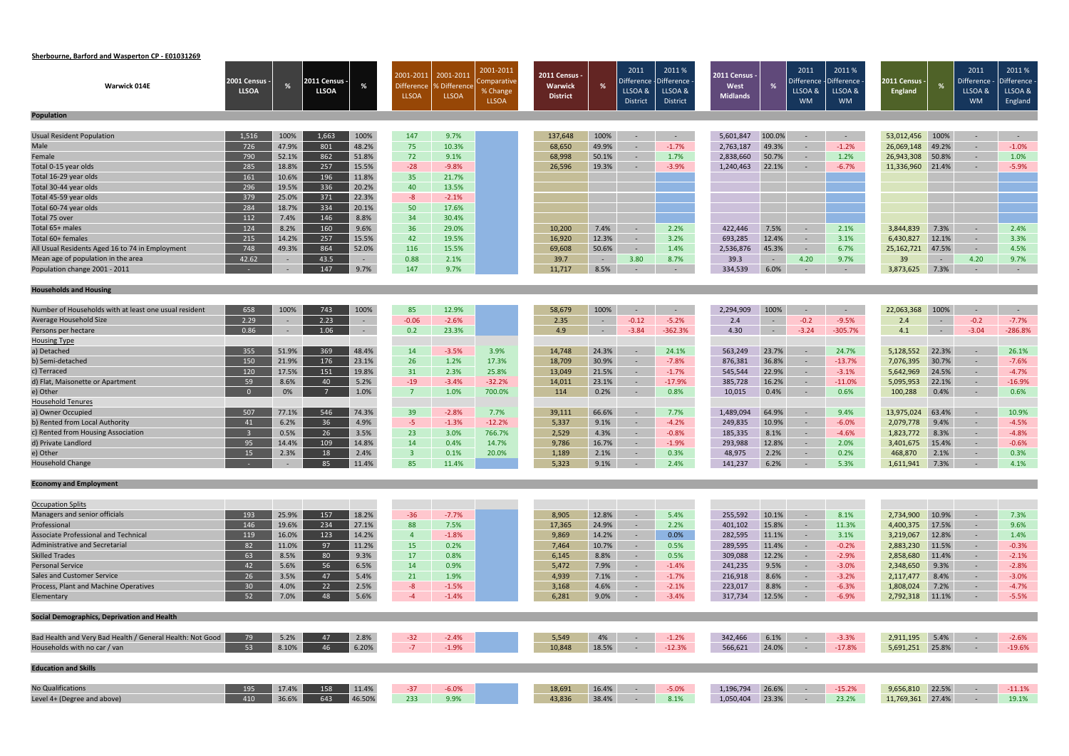# **Sherbourne, Barford and Wasperton CP ‐ E01031269**

| <b>Warwick 014E</b>                                         | <b>2001 Census -</b><br><b>LLSOA</b> |                | 2011 Census ·<br><b>LLSOA</b> |                | 2001-2011<br><b>Difference</b> | 2001-2011<br>% Difference | 2001-2011<br>Comparative<br>% Change | 2011 Census<br><b>Warwick</b> | %              | 2011<br>Difference $\cdot$<br>LLSOA & | 2011 %<br>-Difference<br>LLSOA & | 2011 Census -<br>West |                | 2011<br>Difference<br>LLSOA & | 2011%<br>Difference<br>LLSOA & | 2011 Census ·<br><b>England</b> | %              | 2011<br>Difference ·<br>LLSOA & | 2011%<br>Difference<br>LLSOA & |
|-------------------------------------------------------------|--------------------------------------|----------------|-------------------------------|----------------|--------------------------------|---------------------------|--------------------------------------|-------------------------------|----------------|---------------------------------------|----------------------------------|-----------------------|----------------|-------------------------------|--------------------------------|---------------------------------|----------------|---------------------------------|--------------------------------|
|                                                             |                                      |                |                               |                | <b>LLSOA</b>                   | <b>LLSOA</b>              | <b>LLSOA</b>                         | <b>District</b>               |                | <b>District</b>                       | District                         | <b>Midlands</b>       |                | <b>WM</b>                     | <b>WM</b>                      |                                 |                | <b>WM</b>                       | England                        |
| <b>Population</b>                                           |                                      |                |                               |                |                                |                           |                                      |                               |                |                                       |                                  |                       |                |                               |                                |                                 |                |                                 |                                |
| <b>Usual Resident Population</b>                            | 1,516                                | 100%           | 1,663                         | 100%           | 147                            | 9.7%                      |                                      | 137,648                       | 100%           | $\sim$                                | $\sim$                           | 5,601,847             | 100.0%         | $\sim$                        | $\sim$ $ \sim$                 | 53,012,456                      | 100%           | $\sim$                          | $\sim$ $ \sim$                 |
| Male                                                        | 726                                  | 47.9%          | 801                           | 48.2%          | 75                             | 10.3%                     |                                      | 68,650                        | 49.9%          | $\sim$                                | $-1.7%$                          | 2,763,187             | 49.3%          | $\sim$                        | $-1.2%$                        | 26,069,148                      | 49.2%          | $\sim$                          | $-1.0%$                        |
| Female                                                      | 790                                  | 52.1%          | 862                           | 51.8%          | 72                             | 9.1%                      |                                      | 68,998                        | 50.1%          | $\sim$                                | 1.7%                             | 2,838,660             | 50.7%          | $\sim$                        | 1.2%                           | 26,943,308                      | 50.8%          | $\sim$                          | 1.0%                           |
| Total 0-15 year olds                                        | 285                                  | 18.8%          | 257                           | 15.5%          | $-28$                          | $-9.8%$                   |                                      | 26,596                        | 19.3%          | -9                                    | $-3.9%$                          | 1,240,463             | 22.1%          | $\sim$                        | $-6.7%$                        | 11,336,960                      | 21.4%          | $\sim$                          | $-5.9%$                        |
| Total 16-29 year olds                                       | 161                                  | 10.6%          | 196                           | 11.8%          | 35                             | 21.7%                     |                                      |                               |                |                                       |                                  |                       |                |                               |                                |                                 |                |                                 |                                |
| Total 30-44 year olds                                       | 296                                  | 19.5%          | 336                           | 20.2%          | 40                             | 13.5%                     |                                      |                               |                |                                       |                                  |                       |                |                               |                                |                                 |                |                                 |                                |
| Total 45-59 year olds                                       | 379                                  | 25.0%          | 371                           | 22.3%          | $-8$                           | $-2.1%$                   |                                      |                               |                |                                       |                                  |                       |                |                               |                                |                                 |                |                                 |                                |
| Total 60-74 year olds                                       | 284                                  | 18.7%          | 334                           | 20.1%          | 50                             | 17.6%                     |                                      |                               |                |                                       |                                  |                       |                |                               |                                |                                 |                |                                 |                                |
| Total 75 over                                               | 112                                  | 7.4%           | 146                           | 8.8%           | 34                             | 30.4%                     |                                      |                               |                |                                       |                                  |                       |                |                               |                                |                                 |                |                                 |                                |
| Total 65+ males                                             | 124                                  | 8.2%           | 160                           | 9.6%           | 36                             | 29.0%                     |                                      | 10,200                        | 7.4%           | $\overline{a}$                        | 2.2%                             | 422,446               | 7.5%           | $\sim$                        | 2.1%                           | 3,844,839                       | 7.3%           | $\sim$                          | 2.4%                           |
| Total 60+ females                                           | 215                                  | 14.2%          | 257                           | 15.5%          | 42                             | 19.5%                     |                                      | 16,920                        | 12.3%          | $\sim$                                | 3.2%                             | 693,285               | 12.4%          | $\sim$                        | 3.1%                           | 6,430,827                       | 12.1%          | $\sim$                          | 3.3%                           |
| All Usual Residents Aged 16 to 74 in Employment             | 748                                  | 49.3%          | 864                           | 52.0%          | 116                            | 15.5%                     |                                      | 69,608                        | 50.6%          | $\sim$                                | 1.4%                             | 2,536,876             | 45.3%          | $\sim$ $ \sim$                | 6.7%                           | 25,162,721                      | 47.5%          | $\sim$                          | 4.5%                           |
| Mean age of population in the area                          | 42.62                                |                | 43.5                          | $\rightarrow$  | 0.88                           | 2.1%                      |                                      | 39.7                          | $\sim$ $ \sim$ | 3.80                                  | 8.7%                             | 39.3                  | $\sim$ $ \sim$ | 4.20                          | 9.7%                           | 39                              | $\sim$ $ \sim$ | 4.20                            | 9.7%                           |
| Population change 2001 - 2011                               |                                      | $\sim$         | 147                           | 9.7%           | 147                            | 9.7%                      |                                      | 11,717                        | 8.5%           | $\sim$                                | $\sim$ 10 $\pm$                  | 334,539               | 6.0%           | $\sim$                        | $\sim$ $-$                     | 3,873,625                       | 7.3%           | $\sim$                          | $\sim$ $-$                     |
|                                                             |                                      |                |                               |                |                                |                           |                                      |                               |                |                                       |                                  |                       |                |                               |                                |                                 |                |                                 |                                |
| <b>Households and Housing</b>                               |                                      |                |                               |                |                                |                           |                                      |                               |                |                                       |                                  |                       |                |                               |                                |                                 |                |                                 |                                |
| Number of Households with at least one usual resident       | 658                                  | 100%           | 743                           | 100%           | 85                             | 12.9%                     |                                      | 58,679                        | 100%           | $\sim$                                | $\sim$                           | 2,294,909             | 100%           |                               | $\sim$                         | 22,063,368                      | 100%           | $\sim$                          | $\sim$ $-$                     |
| Average Household Size                                      | 2.29                                 | $\sim$         | 2.23                          | $\sim$         | $-0.06$                        | $-2.6%$                   |                                      | 2.35                          | $\sim$ $-$     | $-0.12$                               | $-5.2%$                          | 2.4                   | $\sim$         | $-0.2$                        | $-9.5%$                        | 2.4                             | $\sim$ $-$     | $-0.2$                          | $-7.7%$                        |
| Persons per hectare                                         | 0.86                                 | $\sim$         | 1.06                          | $\sim$         | 0.2                            | 23.3%                     |                                      | 4.9                           | $\sim$ $-$     | $-3.84$                               | $-362.3%$                        | 4.30                  | $\sim$ $-$     | $-3.24$                       | $-305.7%$                      | 4.1                             | $\sim 10^{-1}$ | $-3.04$                         | $-286.8%$                      |
| <b>Housing Type</b>                                         |                                      |                |                               |                |                                |                           |                                      |                               |                |                                       |                                  |                       |                |                               |                                |                                 |                |                                 |                                |
| a) Detached                                                 | 355                                  | 51.9%          | 369                           | 48.4%          | 14                             | $-3.5%$                   | 3.9%                                 | 14,748                        | 24.3%          | $\sim$                                | 24.1%                            | 563,249               | 23.7%          | $\sim$                        | 24.7%                          | 5,128,552                       | 22.3%          | $\sim$                          | 26.1%                          |
| b) Semi-detached                                            | 150                                  | 21.9%          | 176                           | 23.1%          | 26                             | 1.2%                      | 17.3%                                | 18,709                        | 30.9%          | $\sim$                                | $-7.8%$                          | 876,381               | 36.8%          | $\sim$                        | $-13.7%$                       | 7,076,395                       | 30.7%          | $\sim$                          | $-7.6%$                        |
| c) Terraced                                                 | 120                                  | 17.5%          | 151                           | 19.8%          | 31                             | 2.3%                      | 25.8%                                | 13,049                        | 21.5%          | $\sim$                                | $-1.7%$                          | 545,544               | 22.9%          | $\sim$                        | $-3.1%$                        | 5,642,969                       | 24.5%          | $\sim$                          | $-4.7%$                        |
| d) Flat, Maisonette or Apartment                            | 59                                   | 8.6%           | 40                            | 5.2%           | $-19$                          | $-3.4%$                   | $-32.2%$                             | 14,011                        | 23.1%          | $\sim$                                | $-17.9%$                         | 385,728               | 16.2%          | $\sim$                        | $-11.0%$                       | 5,095,953                       | 22.1%          | $\sim$                          | $-16.9%$                       |
| e) Other                                                    | $\Omega$                             | 0%             |                               | 1.0%           | $\overline{7}$                 | 1.0%                      | 700.0%                               | 114                           | 0.2%           | $\sim$                                | 0.8%                             | 10,015                | 0.4%           | $\sim$                        | 0.6%                           | 100,288                         | 0.4%           | $\sim$                          | 0.6%                           |
| <b>Household Tenures</b>                                    |                                      |                |                               |                |                                |                           |                                      |                               |                |                                       |                                  |                       |                |                               |                                |                                 |                |                                 |                                |
| a) Owner Occupied                                           | 507                                  | 77.1%          | 546                           | 74.3%          | 39                             | $-2.8%$                   | 7.7%                                 | 39,111                        | 66.6%          | $\sim$                                | 7.7%                             | 1,489,094             | 64.9%          |                               | 9.4%                           | 13,975,024                      | 63.4%          | $\sim$                          | 10.9%                          |
| b) Rented from Local Authority                              | 41                                   | 6.2%           | 36                            | 4.9%           | $-5$                           | $-1.3%$                   | $-12.2%$                             | 5,337                         | 9.1%           | $\sim$                                | $-4.2%$                          | 249,835               | 10.9%          | $\sim$                        | $-6.0%$                        | 2,079,778                       | 9.4%           | $\sim$                          | $-4.5%$                        |
| c) Rented from Housing Association                          | -3-                                  | 0.5%           | 26                            | 3.5%           | 23                             | 3.0%                      | 766.7%                               | 2,529                         | 4.3%           | $\sim$                                | $-0.8%$                          | 185,335               | 8.1%           | $\sim$                        | $-4.6%$                        | 1,823,772                       | 8.3%           | $\sim$                          | $-4.8%$                        |
| d) Private Landlord                                         | 95                                   | 14.4%          | 109                           | 14.8%          | 14                             | 0.4%                      | 14.7%                                | 9,786                         | 16.7%          | $\sim$                                | $-1.9%$                          | 293,988               | 12.8%          | $\sim$                        | 2.0%                           | 3,401,675                       | 15.4%          | $\sim$                          | $-0.6%$                        |
| e) Other                                                    | 15                                   | 2.3%           | 18                            | 2.4%           | $\overline{3}$                 | 0.1%                      | 20.0%                                | 1,189                         | 2.1%           | $\sim$                                | 0.3%                             | 48,975                | 2.2%           | $\sim$                        | 0.2%                           | 468,870                         | 2.1%           | $\sim$                          | 0.3%                           |
| <b>Household Change</b>                                     |                                      |                | 85 11.4%                      |                | 85                             | 11.4%                     |                                      | 5,323                         | 9.1%           |                                       | 2.4%                             | 141,237 6.2%          |                |                               | 5.3%                           | 1,611,941 7.3%                  |                | $- 4.1\%$                       |                                |
| <b>Economy and Employment</b>                               |                                      |                |                               |                |                                |                           |                                      |                               |                |                                       |                                  |                       |                |                               |                                |                                 |                |                                 |                                |
|                                                             |                                      |                |                               |                |                                |                           |                                      |                               |                |                                       |                                  |                       |                |                               |                                |                                 |                |                                 |                                |
| <b>Occupation Splits</b>                                    |                                      |                |                               |                |                                |                           |                                      |                               |                |                                       |                                  |                       |                |                               |                                |                                 |                |                                 |                                |
| Managers and senior officials                               | 193                                  | 25.9%          | 157<br>234                    | 18.2%          | $-36$                          | $-7.7%$                   |                                      | 8,905                         | 12.8%          |                                       | 5.4%                             | 255,592               | 10.1%          | $\sim$                        | 8.1%                           | 2,734,900                       | 10.9%          | $\sim$                          | 7.3%                           |
| Professional<br><b>Associate Professional and Technical</b> | 146                                  | 19.6%          | 123                           | 27.1%<br>14.2% | 88<br>$\overline{4}$           | 7.5%                      |                                      | 17,365                        | 24.9%          | $\sim$                                | 2.2%<br>0.0%                     | 401,102               | 15.8%          | $\sim$                        | 11.3%                          | 4,400,375                       | 17.5%<br>12.8% | $\sim$                          | 9.6%                           |
| <b>Administrative and Secretarial</b>                       | 119<br>82                            | 16.0%<br>11.0% | 97                            | 11.2%          | 15                             | $-1.8%$<br>0.2%           |                                      | 9,869<br>7,464                | 14.2%<br>10.7% | $\sim$<br>$\sim$                      | 0.5%                             | 282,595               | 11.1%<br>11.4% | $\sim$<br>$\sim$ $-$          | 3.1%<br>$-0.2%$                | 3,219,067                       | 11.5%          | $\sim$                          | 1.4%<br>$-0.3%$                |
| <b>Skilled Trades</b>                                       | 63                                   | 8.5%           | 80                            | 9.3%           | 17                             | 0.8%                      |                                      | 6,145                         | 8.8%           | $\sim$                                | 0.5%                             | 289,595<br>309,088    | 12.2%          | $\sim$                        | $-2.9%$                        | 2,883,230<br>2,858,680          | 11.4%          | $\sim$<br>$\sim$                | $-2.1%$                        |
| <b>Personal Service</b>                                     | 42                                   | 5.6%           | 56                            | 6.5%           | 14                             | 0.9%                      |                                      | 5,472                         | 7.9%           | $\sim$                                | $-1.4%$                          | 241,235               | 9.5%           | $\sim$                        | $-3.0%$                        | 2,348,650                       | 9.3%           | $\sim$                          | $-2.8%$                        |
| <b>Sales and Customer Service</b>                           | 26                                   | 3.5%           | 47                            | 5.4%           | 21                             | 1.9%                      |                                      | 4,939                         | 7.1%           | $\sim$                                | $-1.7%$                          | 216,918               | 8.6%           | $\sim$                        | $-3.2%$                        | 2,117,477                       | 8.4%           | $\sim$                          | $-3.0%$                        |
| Process, Plant and Machine Operatives                       | 30 <sup>°</sup>                      | 4.0%           | 22                            | 2.5%           | $-8$                           | $-1.5%$                   |                                      | 3,168                         | 4.6%           | $\sim$                                | $-2.1%$                          | 223,017               | 8.8%           | $\sim$ $-$                    | $-6.3%$                        | 1,808,024                       | 7.2%           | $\sim$                          | $-4.7%$                        |
| Elementary                                                  | 52                                   | 7.0%           | 48                            | 5.6%           | $-4$                           | $-1.4%$                   |                                      | 6,281                         | 9.0%           | $\sim$                                | $-3.4%$                          | 317,734               | 12.5%          | $\sim$ $-$                    | $-6.9%$                        | 2,792,318                       | 11.1%          | $\sim$                          | $-5.5%$                        |
|                                                             |                                      |                |                               |                |                                |                           |                                      |                               |                |                                       |                                  |                       |                |                               |                                |                                 |                |                                 |                                |
| Social Demographics, Deprivation and Health                 |                                      |                |                               |                |                                |                           |                                      |                               |                |                                       |                                  |                       |                |                               |                                |                                 |                |                                 |                                |
| Bad Health and Very Bad Health / General Health: Not Good   | 79                                   | 5.2%           | 47                            | 2.8%           | $-32$                          | $-2.4%$                   |                                      | 5,549                         | 4%             | $\sim$ $-$                            | $-1.2%$                          | 342,466               | 6.1%           | $\sim$ $-$                    | $-3.3%$                        | 2,911,195                       | 5.4%           | $\sim$ $-$                      | $-2.6%$                        |
| Households with no car / van                                | 53                                   | 8.10%          | 46                            | 6.20%          | $-7$                           | $-1.9%$                   |                                      | 10,848                        | 18.5%          | $\sim$                                | $-12.3%$                         | 566,621               | 24.0%          | $\sim$                        | $-17.8%$                       | 5,691,251 25.8%                 |                | $\sim$                          | $-19.6%$                       |
| <b>Education and Skills</b>                                 |                                      |                |                               |                |                                |                           |                                      |                               |                |                                       |                                  |                       |                |                               |                                |                                 |                |                                 |                                |
|                                                             |                                      |                |                               |                |                                |                           |                                      |                               |                |                                       |                                  |                       |                |                               |                                |                                 |                |                                 |                                |
| No Qualifications                                           | 195                                  | 17.4%          | 158                           | 11.4%          | $-37$                          | $-6.0%$                   |                                      | 18,691                        | 16.4%          | $\sim$                                | $-5.0%$                          | 1,196,794             | 26.6%          | $\sim$ $-$                    | $-15.2%$                       | 9,656,810                       | 22.5%          | $\sim$ $-$                      | $-11.1%$                       |
| Level 4+ (Degree and above)                                 | 410                                  | 36.6%          | 643                           | 46.50%         | 233                            | 9.9%                      |                                      | 43,836                        | 38.4%          | $\sim$                                | 8.1%                             | 1,050,404             | 23.3%          | $\sim$ $-$                    | 23.2%                          | 11,769,361 27.4%                |                | $\sim$                          | 19.1%                          |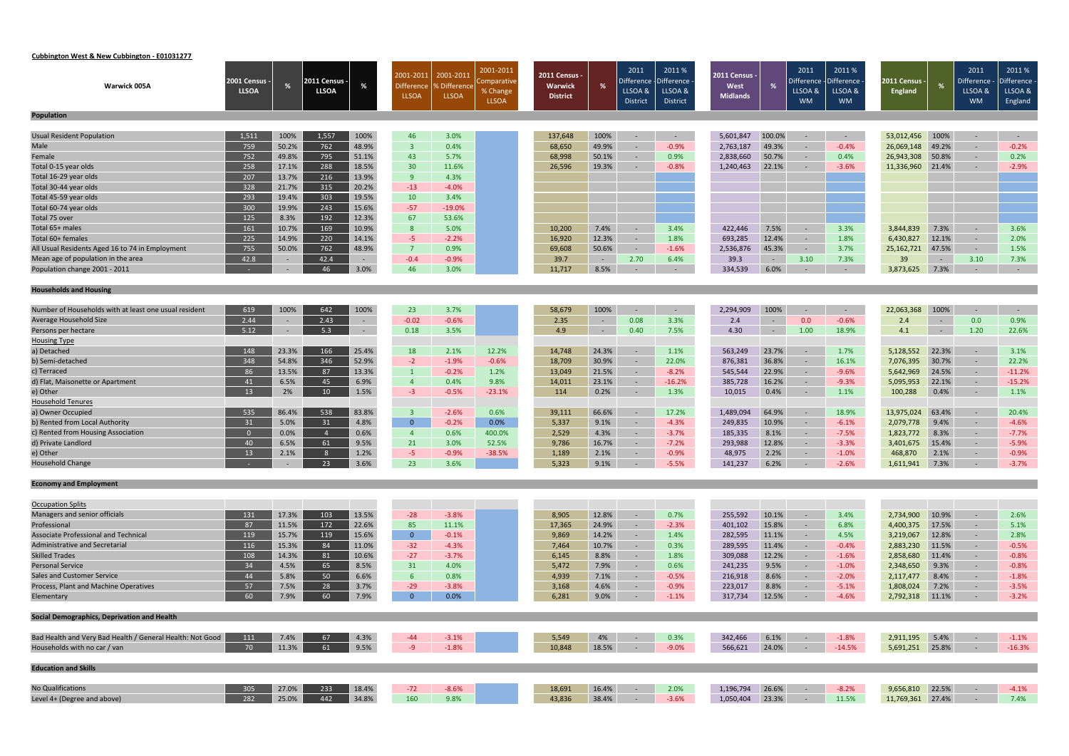# **Cubbington West & New Cubbington ‐ E01031277**

| Warwick 005A                                                | <b>2001 Census -</b><br><b>LLSOA</b> |                | 2011 Census $\cdot$<br><b>LLSOA</b> |                | 2001-2011<br><b>Difference</b><br><b>LLSOA</b> | 2001-2011<br>% Difference<br><b>LLSOA</b> | 2001-2011<br>Comparative<br>% Change | 2011 Census<br><b>Warwick</b><br><b>District</b> | %              | 2011<br>Difference $\cdot$<br>LLSOA & | 2011 %<br>-Difference<br>LLSOA & | 2011 Census -<br>West<br><b>Midlands</b> |                | 2011<br>Difference<br>LLSOA & | 2011%<br>Difference<br>LLSOA & | 2011 Census ·<br><b>England</b> | %              | 2011<br>Difference ·<br>LLSOA & | 2011%<br>Difference<br>LLSOA & |
|-------------------------------------------------------------|--------------------------------------|----------------|-------------------------------------|----------------|------------------------------------------------|-------------------------------------------|--------------------------------------|--------------------------------------------------|----------------|---------------------------------------|----------------------------------|------------------------------------------|----------------|-------------------------------|--------------------------------|---------------------------------|----------------|---------------------------------|--------------------------------|
| <b>Population</b>                                           |                                      |                |                                     |                |                                                |                                           | <b>LLSOA</b>                         |                                                  |                | <b>District</b>                       | District                         |                                          |                | <b>WM</b>                     | <b>WM</b>                      |                                 |                | <b>WM</b>                       | England                        |
|                                                             |                                      |                |                                     |                |                                                |                                           |                                      |                                                  |                |                                       |                                  |                                          |                |                               |                                |                                 |                |                                 |                                |
| <b>Usual Resident Population</b>                            | 1,511                                | 100%           | 1,557                               | 100%           | 46                                             | 3.0%                                      |                                      | 137,648                                          | 100%           | $\sim$                                | $\sim$                           | 5,601,847                                | 100.0%         | $\sim$                        | $\sim$ $ \sim$                 | 53,012,456                      | 100%           | $\sim$                          | $\sim$ $ \sim$                 |
| Male                                                        | 759                                  | 50.2%          | 762                                 | 48.9%          | $\overline{3}$                                 | 0.4%                                      |                                      | 68,650                                           | 49.9%          | $\sim$                                | $-0.9%$                          | 2,763,187                                | 49.3%          | $\sim$                        | $-0.4%$                        | 26,069,148                      | 49.2%          | $\sim$                          | $-0.2%$                        |
| Female                                                      | 752                                  | 49.8%          | 795                                 | 51.1%          | 43                                             | 5.7%                                      |                                      | 68,998                                           | 50.1%          | $\sim$                                | 0.9%                             | 2,838,660                                | 50.7%          | $\sim$                        | 0.4%                           | 26,943,308                      | 50.8%          | $\sim$                          | 0.2%                           |
| Total 0-15 year olds                                        | 258                                  | 17.1%          | 288                                 | 18.5%          | 30                                             | 11.6%                                     |                                      | 26,596                                           | 19.3%          | -9                                    | $-0.8%$                          | 1,240,463                                | 22.1%          | $\sim$                        | $-3.6%$                        | 11,336,960                      | 21.4%          | $\sim$                          | $-2.9%$                        |
| Total 16-29 year olds                                       | 207                                  | 13.7%          | 216                                 | 13.9%          | 9                                              | 4.3%                                      |                                      |                                                  |                |                                       |                                  |                                          |                |                               |                                |                                 |                |                                 |                                |
| Total 30-44 year olds                                       | 328                                  | 21.7%          | 315                                 | 20.2%          | $-13$                                          | $-4.0%$                                   |                                      |                                                  |                |                                       |                                  |                                          |                |                               |                                |                                 |                |                                 |                                |
| Total 45-59 year olds                                       | 293                                  | 19.4%          | 303                                 | 19.5%          | 10                                             | 3.4%                                      |                                      |                                                  |                |                                       |                                  |                                          |                |                               |                                |                                 |                |                                 |                                |
| Total 60-74 year olds                                       | 300                                  | 19.9%          | 243                                 | 15.6%          | $-57$                                          | $-19.0%$                                  |                                      |                                                  |                |                                       |                                  |                                          |                |                               |                                |                                 |                |                                 |                                |
| Total 75 over                                               | 125                                  | 8.3%           | 192                                 | 12.3%          | 67                                             | 53.6%                                     |                                      |                                                  |                |                                       |                                  |                                          |                |                               |                                |                                 |                |                                 |                                |
| Total 65+ males                                             | 161                                  | 10.7%          | 169                                 | 10.9%          | 8 <sup>°</sup>                                 | 5.0%                                      |                                      | 10,200                                           | 7.4%           | $\overline{a}$                        | 3.4%                             | 422,446                                  | 7.5%           | $\sim$                        | 3.3%                           | 3,844,839                       | 7.3%           | $\sim$                          | 3.6%                           |
| Total 60+ females                                           | 225                                  | 14.9%          | 220                                 | 14.1%          | $-5$                                           | $-2.2%$                                   |                                      | 16,920                                           | 12.3%          | $\sim$                                | 1.8%                             | 693,285                                  | 12.4%          | $\sim$                        | 1.8%                           | 6,430,827                       | 12.1%          | $\sim$                          | 2.0%                           |
| All Usual Residents Aged 16 to 74 in Employment             | 755                                  | 50.0%          | 762                                 | 48.9%          | $\overline{7}$                                 | 0.9%                                      |                                      | 69,608                                           | 50.6%          | $\sim$                                | $-1.6%$                          | 2,536,876                                | 45.3%          | $\sim$ $ \sim$                | 3.7%                           | 25,162,721                      | 47.5%          | $\sim$                          | 1.5%                           |
| Mean age of population in the area                          | 42.8                                 |                | 42.4                                | $\sim$         | $-0.4$                                         | $-0.9%$                                   |                                      | 39.7                                             | $\sim$ $ \sim$ | 2.70                                  | 6.4%                             | 39.3                                     | $\sim$ $ \sim$ | 3.10                          | 7.3%                           | 39                              | $\sim 10^{-1}$ | 3.10                            | 7.3%                           |
| Population change 2001 - 2011                               |                                      | $\sim$         | 46                                  | 3.0%           | 46                                             | 3.0%                                      |                                      | 11,717                                           | 8.5%           | $\sim$                                | $\sim$                           | 334,539                                  | 6.0%           | $\sim$                        | $\sim$ $-$                     | 3,873,625                       | 7.3%           | $\sim$                          | $\sim$ $-$                     |
| <b>Households and Housing</b>                               |                                      |                |                                     |                |                                                |                                           |                                      |                                                  |                |                                       |                                  |                                          |                |                               |                                |                                 |                |                                 |                                |
| Number of Households with at least one usual resident       | 619                                  | 100%           | 642                                 | 100%           | 23                                             | 3.7%                                      |                                      | 58,679                                           | 100%           | $\sim$                                | $\sim$                           | 2,294,909                                | 100%           |                               | $\sim$                         | 22,063,368                      | 100%           | $\sim$                          | $\sim$ $-$                     |
| Average Household Size                                      | 2.44                                 | $\sim$         | 2.43                                | $\sim$         | $-0.02$                                        | $-0.6%$                                   |                                      | 2.35                                             | $\sim$         | 0.08                                  | 3.3%                             | 2.4                                      | $\sim$         | 0.0                           | $-0.6%$                        | 2.4                             | $\sim$         | 0.0                             | 0.9%                           |
| Persons per hectare                                         | 5.12                                 |                | 5.3                                 | $\sim$         | 0.18                                           | 3.5%                                      |                                      | 4.9                                              | ÷              | 0.40                                  | 7.5%                             | 4.30                                     | $\sim$         | 1.00                          | 18.9%                          | 4.1                             | $\sim 10^{-1}$ | 1.20                            | 22.6%                          |
| <b>Housing Type</b>                                         |                                      |                |                                     |                |                                                |                                           |                                      |                                                  |                |                                       |                                  |                                          |                |                               |                                |                                 |                |                                 |                                |
| a) Detached                                                 | 148                                  | 23.3%          | 166                                 | 25.4%          | 18                                             | 2.1%                                      | 12.2%                                | 14,748                                           | 24.3%          | $\sim$                                | 1.1%                             | 563,249                                  | 23.7%          | $\sim$                        | 1.7%                           | 5,128,552                       | 22.3%          | $\sim$                          | 3.1%                           |
| b) Semi-detached                                            | 348                                  | 54.8%          | 346                                 | 52.9%          | $-2$                                           | $-1.9%$                                   | $-0.6%$                              | 18,709                                           | 30.9%          | $\sim$                                | 22.0%                            | 876,381                                  | 36.8%          | $\sim$                        | 16.1%                          | 7,076,395                       | 30.7%          | $\sim$                          | 22.2%                          |
| c) Terraced                                                 | 86                                   | 13.5%          | 87                                  | 13.3%          | $\mathbf{1}$                                   | $-0.2%$                                   | 1.2%                                 | 13,049                                           | 21.5%          | $\sim$                                | $-8.2%$                          | 545,544                                  | 22.9%          | $\sim$                        | $-9.6%$                        | 5,642,969                       | 24.5%          | $\sim$                          | $-11.2%$                       |
| d) Flat, Maisonette or Apartment                            | 41                                   | 6.5%           | 45                                  | 6.9%           | $\overline{4}$                                 | 0.4%                                      | 9.8%                                 | 14,011                                           | 23.1%          | $\sim$                                | $-16.2%$                         | 385,728                                  | 16.2%          | $\sim$                        | $-9.3%$                        | 5,095,953                       | 22.1%          | $\sim$                          | $-15.2%$                       |
| e) Other                                                    | 13                                   | 2%             | 10 <sup>°</sup>                     | 1.5%           | $-3$                                           | $-0.5%$                                   | $-23.1%$                             | 114                                              | 0.2%           | $\sim$                                | 1.3%                             | 10,015                                   | 0.4%           | $\sim$                        | 1.1%                           | 100,288                         | 0.4%           | $\sim$                          | 1.1%                           |
| <b>Household Tenures</b>                                    |                                      |                |                                     |                |                                                |                                           |                                      |                                                  |                |                                       |                                  |                                          |                |                               |                                |                                 |                |                                 |                                |
| a) Owner Occupied                                           | 535                                  | 86.4%          | 538                                 | 83.8%          | $\overline{3}$                                 | $-2.6%$                                   | 0.6%                                 | 39,111                                           | 66.6%          | $\sim$                                | 17.2%                            | 1,489,094                                | 64.9%          |                               | 18.9%                          | 13,975,024                      | 63.4%          | $\sim$                          | 20.4%                          |
| b) Rented from Local Authority                              | 31                                   | 5.0%           | 31                                  | 4.8%           | $\overline{0}$                                 | $-0.2%$                                   | 0.0%                                 | 5,337                                            | 9.1%           | $\sim$                                | $-4.3%$                          | 249,835                                  | 10.9%          | $\sim$                        | $-6.1%$                        | 2,079,778                       | 9.4%           | $\sim$                          | $-4.6%$                        |
| c) Rented from Housing Association                          | $\overline{0}$                       | 0.0%           | $\overline{4}$                      | 0.6%           | $\overline{4}$                                 | 0.6%                                      | 400.0%                               | 2,529                                            | 4.3%           | $\sim$                                | $-3.7%$                          | 185,335                                  | 8.1%           | $\sim$                        | $-7.5%$                        | 1,823,772                       | 8.3%           | $\sim$                          | $-7.7%$                        |
| d) Private Landlord                                         | 40                                   | 6.5%           | 61                                  | 9.5%           | 21                                             | 3.0%                                      | 52.5%                                | 9,786                                            | 16.7%          | $\sim$                                | $-7.2%$                          | 293,988                                  | 12.8%          | $\sim$                        | $-3.3%$                        | 3,401,675                       | 15.4%          | $\sim$                          | $-5.9%$                        |
| e) Other                                                    | 13                                   | 2.1%           | 8                                   | 1.2%           | $-5$                                           | $-0.9%$                                   | $-38.5%$                             | 1,189                                            | 2.1%           | $\sim$                                | $-0.9%$                          | 48,975                                   | 2.2%           | $\sim$                        | $-1.0%$                        | 468,870                         | 2.1%           | $\sim$                          | $-0.9%$                        |
| <b>Household Change</b>                                     |                                      |                | 23                                  | 3.6%           | 23                                             | 3.6%                                      |                                      | 5,323                                            | 9.1%           |                                       | $-5.5%$                          | 141,237 6.2%                             |                |                               | $-2.6%$                        | 1,611,941 7.3%                  |                | $-3.7\%$                        |                                |
| <b>Economy and Employment</b>                               |                                      |                |                                     |                |                                                |                                           |                                      |                                                  |                |                                       |                                  |                                          |                |                               |                                |                                 |                |                                 |                                |
|                                                             |                                      |                |                                     |                |                                                |                                           |                                      |                                                  |                |                                       |                                  |                                          |                |                               |                                |                                 |                |                                 |                                |
| <b>Occupation Splits</b><br>Managers and senior officials   | 131                                  |                | 103                                 |                |                                                |                                           |                                      |                                                  |                |                                       |                                  |                                          | 10.1%          |                               |                                |                                 |                |                                 |                                |
|                                                             |                                      | 17.3%          |                                     | 13.5%          | $-28$                                          | $-3.8%$                                   |                                      | 8,905                                            | 12.8%          | $\overline{\phantom{a}}$              | 0.7%                             | 255,592                                  |                | $\sim$                        | 3.4%                           | 2,734,900                       | 10.9%          | $\sim$                          | 2.6%                           |
| Professional<br><b>Associate Professional and Technical</b> | 87                                   | 11.5%<br>15.7% | 172<br>119                          | 22.6%<br>15.6% | 85<br>$\overline{0}$                           | 11.1%                                     |                                      | 17,365                                           | 24.9%          | $\sim$                                | $-2.3%$                          | 401,102                                  | 15.8%          | $\sim$                        | 6.8%                           | 4,400,375                       | 17.5%<br>12.8% | $\sim$                          | 5.1%                           |
| <b>Administrative and Secretarial</b>                       | 119<br>116                           | 15.3%          | 84                                  | 11.0%          | $-32$                                          | $-0.1%$<br>$-4.3%$                        |                                      | 9,869<br>7,464                                   | 14.2%<br>10.7% | $\sim$                                | 1.4%<br>0.3%                     | 282,595                                  | 11.1%<br>11.4% | $\sim$                        | 4.5%<br>$-0.4%$                | 3,219,067                       | 11.5%          | $\sim$                          | 2.8%<br>$-0.5%$                |
| <b>Skilled Trades</b>                                       | 108                                  | 14.3%          | 81                                  | 10.6%          | $-27$                                          | $-3.7%$                                   |                                      | 6,145                                            | 8.8%           | $\sim$<br>$\sim$ $^{-1}$              | 1.8%                             | 289,595<br>309,088                       | 12.2%          | $\sim$ $-$<br>$\sim$          | $-1.6%$                        | 2,883,230<br>2,858,680          | 11.4%          | $\sim$<br>$\sim$                | $-0.8%$                        |
| <b>Personal Service</b>                                     | 34                                   | 4.5%           | 65                                  | 8.5%           | 31                                             | 4.0%                                      |                                      | 5,472                                            | 7.9%           | $\sim$                                | 0.6%                             | 241,235                                  | 9.5%           | $\sim$                        | $-1.0%$                        | 2,348,650                       | 9.3%           | $\sim$                          | $-0.8%$                        |
| <b>Sales and Customer Service</b>                           | 44                                   | 5.8%           | 50                                  | 6.6%           | $6^{\circ}$                                    | 0.8%                                      |                                      | 4,939                                            | 7.1%           | $\sim$                                | $-0.5%$                          | 216,918                                  | 8.6%           | $\sim$                        | $-2.0%$                        | 2,117,477                       | 8.4%           | $\sim$                          | $-1.8%$                        |
| Process, Plant and Machine Operatives                       | 57                                   | 7.5%           | 28                                  | 3.7%           | $-29$                                          | $-3.8%$                                   |                                      | 3,168                                            | 4.6%           | $\sim$                                | $-0.9%$                          | 223,017                                  | 8.8%           | $\sim$ $-$                    | $-5.1%$                        | 1,808,024                       | 7.2%           | $\sim$                          | $-3.5%$                        |
| Elementary                                                  | 60                                   | 7.9%           | 60                                  | 7.9%           | $\overline{0}$                                 | 0.0%                                      |                                      | 6,281                                            | 9.0%           | $\sim$ $-$                            | $-1.1%$                          | 317,734                                  | 12.5%          | $\sim$ $-$                    | $-4.6%$                        | 2,792,318                       | 11.1%          | $\sim$                          | $-3.2%$                        |
|                                                             |                                      |                |                                     |                |                                                |                                           |                                      |                                                  |                |                                       |                                  |                                          |                |                               |                                |                                 |                |                                 |                                |
| Social Demographics, Deprivation and Health                 |                                      |                |                                     |                |                                                |                                           |                                      |                                                  |                |                                       |                                  |                                          |                |                               |                                |                                 |                |                                 |                                |
| Bad Health and Very Bad Health / General Health: Not Good   | 111                                  | 7.4%           | 67                                  | 4.3%           | $-44$                                          | $-3.1%$                                   |                                      | 5,549                                            | 4%             | $\sim$ $-$                            | 0.3%                             | 342,466                                  | 6.1%           | $\sim$ $-$                    | $-1.8%$                        | 2,911,195                       | 5.4%           | $\sim$ $-$                      | $-1.1%$                        |
| Households with no car / van                                | 70                                   | 11.3%          | 61                                  | 9.5%           | $-9$                                           | $-1.8%$                                   |                                      | 10,848                                           | 18.5%          | $\sim$                                | $-9.0%$                          | 566,621                                  | 24.0%          | $\sim$                        | $-14.5%$                       | 5,691,251 25.8%                 |                | $\sim$                          | $-16.3%$                       |
| <b>Education and Skills</b>                                 |                                      |                |                                     |                |                                                |                                           |                                      |                                                  |                |                                       |                                  |                                          |                |                               |                                |                                 |                |                                 |                                |
|                                                             |                                      |                |                                     |                |                                                |                                           |                                      |                                                  |                |                                       |                                  |                                          |                |                               |                                |                                 |                |                                 |                                |
| No Qualifications<br>Level 4+ (Degree and above)            | 305<br>282                           | 27.0%          | 233                                 | 18.4%          | $-72$<br>160                                   | $-8.6%$<br>9.8%                           |                                      | 18,691                                           | 16.4%          | $\sim$ $-$                            | 2.0%                             | 1,196,794                                | 26.6%          | $\sim$ $-$                    | $-8.2%$                        | 9,656,810                       | 22.5%          | $\sim$ $-$                      | $-4.1%$                        |
|                                                             |                                      | 25.0%          | 442                                 | 34.8%          |                                                |                                           |                                      | 43,836                                           | 38.4%          | $\sim 10^{-11}$                       | $-3.6%$                          | 1,050,404                                | 23.3%          | $\sim$ $-$                    | 11.5%                          | 11,769,361 27.4%                |                | $\sim$                          | 7.4%                           |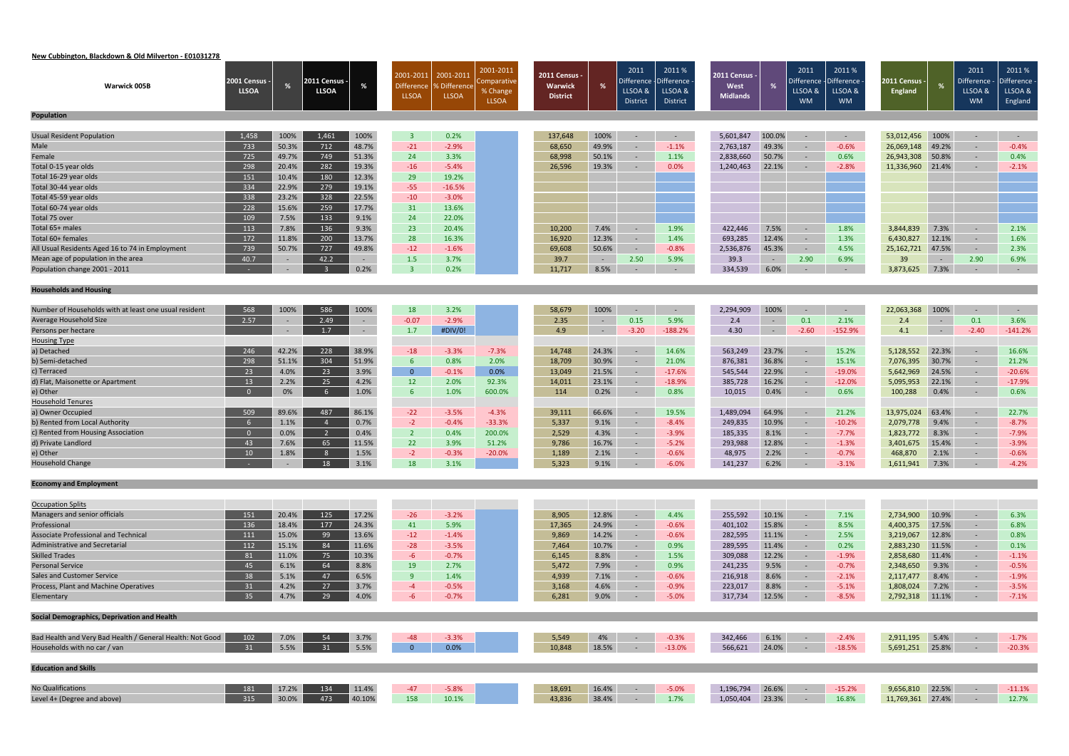#### **New Cubbington, Blackdown & Old Milverton ‐ E01031278**

| Warwick 005B                                              | 2001 Census -<br><b>LLSOA</b> | %      | 2011 Census ·<br><b>LLSOA</b> | %          | 2001-2011<br><b>Difference</b><br><b>LLSOA</b> | 2001-2011<br><b>SDifference</b><br><b>LLSOA</b> | 2001-2011<br>omparative<br>% Change<br><b>LLSOA</b> | 2011 Census -<br>Warwick<br><b>District</b> | %              | 2011<br>LLSOA &<br><b>District</b> | 2011%<br>Difference - Difference<br>LLSOA &<br>District | <b>2011 Census -</b><br>West<br><b>Midlands</b> | %          | 2011<br>)ifference<br>LLSOA &<br><b>WM</b> | 2011%<br>Difference<br>LLSOA &<br><b>WM</b> | 2011 Census -<br>England | %              | 2011<br>Difference - Difference<br>LLSOA &<br><b>WM</b> | 2011%<br>LLSOA &<br>England |
|-----------------------------------------------------------|-------------------------------|--------|-------------------------------|------------|------------------------------------------------|-------------------------------------------------|-----------------------------------------------------|---------------------------------------------|----------------|------------------------------------|---------------------------------------------------------|-------------------------------------------------|------------|--------------------------------------------|---------------------------------------------|--------------------------|----------------|---------------------------------------------------------|-----------------------------|
| Population                                                |                               |        |                               |            |                                                |                                                 |                                                     |                                             |                |                                    |                                                         |                                                 |            |                                            |                                             |                          |                |                                                         |                             |
| <b>Usual Resident Population</b>                          | 1,458                         | 100%   | 1,461                         | 100%       | $\overline{3}$                                 | 0.2%                                            |                                                     | 137,648                                     | 100%           | $\sim$                             | $\sim$ $-$                                              | 5,601,847                                       | 100.0%     | $\sim$                                     | $\sim$ $-$                                  | 53,012,456               | 100%           | $\sim$ $-$                                              | $\sim$ $-$                  |
| Male                                                      | 733                           | 50.3%  | 712                           | 48.7%      | $-21$                                          | $-2.9%$                                         |                                                     | 68,650                                      | 49.9%          | $\sim$                             | $-1.1%$                                                 | 2,763,187                                       | 49.3%      |                                            | $-0.6%$                                     | 26,069,148               | 49.2%          | $\sim$                                                  | $-0.4%$                     |
| Female                                                    | 725                           | 49.7%  | 749                           | 51.3%      | 24                                             | 3.3%                                            |                                                     | 68,998                                      | 50.1%          | $\sim$                             | 1.1%                                                    | 2,838,660                                       | 50.7%      | $\sim$ $-$                                 | 0.6%                                        | 26,943,308               | 50.8%          | $\sim$                                                  | 0.4%                        |
| Total 0-15 year olds                                      | 298                           | 20.4%  | 282                           | 19.3%      | $-16$                                          | $-5.4%$                                         |                                                     | 26,596                                      | 19.3%          | $\sim$                             | 0.0%                                                    | 1,240,463                                       | 22.1%      | $\sim$                                     | $-2.8%$                                     | 11,336,960               | 21.4%          | $\sim$                                                  | $-2.1%$                     |
| Total 16-29 year olds                                     | 151                           | 10.4%  | 180                           | 12.3%      | 29                                             | 19.2%                                           |                                                     |                                             |                |                                    |                                                         |                                                 |            |                                            |                                             |                          |                |                                                         |                             |
| Total 30-44 year olds                                     | 334                           | 22.9%  | 279                           | 19.1%      | $-55$                                          | $-16.5%$                                        |                                                     |                                             |                |                                    |                                                         |                                                 |            |                                            |                                             |                          |                |                                                         |                             |
| Total 45-59 year olds                                     | 338                           | 23.2%  | 328                           | 22.5%      | $-10$                                          | $-3.0%$                                         |                                                     |                                             |                |                                    |                                                         |                                                 |            |                                            |                                             |                          |                |                                                         |                             |
| Total 60-74 year olds                                     | 228                           | 15.6%  | 259                           | 17.7%      | 31                                             | 13.6%                                           |                                                     |                                             |                |                                    |                                                         |                                                 |            |                                            |                                             |                          |                |                                                         |                             |
| Total 75 over                                             | 109                           | 7.5%   | 133                           | 9.1%       | 24                                             | 22.0%                                           |                                                     |                                             |                |                                    |                                                         |                                                 |            |                                            |                                             |                          |                |                                                         |                             |
| Total 65+ males                                           | 113                           | 7.8%   | 136                           | 9.3%       | 23                                             | 20.4%                                           |                                                     | 10,200                                      | 7.4%           | $\sim$                             | 1.9%                                                    | 422,446                                         | 7.5%       | $\sim$                                     | 1.8%                                        | 3,844,839                | 7.3%           | $\sim$                                                  | 2.1%                        |
| Total 60+ females                                         | 172                           | 11.8%  | 200                           | 13.7%      | 28                                             | 16.3%                                           |                                                     | 16,920                                      | 12.3%          | $\sim$                             | 1.4%                                                    | 693,285                                         | 12.4%      | $\sim$                                     | 1.3%                                        | 6,430,827                | 12.1%          | $\sim$                                                  | 1.6%                        |
| All Usual Residents Aged 16 to 74 in Employment           | 739                           | 50.7%  | 727                           | 49.8%      | $-12$                                          | $-1.6%$                                         |                                                     | 69,608                                      | 50.6%          | $\sim$                             | $-0.8%$                                                 | 2,536,876                                       | 45.3%      | $\sim$                                     | 4.5%                                        | 25, 162, 721             | 47.5%          | $\sim$                                                  | 2.3%                        |
| Mean age of population in the area                        | 40.7                          | $\sim$ | 42.2                          | $\sim$ $-$ | 1.5                                            | 3.7%                                            |                                                     | 39.7                                        | $\sim$ $ \sim$ | 2.50                               | 5.9%                                                    | 39.3                                            | $\sim$ $-$ | 2.90                                       | 6.9%                                        | 39                       | $\sim$ $ \sim$ | 2.90                                                    | 6.9%                        |
| Population change 2001 - 2011                             |                               |        |                               | 0.2%       | $\overline{3}$                                 | 0.2%                                            |                                                     | 11,717                                      | 8.5%           | $\sim$                             | $\sim$                                                  | 334,539                                         | 6.0%       | $\sim$                                     | $\sim$                                      | 3,873,625                | 7.3%           | $\sim$                                                  | $\sim$ $-$                  |
| <b>Households and Housing</b>                             |                               |        |                               |            |                                                |                                                 |                                                     |                                             |                |                                    |                                                         |                                                 |            |                                            |                                             |                          |                |                                                         |                             |
|                                                           |                               |        |                               |            |                                                |                                                 |                                                     |                                             |                |                                    |                                                         |                                                 |            |                                            |                                             |                          |                |                                                         |                             |
| Number of Households with at least one usual resident     | 568                           | 100%   | 586                           | 100%       | 18                                             | 3.2%                                            |                                                     | 58,679                                      | 100%           | $\sim$                             | $\overline{\phantom{a}}$                                | 2,294,909                                       | 100%       |                                            | $\sim$ $-$                                  | 22,063,368               | 100%           | $\sim$                                                  | $\sim$                      |
| Average Household Size                                    | 2.57                          |        | 2.49                          | $\sim$     | $-0.07$                                        | $-2.9%$                                         |                                                     | 2.35                                        | $\sim$ $ \sim$ | 0.15                               | 5.9%                                                    | 2.4                                             | $\sim$     | 0.1                                        | 2.1%                                        | 2.4                      | $\sim$ $-$     | 0.1                                                     | 3.6%                        |
| Persons per hectare                                       |                               |        | 1.7                           | $\sim$     | 1.7                                            | #DIV/0!                                         |                                                     | 4.9                                         | $\sim$         | $-3.20$                            | $-188.2%$                                               | 4.30                                            | $\sim$     | $-2.60$                                    | $-152.9%$                                   | 4.1                      | $\sim$ $-$     | $-2.40$                                                 | $-141.2%$                   |
| <b>Housing Type</b>                                       |                               |        |                               |            |                                                |                                                 |                                                     |                                             |                |                                    |                                                         |                                                 |            |                                            |                                             |                          |                |                                                         |                             |
| a) Detached                                               | 246                           | 42.2%  | 228                           | 38.9%      | $-18$                                          | $-3.3%$                                         | $-7.3%$                                             | 14,748                                      | 24.3%          | $\sim$                             | 14.6%                                                   | 563,249                                         | 23.7%      | $\sim$                                     | 15.2%                                       | 5,128,552                | 22.3%          | $\sim$                                                  | 16.6%                       |
| b) Semi-detached                                          | 298                           | 51.1%  | 304                           | 51.9%      | $6^{\circ}$                                    | 0.8%                                            | 2.0%                                                | 18,709                                      | 30.9%          | $\sim$                             | 21.0%                                                   | 876,381                                         | 36.8%      | $\sim$                                     | 15.1%                                       | 7,076,395                | 30.7%          | $\sim$                                                  | 21.2%                       |
| c) Terraced                                               | 23                            | 4.0%   | 23                            | 3.9%       | $\overline{0}$                                 | $-0.1%$                                         | 0.0%                                                | 13,049                                      | 21.5%          | $\sim$                             | $-17.6%$                                                | 545,544                                         | 22.9%      | $\sim$                                     | $-19.0%$                                    | 5,642,969                | 24.5%          | $\sim$                                                  | $-20.6%$                    |
| d) Flat, Maisonette or Apartment                          | 13                            | 2.2%   | 25                            | 4.2%       | 12                                             | 2.0%                                            | 92.3%                                               | 14,011                                      | 23.1%          | $\sim$                             | $-18.9%$                                                | 385,728                                         | 16.2%      | $\sim$                                     | $-12.0%$                                    | 5,095,953                | 22.1%          | $\sim$                                                  | $-17.9%$                    |
| e) Other                                                  | $\overline{0}$                | 0%     | -6                            | 1.0%       | 6                                              | 1.0%                                            | 600.0%                                              | 114                                         | 0.2%           | $\sim$                             | 0.8%                                                    | 10,015                                          | 0.4%       | $\sim$                                     | 0.6%                                        | 100,288                  | 0.4%           | $\sim$                                                  | 0.6%                        |
| <b>Household Tenures</b>                                  |                               |        |                               |            |                                                |                                                 |                                                     |                                             |                |                                    |                                                         |                                                 |            |                                            |                                             |                          |                |                                                         |                             |
| a) Owner Occupied                                         | 509                           | 89.6%  | 487                           | 86.1%      | $-22$                                          | $-3.5%$                                         | $-4.3%$                                             | 39,111                                      | 66.6%          | $\sim$                             | 19.5%                                                   | 1,489,094                                       | 64.9%      | $\sim$                                     | 21.2%                                       | 13,975,024               | 63.4%          | $\sim$                                                  | 22.7%                       |
| b) Rented from Local Authority                            | 6                             | 1.1%   |                               | 0.7%       | $-2$                                           | $-0.4%$                                         | $-33.3%$                                            | 5,337                                       | 9.1%           | $\sim$                             | $-8.4%$                                                 | 249,835                                         | 10.9%      | $\sim$                                     | $-10.2%$                                    | 2,079,778                | 9.4%           | $\sim$                                                  | $-8.7%$                     |
| c) Rented from Housing Association                        | $\overline{0}$                | 0.0%   |                               | 0.4%       | $\overline{2}$                                 | 0.4%                                            | 200.0%                                              | 2,529                                       | 4.3%           | $\sim$                             | $-3.9%$                                                 | 185,335                                         | 8.1%       | $\sim$                                     | $-7.7%$                                     | 1,823,772                | 8.3%           | $\sim$                                                  | $-7.9%$                     |
| d) Private Landlord                                       | 43                            | 7.6%   | 65                            | 11.5%      | 22                                             | 3.9%                                            | 51.2%                                               | 9,786                                       | 16.7%          | $\sim$                             | $-5.2%$                                                 | 293,988                                         | 12.8%      | $\sim$                                     | $-1.3%$                                     | 3,401,675                | 15.4%          | $\sim$                                                  | $-3.9%$                     |
| e) Other                                                  | 10                            | 1.8%   | 8 <sup>8</sup>                | 1.5%       | $-2$                                           | $-0.3%$                                         | $-20.0%$                                            | 1,189                                       | 2.1%           |                                    | $-0.6%$                                                 | 48,975                                          | 2.2%       |                                            | $-0.7%$                                     | 468,870                  | 2.1%           | $\sim$                                                  | $-0.6%$                     |
| <b>Household Change</b>                                   |                               |        | 18                            | $3.1\%$    | 18                                             | 3.1%                                            |                                                     | 5,323                                       | 9.1%           | <b>Service Control</b>             | $-6.0%$                                                 | 141,237                                         | 6.2%       | <b>Service Control</b>                     | $-3.1%$                                     | 1,611,941 7.3%           |                | $-4.2\%$                                                |                             |
| <b>Economy and Employment</b>                             |                               |        |                               |            |                                                |                                                 |                                                     |                                             |                |                                    |                                                         |                                                 |            |                                            |                                             |                          |                |                                                         |                             |
|                                                           |                               |        |                               |            |                                                |                                                 |                                                     |                                             |                |                                    |                                                         |                                                 |            |                                            |                                             |                          |                |                                                         |                             |
| <b>Occupation Splits</b><br>Managers and senior officials | 151                           | 20.4%  | 125                           | 17.2%      | $-26$                                          | $-3.2%$                                         |                                                     | 8,905                                       | 12.8%          |                                    | 4.4%                                                    | 255,592                                         | 10.1%      | $\sim$ $-$                                 | 7.1%                                        | 2,734,900                | 10.9%          | $\sim$                                                  | 6.3%                        |
| Professional                                              | 136                           | 18.4%  | 177                           | 24.3%      | 41                                             | 5.9%                                            |                                                     | 17,365                                      | 24.9%          | $\sim$<br>$\sim$                   | $-0.6%$                                                 | 401,102                                         | 15.8%      |                                            | 8.5%                                        | 4,400,375                | 17.5%          |                                                         | 6.8%                        |
| Associate Professional and Technical                      | 111                           | 15.0%  | 99                            | 13.6%      | $-12$                                          | $-1.4%$                                         |                                                     | 9,869                                       | 14.2%          | $\sim$                             | $-0.6%$                                                 | 282,595                                         | 11.1%      | $\sim$<br>$\sim$                           | 2.5%                                        | 3,219,067                | 12.8%          | $\sim$<br>$\sim$                                        | 0.8%                        |
| <b>Administrative and Secretarial</b>                     | 112                           | 15.1%  | 84                            | 11.6%      | $-28$                                          | $-3.5%$                                         |                                                     | 7,464                                       | 10.7%          | $\sim$                             | 0.9%                                                    | 289,595                                         | 11.4%      | $\sim$                                     | 0.2%                                        | 2,883,230                | 11.5%          | $\sim$                                                  | 0.1%                        |
| <b>Skilled Trades</b>                                     | 81                            | 11.0%  | 75                            | 10.3%      | $-6$                                           | $-0.7%$                                         |                                                     | 6,145                                       | 8.8%           | $\sim$                             | 1.5%                                                    | 309,088                                         | 12.2%      | $\sim$                                     | $-1.9%$                                     | 2,858,680                | 11.4%          | $\sim$                                                  | $-1.1%$                     |
| <b>Personal Service</b>                                   | 45                            | 6.1%   | 64                            | 8.8%       | 19                                             | 2.7%                                            |                                                     | 5,472                                       | 7.9%           | $\sim$                             | 0.9%                                                    | 241,235                                         | 9.5%       | $\sim$ $ \sim$                             | $-0.7%$                                     | 2,348,650                | 9.3%           | $\sim$                                                  | $-0.5%$                     |
| Sales and Customer Service                                | 38                            | 5.1%   | 47                            | 6.5%       | 9                                              | 1.4%                                            |                                                     | 4,939                                       | 7.1%           | $\sim$                             | $-0.6%$                                                 | 216,918                                         | 8.6%       | $\sim$                                     | $-2.1%$                                     | 2,117,477                | 8.4%           | $\sim$                                                  | $-1.9%$                     |
| Process, Plant and Machine Operatives                     | 31                            | 4.2%   | 27                            | 3.7%       | $-4$                                           | $-0.5%$                                         |                                                     | 3,168                                       | 4.6%           | $\sim$                             | $-0.9%$                                                 | 223,017                                         | 8.8%       | $\sim$                                     | $-5.1%$                                     | 1,808,024                | 7.2%           | $\sim$                                                  | $-3.5%$                     |
| Elementary                                                | 35                            | 4.7%   | 29                            | 4.0%       | $-6$                                           | $-0.7%$                                         |                                                     | 6,281                                       | 9.0%           | $\sim$                             | $-5.0%$                                                 | 317,734                                         | 12.5%      | $\sim$ $-$                                 | $-8.5%$                                     | 2,792,318 11.1%          |                | $\sim$ $-$                                              | $-7.1%$                     |
|                                                           |                               |        |                               |            |                                                |                                                 |                                                     |                                             |                |                                    |                                                         |                                                 |            |                                            |                                             |                          |                |                                                         |                             |
| Social Demographics, Deprivation and Health               |                               |        |                               |            |                                                |                                                 |                                                     |                                             |                |                                    |                                                         |                                                 |            |                                            |                                             |                          |                |                                                         |                             |
| Bad Health and Very Bad Health / General Health: Not Good | 102                           | 7.0%   | 54                            | 3.7%       | $-48$                                          | $-3.3%$                                         |                                                     | 5,549                                       | 4%             | $\sim$                             | $-0.3%$                                                 | 342,466                                         | 6.1%       | $\sim$                                     | $-2.4%$                                     | 2,911,195                | 5.4%           | $\sim$                                                  | $-1.7%$                     |
| Households with no car / van                              | 31                            | 5.5%   | 31                            | 5.5%       | $\overline{0}$                                 | 0.0%                                            |                                                     | 10,848                                      | 18.5%          | $\sim$                             | $-13.0%$                                                | 566,621                                         | 24.0%      | $\sim$ $-$                                 | $-18.5%$                                    | 5,691,251 25.8%          |                | $\sim$                                                  | $-20.3%$                    |
|                                                           |                               |        |                               |            |                                                |                                                 |                                                     |                                             |                |                                    |                                                         |                                                 |            |                                            |                                             |                          |                |                                                         |                             |
| <b>Education and Skills</b>                               |                               |        |                               |            |                                                |                                                 |                                                     |                                             |                |                                    |                                                         |                                                 |            |                                            |                                             |                          |                |                                                         |                             |
| <b>No Qualifications</b>                                  | 181                           | 17.2%  | 134                           | 11.4%      | $-47$                                          | $-5.8%$                                         |                                                     | 18,691                                      | 16.4%          | $\sim$                             | $-5.0%$                                                 | 1,196,794                                       | 26.6%      | $\sim$ $-$                                 | $-15.2%$                                    | 9,656,810 22.5%          |                | $\sim$                                                  | $-11.1%$                    |
| Level 4+ (Degree and above)                               | 315                           | 30.0%  | 473                           | 40.10%     | 158                                            | 10.1%                                           |                                                     | 43,836                                      | 38.4%          | $\sim$ $ \sim$                     | 1.7%                                                    | 1,050,404                                       | 23.3%      | $\sim$                                     | 16.8%                                       | 11,769,361 27.4%         |                | $\sim$ $-$                                              | 12.7%                       |
|                                                           |                               |        |                               |            |                                                |                                                 |                                                     |                                             |                |                                    |                                                         |                                                 |            |                                            |                                             |                          |                |                                                         |                             |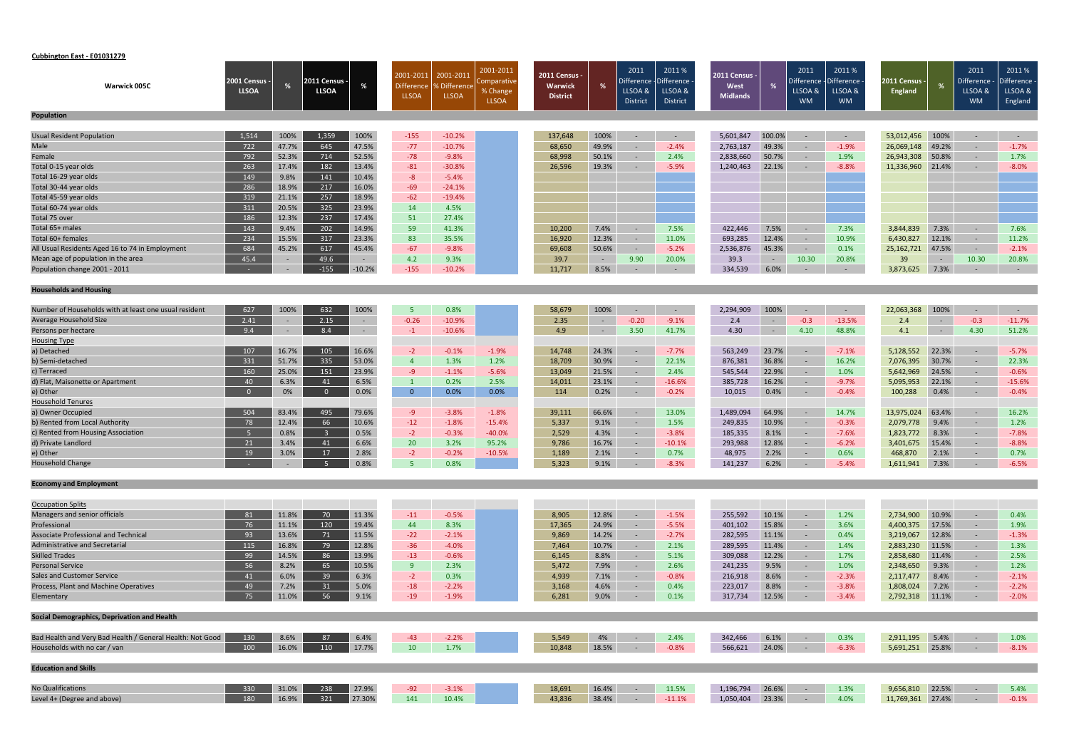# **Cubbington East ‐ E01031279**

| Warwick 005C                                              | <b>2001 Census -</b><br><b>LLSOA</b> |        | 2011 Census ·<br><b>LLSOA</b> |          | 2001-2011<br><b>Difference</b> | 2001-2011<br>% Difference | 2001-2011<br>Comparative<br>% Change | 2011 Census<br><b>Warwick</b> | %              | 2011<br>Difference $\cdot$<br>LLSOA & | 2011 %<br>-Difference<br>LLSOA & | 2011 Census -<br>West |                | 2011<br>Difference<br>LLSOA & | 2011%<br>Difference<br>LLSOA & | 2011 Census ·<br><b>England</b> | %              | 2011<br>Difference ·<br>LLSOA & | 2011%<br>Difference<br>LLSOA & |
|-----------------------------------------------------------|--------------------------------------|--------|-------------------------------|----------|--------------------------------|---------------------------|--------------------------------------|-------------------------------|----------------|---------------------------------------|----------------------------------|-----------------------|----------------|-------------------------------|--------------------------------|---------------------------------|----------------|---------------------------------|--------------------------------|
|                                                           |                                      |        |                               |          | <b>LLSOA</b>                   | <b>LLSOA</b>              | <b>LLSOA</b>                         | <b>District</b>               |                | <b>District</b>                       | District                         | <b>Midlands</b>       |                | <b>WM</b>                     | <b>WM</b>                      |                                 |                | <b>WM</b>                       | England                        |
| <b>Population</b>                                         |                                      |        |                               |          |                                |                           |                                      |                               |                |                                       |                                  |                       |                |                               |                                |                                 |                |                                 |                                |
| <b>Usual Resident Population</b>                          | 1,514                                | 100%   | 1,359                         | 100%     | $-155$                         | $-10.2%$                  |                                      | 137,648                       | 100%           | $\sim$                                | $\sim$                           | 5,601,847             | 100.0%         | $\sim$                        | $\sim$ $ \sim$                 | 53,012,456                      | 100%           | $\sim$                          | $\sim$                         |
| Male                                                      | 722                                  | 47.7%  | 645                           | 47.5%    | $-77$                          | $-10.7%$                  |                                      | 68,650                        | 49.9%          | $\sim$                                | $-2.4%$                          | 2,763,187             | 49.3%          | $\sim$                        | $-1.9%$                        | 26,069,148                      | 49.2%          | $\sim$                          | $-1.7%$                        |
| Female                                                    | 792                                  | 52.3%  | 714                           | 52.5%    | $-78$                          | $-9.8%$                   |                                      | 68,998                        | 50.1%          | $\sim$                                | 2.4%                             | 2,838,660             | 50.7%          | $\sim$                        | 1.9%                           | 26,943,308                      | 50.8%          | $\sim$                          | 1.7%                           |
| Total 0-15 year olds                                      | 263                                  | 17.4%  | 182                           | 13.4%    | $-81$                          | $-30.8%$                  |                                      | 26,596                        | 19.3%          | -9                                    | $-5.9%$                          | 1,240,463             | 22.1%          | $\sim$                        | $-8.8%$                        | 11,336,960                      | 21.4%          | $\sim$                          | $-8.0%$                        |
| Total 16-29 year olds                                     | 149                                  | 9.8%   | 141                           | 10.4%    | $-8$                           | $-5.4%$                   |                                      |                               |                |                                       |                                  |                       |                |                               |                                |                                 |                |                                 |                                |
| Total 30-44 year olds                                     | 286                                  | 18.9%  | 217                           | 16.0%    | $-69$                          | $-24.1%$                  |                                      |                               |                |                                       |                                  |                       |                |                               |                                |                                 |                |                                 |                                |
| Total 45-59 year olds                                     | 319                                  | 21.1%  | 257                           | 18.9%    | $-62$                          | $-19.4%$                  |                                      |                               |                |                                       |                                  |                       |                |                               |                                |                                 |                |                                 |                                |
| Total 60-74 year olds                                     | 311                                  | 20.5%  | 325                           | 23.9%    | 14                             | 4.5%                      |                                      |                               |                |                                       |                                  |                       |                |                               |                                |                                 |                |                                 |                                |
| Total 75 over                                             | 186                                  | 12.3%  | 237                           | 17.4%    | 51                             | 27.4%                     |                                      |                               |                |                                       |                                  |                       |                |                               |                                |                                 |                |                                 |                                |
| Total 65+ males                                           | 143                                  | 9.4%   | 202                           | 14.9%    | 59                             | 41.3%                     |                                      | 10,200                        | 7.4%           | $\overline{a}$                        | 7.5%                             | 422,446               | 7.5%           | $\sim$                        | 7.3%                           | 3,844,839                       | 7.3%           | $\sim$                          | 7.6%                           |
| Total 60+ females                                         | 234                                  | 15.5%  | 317                           | 23.3%    | 83                             | 35.5%                     |                                      | 16,920                        | 12.3%          | $\sim$                                | 11.0%                            | 693,285               | 12.4%          | $\sim$                        | 10.9%                          | 6,430,827                       | 12.1%          | $\sim$                          | 11.2%                          |
| All Usual Residents Aged 16 to 74 in Employment           | 684                                  | 45.2%  | 617                           | 45.4%    | $-67$                          | $-9.8%$                   |                                      | 69,608                        | 50.6%          | $\sim$                                | $-5.2%$                          | 2,536,876             | 45.3%          | $\sim$ $ \sim$                | 0.1%                           | 25,162,721                      | 47.5%          | $\sim$                          | $-2.1%$                        |
| Mean age of population in the area                        | 45.4                                 |        | 49.6                          | $\sim$   | 4.2                            | 9.3%                      |                                      | 39.7                          | $\sim$ $ \sim$ | 9.90                                  | 20.0%                            | 39.3                  | $\sim 10^{-1}$ | 10.30                         | 20.8%                          | 39                              | $\sim$ $ \sim$ | 10.30                           | 20.8%                          |
| Population change 2001 - 2011                             |                                      | $\sim$ | $-155$                        | $-10.2%$ | $-155$                         | $-10.2%$                  |                                      | 11,717                        | 8.5%           | $\sim$                                | $\sim$                           | 334,539               | 6.0%           | $\sim$                        | $\sim$ $-$                     | 3,873,625                       | 7.3%           | $\sim$                          | $\sim$ $-$                     |
|                                                           |                                      |        |                               |          |                                |                           |                                      |                               |                |                                       |                                  |                       |                |                               |                                |                                 |                |                                 |                                |
| <b>Households and Housing</b>                             |                                      |        |                               |          |                                |                           |                                      |                               |                |                                       |                                  |                       |                |                               |                                |                                 |                |                                 |                                |
| Number of Households with at least one usual resident     | 627                                  | 100%   | 632                           | 100%     | -5                             | 0.8%                      |                                      | 58,679                        | 100%           | $\sim$                                | $\sim$                           | 2,294,909             | 100%           |                               | $\sim$                         | 22,063,368                      | 100%           | $\sim$                          | $\sim$ $-$                     |
| Average Household Size                                    | 2.41                                 | $\sim$ | 2.15                          | $\sim$   | $-0.26$                        | $-10.9%$                  |                                      | 2.35                          | $\sim$         | $-0.20$                               | $-9.1%$                          | 2.4                   | $\sim$         | $-0.3$                        | $-13.5%$                       | 2.4                             | $\sim$         | $-0.3$                          | $-11.7%$                       |
| Persons per hectare                                       | 9.4                                  |        | 8.4                           | $\sim$   | $-1$                           | $-10.6%$                  |                                      | 4.9                           | ÷              | 3.50                                  | 41.7%                            | 4.30                  | $\sim$         | 4.10                          | 48.8%                          | 4.1                             | $\sim$ $ \sim$ | 4.30                            | 51.2%                          |
| <b>Housing Type</b>                                       |                                      |        |                               |          |                                |                           |                                      |                               |                |                                       |                                  |                       |                |                               |                                |                                 |                |                                 |                                |
| a) Detached                                               | 107                                  | 16.7%  | 105                           | 16.6%    | $-2$                           | $-0.1%$                   | $-1.9%$                              | 14,748                        | 24.3%          | $\sim$                                | $-7.7%$                          | 563,249               | 23.7%          | $\sim$                        | $-7.1%$                        | 5,128,552                       | 22.3%          | $\sim$                          | $-5.7%$                        |
| b) Semi-detached                                          | 331                                  | 51.7%  | 335                           | 53.0%    | $\overline{4}$                 | 1.3%                      | 1.2%                                 | 18,709                        | 30.9%          | $\sim$                                | 22.1%                            | 876,381               | 36.8%          | $\sim$                        | 16.2%                          | 7,076,395                       | 30.7%          | $\sim$                          | 22.3%                          |
| c) Terraced                                               | 160                                  | 25.0%  | 151                           | 23.9%    | $-9$                           | $-1.1%$                   | $-5.6%$                              | 13,049                        | 21.5%          | $\sim$                                | 2.4%                             | 545,544               | 22.9%          | $\sim$                        | 1.0%                           | 5,642,969                       | 24.5%          | $\sim$                          | $-0.6%$                        |
| d) Flat, Maisonette or Apartment                          | 40                                   | 6.3%   | 41                            | 6.5%     | $\mathbf{1}$                   | 0.2%                      | 2.5%                                 | 14,011                        | 23.1%          | $\sim$                                | $-16.6%$                         | 385,728               | 16.2%          | $\sim$                        | $-9.7%$                        | 5,095,953                       | 22.1%          | $\sim$                          | $-15.6%$                       |
| e) Other                                                  | $\Omega$                             | 0%     | $\overline{0}$                | 0.0%     | $\overline{0}$                 | 0.0%                      | 0.0%                                 | 114                           | 0.2%           | $\sim$                                | $-0.2%$                          | 10,015                | 0.4%           | $\sim$                        | $-0.4%$                        | 100,288                         | 0.4%           | $\sim$                          | $-0.4%$                        |
| <b>Household Tenures</b>                                  |                                      |        |                               |          |                                |                           |                                      |                               |                |                                       |                                  |                       |                |                               |                                |                                 |                |                                 |                                |
| a) Owner Occupied                                         | 504                                  | 83.4%  | 495                           | 79.6%    | $-9$                           | $-3.8%$                   | $-1.8%$                              | 39,111                        | 66.6%          |                                       | 13.0%                            | 1,489,094             | 64.9%          |                               | 14.7%                          | 13,975,024                      | 63.4%          | $\sim$                          | 16.2%                          |
| b) Rented from Local Authority                            | 78                                   | 12.4%  | 66                            | 10.6%    | $-12$                          | $-1.8%$                   | $-15.4%$                             | 5,337                         | 9.1%           | $\sim$                                | 1.5%                             | 249,835               | 10.9%          | $\sim$                        | $-0.3%$                        | 2,079,778                       | 9.4%           | $\sim$                          | 1.2%                           |
| c) Rented from Housing Association                        | - 5                                  | 0.8%   |                               | 0.5%     | $-2$                           | $-0.3%$                   | $-40.0%$                             | 2,529                         | 4.3%           | $\sim$                                | $-3.8%$                          | 185,335               | 8.1%           | $\sim$                        | $-7.6%$                        | 1,823,772                       | 8.3%           | $\sim$ $-$                      | $-7.8%$                        |
| d) Private Landlord                                       | 21                                   | 3.4%   | 41                            | 6.6%     | 20                             | 3.2%                      | 95.2%                                | 9,786                         | 16.7%          | $\sim$                                | $-10.1%$                         | 293,988               | 12.8%          | $\sim$                        | $-6.2%$                        | 3,401,675                       | 15.4%          | $\sim$                          | $-8.8%$                        |
| e) Other                                                  | 19                                   | 3.0%   | 17                            | 2.8%     | $-2$                           | $-0.2%$                   | $-10.5%$                             | 1,189                         | 2.1%           | $\sim$                                | 0.7%                             | 48,975                | 2.2%           | $\sim$                        | 0.6%                           | 468,870                         | 2.1%           | $\sim$                          | 0.7%                           |
| <b>Household Change</b>                                   |                                      |        | <b>COL</b>                    | 0.8%     | 5 <sub>1</sub>                 | 0.8%                      |                                      | 5,323                         | 9.1%           |                                       | $-8.3%$                          | 141,237 6.2%          |                | <b>Contract Contract</b>      | $-5.4%$                        | 1,611,941 7.3%                  |                | $-6.5%$                         |                                |
|                                                           |                                      |        |                               |          |                                |                           |                                      |                               |                |                                       |                                  |                       |                |                               |                                |                                 |                |                                 |                                |
| <b>Economy and Employment</b>                             |                                      |        |                               |          |                                |                           |                                      |                               |                |                                       |                                  |                       |                |                               |                                |                                 |                |                                 |                                |
| <b>Occupation Splits</b>                                  |                                      |        |                               |          |                                |                           |                                      |                               |                |                                       |                                  |                       |                |                               |                                |                                 |                |                                 |                                |
| Managers and senior officials                             | 81                                   | 11.8%  | 70                            | 11.3%    | $-11$                          | $-0.5%$                   |                                      | 8,905                         | 12.8%          |                                       | $-1.5%$                          | 255,592               | 10.1%          | $\sim$                        | 1.2%                           | 2,734,900                       | 10.9%          | $\sim$                          | 0.4%                           |
| Professional                                              | 76                                   | 11.1%  | 120                           | 19.4%    | 44                             | 8.3%                      |                                      | 17,365                        | 24.9%          | $\sim$                                | $-5.5%$                          | 401,102               | 15.8%          | $\sim$                        | 3.6%                           | 4,400,375                       | 17.5%          | $\sim$                          | 1.9%                           |
| <b>Associate Professional and Technical</b>               | 93                                   | 13.6%  | 71                            | 11.5%    | $-22$                          | $-2.1%$                   |                                      | 9,869                         | 14.2%          | $\sim$                                | $-2.7%$                          | 282,595               | 11.1%          | $\sim$                        | 0.4%                           | 3,219,067                       | 12.8%          | $\sim$                          | $-1.3%$                        |
| <b>Administrative and Secretarial</b>                     | 115                                  | 16.8%  | 79                            | 12.8%    | $-36$                          | $-4.0%$                   |                                      | 7,464                         | 10.7%          | $\sim$                                | 2.1%                             | 289,595               | 11.4%          | $\sim$                        | 1.4%                           | 2,883,230                       | 11.5%          | $\sim$                          | 1.3%                           |
| <b>Skilled Trades</b>                                     | 99                                   | 14.5%  | 86                            | 13.9%    | $-13$                          | $-0.6%$                   |                                      | 6,145                         | 8.8%           | $\sim$                                | 5.1%                             | 309,088               | 12.2%          | $\sim$                        | 1.7%                           | 2,858,680                       | 11.4%          | $\sim$                          | 2.5%                           |
| <b>Personal Service</b>                                   | 56                                   | 8.2%   | 65                            | 10.5%    | 9                              | 2.3%                      |                                      | 5,472                         | 7.9%           | $\sim$                                | 2.6%                             | 241,235               | 9.5%           | $\sim$                        | 1.0%                           | 2,348,650                       | 9.3%           | $\sim$                          | 1.2%                           |
| <b>Sales and Customer Service</b>                         | 41                                   | 6.0%   | 39                            | 6.3%     | $-2$                           | 0.3%                      |                                      | 4,939                         | 7.1%           | $\sim$                                | $-0.8%$                          | 216,918               | 8.6%           | $\sim$                        | $-2.3%$                        | 2,117,477                       | 8.4%           | $\sim$                          | $-2.1%$                        |
| Process, Plant and Machine Operatives                     | 49                                   | 7.2%   | 31                            | 5.0%     | $-18$                          | $-2.2%$                   |                                      | 3,168                         | 4.6%           | $\sim$                                | 0.4%                             | 223,017               | 8.8%           | $\sim$ $-$                    | $-3.8%$                        | 1,808,024                       | 7.2%           | $\sim$                          | $-2.2%$                        |
| Elementary                                                | 75                                   | 11.0%  | 56                            | 9.1%     | $-19$                          | $-1.9%$                   |                                      | 6,281                         | 9.0%           | $\sim$ $-$                            | 0.1%                             | 317,734               | 12.5%          | $\sim$ $-$                    | $-3.4%$                        | 2,792,318                       | 11.1%          | $\sim$                          | $-2.0%$                        |
| Social Demographics, Deprivation and Health               |                                      |        |                               |          |                                |                           |                                      |                               |                |                                       |                                  |                       |                |                               |                                |                                 |                |                                 |                                |
|                                                           |                                      |        |                               |          |                                |                           |                                      |                               |                |                                       |                                  |                       |                |                               |                                |                                 |                |                                 |                                |
| Bad Health and Very Bad Health / General Health: Not Good | 130                                  | 8.6%   | 87                            | 6.4%     | $-43$                          | $-2.2%$                   |                                      | 5,549                         | 4%             | $\sim$ $-$                            | 2.4%                             | 342,466               | 6.1%           | $\sim$ $-$                    | 0.3%                           | 2,911,195                       | 5.4%           | $\sim$                          | 1.0%                           |
| Households with no car / van                              | 100                                  | 16.0%  | 110                           | 17.7%    | 10                             | 1.7%                      |                                      | 10,848                        | 18.5%          | $\sim$                                | $-0.8%$                          | 566,621               | 24.0%          | $\sim$                        | $-6.3%$                        | 5,691,251 25.8%                 |                | $\sim$                          | $-8.1%$                        |
| <b>Education and Skills</b>                               |                                      |        |                               |          |                                |                           |                                      |                               |                |                                       |                                  |                       |                |                               |                                |                                 |                |                                 |                                |
| No Qualifications                                         | 330                                  | 31.0%  | 238                           | 27.9%    | $-92$                          | $-3.1%$                   |                                      | 18,691                        | 16.4%          | $\sim$ $-$                            | 11.5%                            | 1,196,794             | 26.6%          | $\sim$ $-$                    | 1.3%                           | 9,656,810                       | 22.5%          | $\sim$ $-$                      | 5.4%                           |
| Level 4+ (Degree and above)                               | 180                                  | 16.9%  | 321                           | 27.30%   | 141                            | 10.4%                     |                                      | 43,836                        | 38.4%          | $\sim 100$                            | $-11.1%$                         | 1,050,404             | 23.3%          | $\sim$ $-$                    | 4.0%                           | 11,769,361 27.4%                |                | $\sim$                          | $-0.1%$                        |
|                                                           |                                      |        |                               |          |                                |                           |                                      |                               |                |                                       |                                  |                       |                |                               |                                |                                 |                |                                 |                                |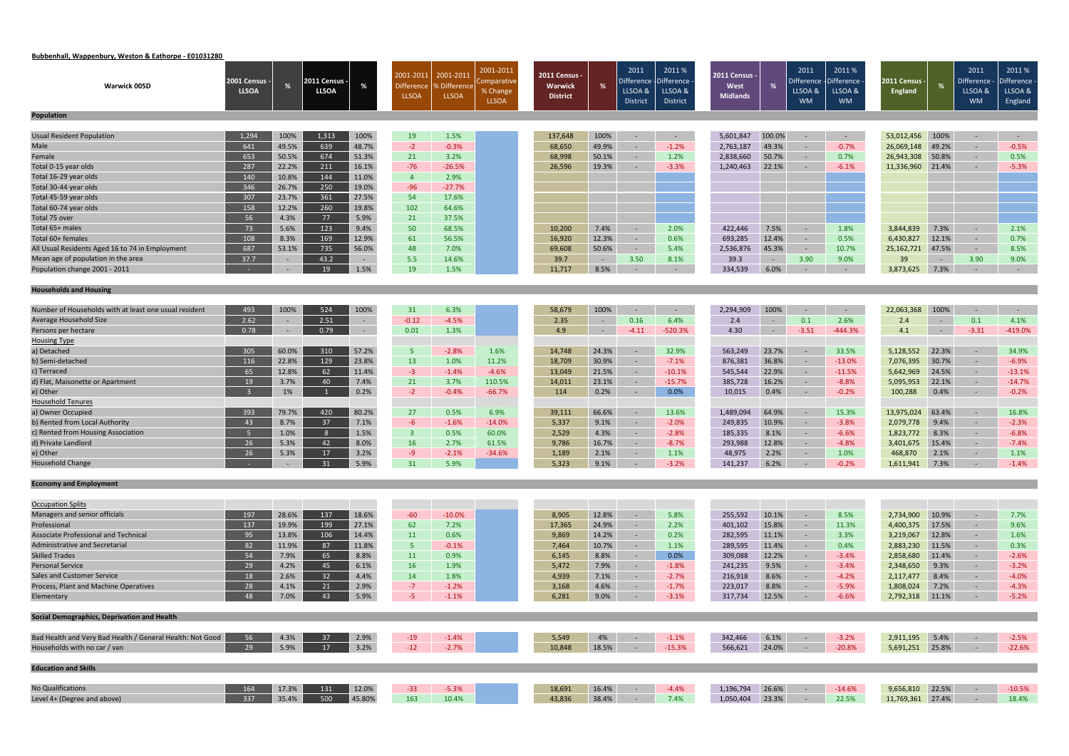# **Bubbenhall, Wappenbury, Weston & Eathorpe ‐ E01031280**

|                                                                                        | 2001 Census - |        | 2011 Census · |                  | 2001-2011                         | 2001-2011                          | 2001-2011<br>omparative  | 2011 Census -              |                      | 2011<br>Difference         | 2011%<br><b>Difference</b> | <b>2011 Census -</b> |                  | 2011<br>Difference   | 2011%<br><b>Difference</b> | 2011 Census -    |                              | 2011<br>Difference - | 2011%<br>- Difference |
|----------------------------------------------------------------------------------------|---------------|--------|---------------|------------------|-----------------------------------|------------------------------------|--------------------------|----------------------------|----------------------|----------------------------|----------------------------|----------------------|------------------|----------------------|----------------------------|------------------|------------------------------|----------------------|-----------------------|
| <b>Warwick 005D</b>                                                                    | <b>LLSOA</b>  | %      | <b>LLSOA</b>  | $\gamma$         | <b>Difference</b><br><b>LLSOA</b> | <b>SDifference</b><br><b>LLSOA</b> | % Change<br><b>LLSOA</b> | Warwick<br><b>District</b> | %                    | LLSOA &<br><b>District</b> | LLSOA &<br>District        | West<br>Midlands     |                  | LLSOA &<br><b>WM</b> | LLSOA &<br><b>WM</b>       | <b>England</b>   | %                            | LLSOA &<br><b>WM</b> | LLSOA &<br>England    |
| Population                                                                             |               |        |               |                  |                                   |                                    |                          |                            |                      |                            |                            |                      |                  |                      |                            |                  |                              |                      |                       |
| <b>Usual Resident Population</b>                                                       | 1,294         | 100%   | 1,313         | 100%             | 19                                | 1.5%                               |                          | 137,648                    | 100%                 | $\sim$                     | $\sim$ $-$                 | 5,601,847            | 100.0%           | $\sim$               | $\sim$ $-$                 | 53,012,456       | 100%                         | $\sim$ $-$           | $\sim$ $-$            |
| Male                                                                                   | 641           | 49.5%  | 639           | 48.7%            | $-2$                              | $-0.3%$                            |                          | 68,650                     | 49.9%                | $\sim$                     | $-1.2%$                    | 2,763,187            | 49.3%            | $\sim$               | $-0.7%$                    | 26,069,148       | 49.2%                        | $\sim$               | $-0.5%$               |
| Female                                                                                 | 653           | 50.5%  | 674           | 51.3%            | 21                                | 3.2%                               |                          | 68,998                     | 50.1%                | $\sim$                     | 1.2%                       | 2,838,660            | 50.7%            | $\sim$               | 0.7%                       | 26,943,308       | 50.8%                        | $\sim$               | 0.5%                  |
| Total 0-15 year olds                                                                   | 287           | 22.2%  | 211           | 16.1%            | $-76$                             | $-26.5%$                           |                          | 26,596                     | 19.3%                | $\sim$                     | $-3.3%$                    | 1,240,463            | 22.1%            |                      | $-6.1%$                    | 11,336,960       | 21.4%                        | $\sim$               | $-5.3%$               |
| Total 16-29 year olds                                                                  | 140           | 10.8%  | 144           | 11.0%            | $\overline{4}$                    | 2.9%                               |                          |                            |                      |                            |                            |                      |                  |                      |                            |                  |                              |                      |                       |
| Total 30-44 year olds                                                                  | 346           | 26.7%  | 250           | 19.0%            | $-96$                             | $-27.7%$                           |                          |                            |                      |                            |                            |                      |                  |                      |                            |                  |                              |                      |                       |
| Total 45-59 year olds                                                                  | 307           | 23.7%  | 361           | 27.5%            | 54                                | 17.6%                              |                          |                            |                      |                            |                            |                      |                  |                      |                            |                  |                              |                      |                       |
| Total 60-74 year olds                                                                  | 158           | 12.2%  | 260           | 19.8%            | 102                               | 64.6%                              |                          |                            |                      |                            |                            |                      |                  |                      |                            |                  |                              |                      |                       |
| Total 75 over                                                                          | 56            | 4.3%   | 77            | 5.9%             | 21                                | 37.5%                              |                          |                            |                      |                            |                            |                      |                  |                      |                            |                  |                              |                      |                       |
| Total 65+ males                                                                        | 73            | 5.6%   | 123           | 9.4%             | 50                                | 68.5%                              |                          | 10,200                     | 7.4%                 | $\sim$                     | 2.0%                       | 422,446              | 7.5%             | $\sim$ $-$           | 1.8%                       | 3,844,839        | 7.3%                         | $\sim$               | 2.1%                  |
| Total 60+ females                                                                      | 108           | 8.3%   | 169           | 12.9%            | 61                                | 56.5%                              |                          | 16,920                     | 12.3%                | $\sim$                     | 0.6%                       | 693,285              | 12.4%            | $\sim$               | 0.5%                       | 6,430,827        | 12.1%                        | $\sim$               | 0.7%                  |
| All Usual Residents Aged 16 to 74 in Employment                                        | 687           | 53.1%  | 735           | 56.0%            | 48                                | 7.0%                               |                          | 69,608                     | 50.6%                | $\sim$                     | 5.4%                       | 2,536,876            | 45.3%            | $\sim$ $-$           | 10.7%                      | 25, 162, 721     | 47.5%                        | $\sim$               | 8.5%                  |
| Mean age of population in the area                                                     | 37.7          | $\sim$ | 43.2          | $\sim$           | 5.5                               | 14.6%                              |                          | 39.7                       | $\sim 10^{-1}$       | 3.50                       | 8.1%                       | 39.3                 | $\sim$ $ \sim$   | 3.90                 | 9.0%                       | 39               | $\sim 100$                   | 3.90                 | 9.0%                  |
| Population change 2001 - 2011                                                          |               |        | 19            | 1.5%             | 19                                | 1.5%                               |                          | 11,717                     | 8.5%                 | $\sim$                     | $\sim$                     | 334,539              | 6.0%             | $\sim$               | $\sim$                     | 3,873,625        | 7.3%                         | $\sim$               | $\sim$ $-$            |
| <b>Households and Housing</b>                                                          |               |        |               |                  |                                   |                                    |                          |                            |                      |                            |                            |                      |                  |                      |                            |                  |                              |                      |                       |
|                                                                                        |               |        |               |                  |                                   |                                    |                          |                            |                      |                            |                            |                      |                  |                      |                            |                  |                              |                      |                       |
| Number of Households with at least one usual resident<br><b>Average Household Size</b> | 493           | 100%   | 524           | 100%             | 31                                | 6.3%                               |                          | 58,679                     | 100%                 | $\sim$                     | $\sim$                     | 2,294,909            | 100%             | $\sim$               | $\sim$                     | 22,063,368       | 100%                         | $\sim$               | $\sim$ $-$            |
|                                                                                        | 2.62<br>0.78  | $\sim$ | 2.51<br>0.79  | $\sim$<br>$\sim$ | $-0.12$<br>0.01                   | $-4.5%$<br>1.3%                    |                          | 2.35<br>4.9                | $\sim$<br>$\sim$ $-$ | 0.16<br>$-4.11$            | 6.4%<br>$-520.3%$          | 2.4<br>4.30          | $\sim$<br>$\sim$ | 0.1<br>$-3.51$       | 2.6%<br>$-444.3%$          | 2.4<br>4.1       | $\sim$ $-$<br>$\sim$ $ \sim$ | 0.1<br>$-3.31$       | 4.1%<br>$-419.0%$     |
| Persons per hectare<br><b>Housing Type</b>                                             |               |        |               |                  |                                   |                                    |                          |                            |                      |                            |                            |                      |                  |                      |                            |                  |                              |                      |                       |
| a) Detached                                                                            | 305           | 60.0%  | 310           | 57.2%            | 5 <sub>1</sub>                    | $-2.8%$                            | 1.6%                     | 14,748                     | 24.3%                | $\sim$                     | 32.9%                      | 563,249              | 23.7%            | $\sim$ $-$           | 33.5%                      | 5,128,552        | 22.3%                        | $\sim$               | 34.9%                 |
| b) Semi-detached                                                                       | 116           | 22.8%  | 129           | 23.8%            | 13                                | 1.0%                               | 11.2%                    | 18,709                     | 30.9%                | $\sim$                     | $-7.1%$                    | 876,381              | 36.8%            | $\sim$               | $-13.0%$                   | 7,076,395        | 30.7%                        | $\sim$               | $-6.9%$               |
| c) Terraced                                                                            | 65            | 12.8%  | 62            | 11.4%            | $-3$                              | $-1.4%$                            | $-4.6%$                  | 13,049                     | 21.5%                | $\sim$                     | $-10.1%$                   | 545,544              | 22.9%            | $\sim$ $-$           | $-11.5%$                   | 5,642,969        | 24.5%                        | $\sim$               | $-13.1%$              |
| d) Flat, Maisonette or Apartment                                                       | 19            | 3.7%   | 40            | 7.4%             | 21                                | 3.7%                               | 110.5%                   | 14,011                     | 23.1%                | $\sim$                     | $-15.7%$                   | 385,728              | 16.2%            | $\sim$               | $-8.8%$                    | 5,095,953        | 22.1%                        | $\sim$               | $-14.7%$              |
| e) Other                                                                               |               | 1%     |               | 0.2%             | $-2$                              | $-0.4%$                            | $-66.7%$                 | 114                        | 0.2%                 | $\sim$                     | 0.0%                       | 10,015               | 0.4%             | $\sim$ $-$           | $-0.2%$                    | 100,288          | 0.4%                         | $\sim$               | $-0.2%$               |
| <b>Household Tenures</b>                                                               |               |        |               |                  |                                   |                                    |                          |                            |                      |                            |                            |                      |                  |                      |                            |                  |                              |                      |                       |
| a) Owner Occupied                                                                      | 393           | 79.7%  | 420           | 80.2%            | 27                                | 0.5%                               | 6.9%                     | 39,111                     | 66.6%                | $\sim$                     | 13.6%                      | 1,489,094            | 64.9%            | $\sim$               | 15.3%                      | 13,975,024       | 63.4%                        | $\sim$               | 16.8%                 |
| b) Rented from Local Authority                                                         | 43            | 8.7%   | 37            | 7.1%             | $-6$                              | $-1.6%$                            | $-14.0%$                 | 5,337                      | 9.1%                 | $\sim$                     | $-2.0%$                    | 249,835              | 10.9%            |                      | $-3.8%$                    | 2,079,778        | 9.4%                         | $\sim$               | $-2.3%$               |
| c) Rented from Housing Association                                                     | - 5           | 1.0%   | 8             | 1.5%             | $\overline{\mathbf{3}}$           | 0.5%                               | 60.0%                    | 2,529                      | 4.3%                 | $\sim$                     | $-2.8\%$                   | 185,335              | 8.1%             | $\sim$ $-$           | $-6.6%$                    | 1,823,772        | 8.3%                         | $\sim$ $^{-1}$       | $-6.8%$               |
| d) Private Landlord                                                                    | 26            | 5.3%   | 42            | 8.0%             | 16                                | 2.7%                               | 61.5%                    | 9,786                      | 16.7%                | $\sim$                     | $-8.7%$                    | 293,988              | 12.8%            | $\sim$               | $-4.8%$                    | 3,401,675        | 15.4%                        | $\sim$               | $-7.4%$               |
| e) Other                                                                               | 26            | 5.3%   | 17            | 3.2%             | $-9$                              | $-2.1%$                            | $-34.6%$                 | 1,189                      | 2.1%                 | $\sim$                     | 1.1%                       | 48,975               | 2.2%             | $\sim$               | 1.0%                       | 468,870          | 2.1%                         | $\sim$               | 1.1%                  |
| <b>Household Change</b>                                                                |               |        | $31$ 5.9%     |                  | 31                                | 5.9%                               |                          | 5,323                      |                      |                            | $9.1\%$ $-3.2\%$           | 141,237 6.2%         |                  |                      | $ -0.2\%$                  | 1,611,941 7.3%   |                              | $-1.4\%$             |                       |
| <b>Economy and Employment</b>                                                          |               |        |               |                  |                                   |                                    |                          |                            |                      |                            |                            |                      |                  |                      |                            |                  |                              |                      |                       |
| <b>Occupation Splits</b>                                                               |               |        |               |                  |                                   |                                    |                          |                            |                      |                            |                            |                      |                  |                      |                            |                  |                              |                      |                       |
| Managers and senior officials                                                          | 197           | 28.6%  | 137           | 18.6%            | $-60$                             | $-10.0%$                           |                          | 8,905                      | 12.8%                | $\sim$                     | 5.8%                       | 255,592              | 10.1%            | $\sim$               | 8.5%                       | 2,734,900        | 10.9%                        | $\sim$               | 7.7%                  |
| Professional                                                                           | 137           | 19.9%  | 199           | 27.1%            | 62                                | 7.2%                               |                          | 17,365                     | 24.9%                | $\sim$                     | 2.2%                       | 401,102              | 15.8%            | $\sim$               | 11.3%                      | 4,400,375        | 17.5%                        | $\sim$               | 9.6%                  |
| Associate Professional and Technical                                                   | 95            | 13.8%  | 106           | 14.4%            | 11                                | 0.6%                               |                          | 9,869                      | 14.2%                | $\sim$ $-$                 | 0.2%                       | 282,595              | 11.1%            | $\sim$               | 3.3%                       | 3,219,067        | 12.8%                        | $\sim$               | 1.6%                  |
| <b>Administrative and Secretarial</b>                                                  | 82            | 11.9%  | 87            | 11.8%            | 5 <sub>1</sub>                    | $-0.1%$                            |                          | 7,464                      | 10.7%                | $\sim$                     | 1.1%                       | 289,595              | 11.4%            | $\sim$               | 0.4%                       | 2,883,230        | 11.5%                        | $\sim$               | 0.3%                  |
| <b>Skilled Trades</b>                                                                  | 54            | 7.9%   | 65            | 8.8%             | 11                                | 0.9%                               |                          | 6,145                      | 8.8%                 | $\sim$                     | 0.0%                       | 309,088              | 12.2%            | $\sim$               | $-3.4%$                    | 2,858,680        | 11.4%                        | $\sim$               | $-2.6%$               |
| <b>Personal Service</b>                                                                | 29            | 4.2%   | 45            | 6.1%             | 16                                | 1.9%                               |                          | 5,472                      | 7.9%                 | $\sim$                     | $-1.8%$                    | 241,235              | 9.5%             | $\sim$ $ \sim$       | $-3.4%$                    | 2,348,650        | 9.3%                         | $\sim$               | $-3.2%$               |
| <b>Sales and Customer Service</b>                                                      | 18            | 2.6%   | 32            | 4.4%             | 14                                | 1.8%                               |                          | 4,939                      | 7.1%                 | $\sim$                     | $-2.7%$                    | 216,918              | 8.6%             | $\sim$               | $-4.2%$                    | 2,117,477        | 8.4%                         | $\sim$               | $-4.0%$               |
| Process, Plant and Machine Operatives                                                  | 28            | 4.1%   | 21            | 2.9%             | $-7$                              | $-1.2%$                            |                          | 3,168                      | 4.6%                 | $\sim$ $^{-1}$             | $-1.7%$                    | 223,017              | 8.8%             | $\sim$               | $-5.9%$                    | 1,808,024        | 7.2%                         | $\sim$               | $-4.3%$               |
| Elementary                                                                             | 48            | 7.0%   | 43            | 5.9%             | $-5$                              | $-1.1%$                            |                          | 6,281                      | 9.0%                 | $\sim$                     | $-3.1%$                    | 317,734              | 12.5%            | $\sim$ $-$           | $-6.6%$                    | 2,792,318 11.1%  |                              | $\sim$ $-$           | $-5.2%$               |
| Social Demographics, Deprivation and Health                                            |               |        |               |                  |                                   |                                    |                          |                            |                      |                            |                            |                      |                  |                      |                            |                  |                              |                      |                       |
|                                                                                        |               |        |               |                  |                                   |                                    |                          |                            |                      |                            |                            |                      |                  |                      |                            |                  |                              |                      |                       |
| Bad Health and Very Bad Health / General Health: Not Good                              | 56            | 4.3%   | 37            | 2.9%             | $-19$                             | $-1.4%$                            |                          | 5,549                      | 4%                   | $\sim$                     | $-1.1%$                    | 342,466              | 6.1%             | $\sim$ $-$           | $-3.2%$                    | 2,911,195 5.4%   |                              | $\sim$ $-$           | $-2.5%$               |
| Households with no car / van                                                           | 29            | 5.9%   | 17            | 3.2%             | $-12$                             | $-2.7%$                            |                          | 10,848                     | 18.5%                | $\sim$ $-$                 | $-15.3%$                   | 566,621              | 24.0%            | $\sim$ $-$           | $-20.8%$                   | 5,691,251 25.8%  |                              | $\sim$               | $-22.6%$              |
| <b>Education and Skills</b>                                                            |               |        |               |                  |                                   |                                    |                          |                            |                      |                            |                            |                      |                  |                      |                            |                  |                              |                      |                       |
|                                                                                        |               |        |               |                  |                                   |                                    |                          |                            |                      |                            |                            |                      |                  |                      |                            |                  |                              |                      |                       |
| <b>No Qualifications</b>                                                               | 164           | 17.3%  | 131           | 12.0%            | $-33$                             | $-5.3%$                            |                          | 18,691                     | 16.4%                | $\sim$ $-$                 | $-4.4%$                    | 1,196,794            | 26.6%            | $\sim$ $-$           | $-14.6%$                   | 9,656,810        | 22.5%                        | $\sim$               | $-10.5%$              |
| Level 4+ (Degree and above)                                                            | 337           | 35.4%  | 500           | 45.80%           | 163                               | 10.4%                              |                          | 43,836                     | 38.4%                | $\sim$ $ \sim$             | 7.4%                       | 1,050,404            | 23.3%            | $\sim$ $-$           | 22.5%                      | 11,769,361 27.4% |                              | $\sim$ $-$           | 18.4%                 |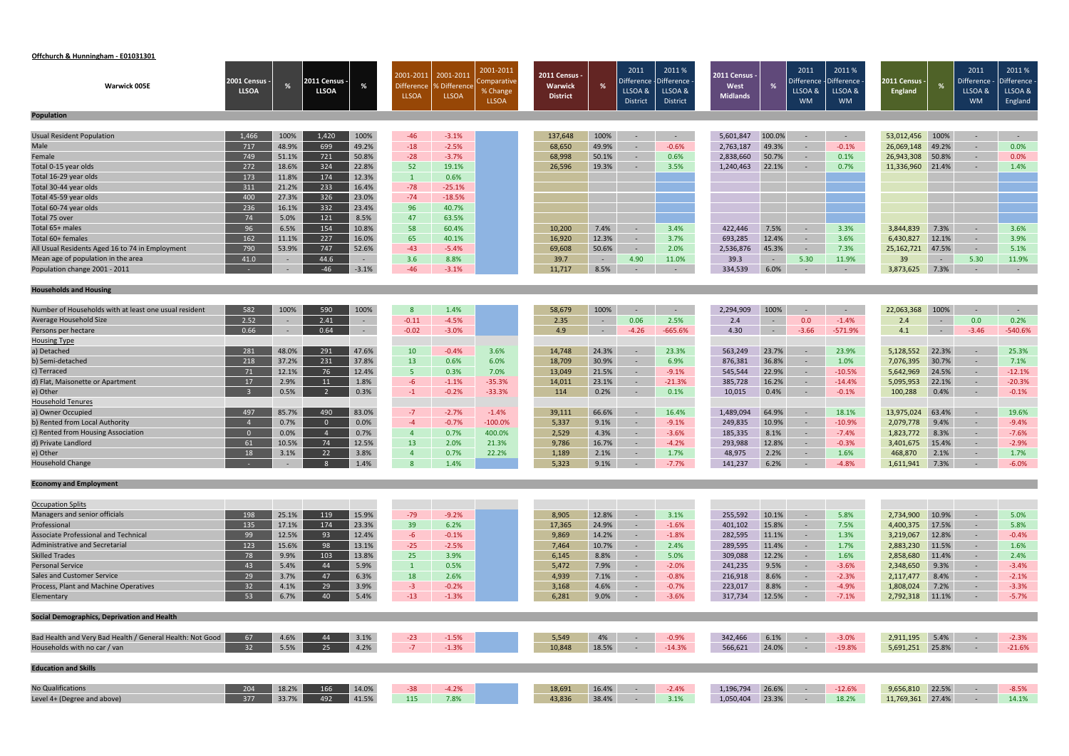#### **Offchurch & Hunningham ‐ E01031301**

|                                                           |                                      |        |                             |                  | 2001-2011         | 2001-2011          | 2001-2011               | 2011 Census -   |                | 2011                  | 2011 %                 | 2011 Census -    |                | 2011                  | 2011%                 |                                 |                          | 2011                    | 2011%                 |
|-----------------------------------------------------------|--------------------------------------|--------|-----------------------------|------------------|-------------------|--------------------|-------------------------|-----------------|----------------|-----------------------|------------------------|------------------|----------------|-----------------------|-----------------------|---------------------------------|--------------------------|-------------------------|-----------------------|
| <b>Warwick 005E</b>                                       | <b>2001 Census -</b><br><b>LLSOA</b> | %      | :011 Census<br><b>LLSOA</b> | %                | <b>Difference</b> | % Difference       | Comparative<br>% Change | <b>Warwick</b>  | %              | Difference<br>LLSOA & | -Difference<br>LLSOA & | West             |                | Difference<br>LLSOA & | )ifference<br>LLSOA & | 2011 Census ·<br><b>England</b> |                          | Difference ·<br>LLSOA & | Difference<br>LLSOA & |
|                                                           |                                      |        |                             |                  | <b>LLSOA</b>      | <b>LLSOA</b>       | <b>LLSOA</b>            | <b>District</b> |                | District              | District               | <b>Midlands</b>  |                | <b>WM</b>             | <b>WM</b>             |                                 |                          | <b>WM</b>               | England               |
| <b>Population</b>                                         |                                      |        |                             |                  |                   |                    |                         |                 |                |                       |                        |                  |                |                       |                       |                                 |                          |                         |                       |
|                                                           |                                      |        |                             |                  |                   |                    |                         |                 |                |                       |                        |                  |                |                       |                       |                                 |                          |                         |                       |
| <b>Usual Resident Population</b>                          | 1,466                                | 100%   | 1,420                       | 100%             | $-46$             | $-3.1%$            |                         | 137,648         | 100%           | $\sim$                | $\sim$ $ \sim$         | 5,601,847        | 100.0%         | $\sim$                | $\sim$ $ \sim$        | 53,012,456                      | 100%                     | $\sim$                  | $\sim$ $ \sim$        |
| Male                                                      | 717                                  | 48.9%  | 699                         | 49.2%            | $-18$             | $-2.5%$            |                         | 68,650          | 49.9%          | $\sim$                | $-0.6%$                | 2,763,187        | 49.3%          | $\sim$                | $-0.1%$               | 26,069,148                      | 49.2%                    | $\sim$                  | 0.0%                  |
| Female                                                    | 749                                  | 51.1%  | 721                         | 50.8%            | $-28$             | $-3.7%$            |                         | 68,998          | 50.1%          | $\sim$                | 0.6%                   | 2,838,660        | 50.7%          | $\sim$                | 0.1%                  | 26,943,308                      | 50.8%                    | $\sim$                  | 0.0%                  |
| Total 0-15 year olds                                      | 272                                  | 18.6%  | 324                         | 22.8%            | 52                | 19.1%              |                         | 26,596          | 19.3%          | $\sim$                | 3.5%                   | 1,240,463        | 22.1%          | $\sim$                | 0.7%                  | 11,336,960                      | 21.4%                    | $\sim$                  | 1.4%                  |
| Total 16-29 year olds                                     | 173                                  | 11.8%  | 174                         | 12.3%            | $\mathbf{1}$      | 0.6%               |                         |                 |                |                       |                        |                  |                |                       |                       |                                 |                          |                         |                       |
| Total 30-44 year olds                                     | 311                                  | 21.2%  | 233                         | 16.4%            | $-78$             | $-25.1%$           |                         |                 |                |                       |                        |                  |                |                       |                       |                                 |                          |                         |                       |
| Total 45-59 year olds                                     | 400                                  | 27.3%  | 326                         | 23.0%            | $-74$             | $-18.5%$           |                         |                 |                |                       |                        |                  |                |                       |                       |                                 |                          |                         |                       |
| Total 60-74 year olds                                     | 236                                  | 16.1%  | 332                         | 23.4%            | 96                | 40.7%              |                         |                 |                |                       |                        |                  |                |                       |                       |                                 |                          |                         |                       |
| Total 75 over                                             | 74                                   | 5.0%   | 121                         | 8.5%             | 47                | 63.5%              |                         |                 |                |                       |                        |                  |                |                       |                       |                                 |                          |                         |                       |
| Total 65+ males                                           | 96                                   | 6.5%   | 154                         | 10.8%            | 58                | 60.4%              |                         | 10,200          | 7.4%           | $\sim$                | 3.4%                   | 422,446          | 7.5%           | $\sim$                | 3.3%                  | 3,844,839                       | 7.3%                     | $\sim$                  | 3.6%                  |
| Total 60+ females                                         | 162                                  | 11.1%  | 227                         | 16.0%            | 65                | 40.1%              |                         | 16,920          | 12.3%          | $\sim$                | 3.7%                   | 693,285          | 12.4%          | $\sim$ $ \sim$        | 3.6%                  | 6,430,827                       | 12.1%                    | $\sim$                  | 3.9%                  |
| All Usual Residents Aged 16 to 74 in Employment           | 790                                  | 53.9%  | 747                         | 52.6%            | $-43$             | $-5.4%$            |                         | 69,608          | 50.6%          | $\sim$                | 2.0%                   | 2,536,876        | 45.3%          | $\sim$                | 7.3%                  | 25,162,721                      | 47.5%                    | $\sim$                  | 5.1%                  |
| Mean age of population in the area                        | 41.0                                 | $\sim$ | 44.6                        | $\sim$           | 3.6               | 8.8%               |                         | 39.7            | $\sim$ $ \sim$ | 4.90                  | 11.0%                  | 39.3             | $\sim$ $-$     | 5.30                  | 11.9%                 | 39                              | $\sim$ $ \sim$           | 5.30                    | 11.9%                 |
| Population change 2001 - 2011                             |                                      | $\sim$ | $-46$                       | $-3.1%$          | $-46$             | $-3.1%$            |                         | 11,717          | 8.5%           | $\sim$                | $\sim$                 | 334,539          | 6.0%           | $\sim$                | $\sim$                | 3,873,625                       | 7.3%                     | $\sim$                  | $\sim$ $-$            |
| <b>Households and Housing</b>                             |                                      |        |                             |                  |                   |                    |                         |                 |                |                       |                        |                  |                |                       |                       |                                 |                          |                         |                       |
| Number of Households with at least one usual resident     | 582                                  | 100%   | 590                         | 100%             | 8                 | 1.4%               |                         | 58,679          | 100%           | $\sim$                | $\sim$                 |                  | 100%           |                       | $\sim$ $-$            | 22,063,368                      | 100%                     | $\sim$                  | $\sim$ $-$            |
| Average Household Size                                    | 2.52                                 |        | 2.41                        |                  | $-0.11$           | $-4.5%$            |                         | 2.35            | $\sim$         | 0.06                  | 2.5%                   | 2,294,909<br>2.4 | $\sim$         | 0.0                   | $-1.4%$               | 2.4                             |                          | 0.0                     | 0.2%                  |
|                                                           | 0.66                                 | $\sim$ | 0.64                        | $\sim$<br>$\sim$ | $-0.02$           | $-3.0%$            |                         | 4.9             | $\sim$         | $-4.26$               | $-665.6%$              | 4.30             | $\sim$ $ \sim$ | $-3.66$               | $-571.9%$             | 4.1                             | $\sim$ $-$<br>$\sim 100$ | $-3.46$                 | $-540.6%$             |
| Persons per hectare<br><b>Housing Type</b>                |                                      |        |                             |                  |                   |                    |                         |                 |                |                       |                        |                  |                |                       |                       |                                 |                          |                         |                       |
| a) Detached                                               | 281                                  | 48.0%  | 291                         | 47.6%            | 10                | $-0.4%$            | 3.6%                    | 14,748          | 24.3%          | $\sim$                | 23.3%                  | 563,249          | 23.7%          | $\sim$                | 23.9%                 | 5,128,552                       | 22.3%                    | $\sim$                  | 25.3%                 |
| b) Semi-detached                                          | 218                                  | 37.2%  | 231                         | 37.8%            | <b>13</b>         | 0.6%               | 6.0%                    | 18,709          | 30.9%          | $\sim$                | 6.9%                   | 876,381          | 36.8%          | $\sim$                | 1.0%                  | 7,076,395                       | 30.7%                    | $\sim$                  | 7.1%                  |
| c) Terraced                                               | 71                                   | 12.1%  | 76                          | 12.4%            | 5 <sub>1</sub>    | 0.3%               | 7.0%                    | 13,049          | 21.5%          | $\sim$                | $-9.1%$                | 545,544          | 22.9%          | $\sim$                | $-10.5%$              | 5,642,969                       | 24.5%                    | $\sim$                  | $-12.1%$              |
| d) Flat, Maisonette or Apartment                          | 17                                   | 2.9%   | 11                          | 1.8%             | $-6$              | $-1.1%$            | $-35.3%$                | 14,011          | 23.1%          | $\sim$                | $-21.3%$               | 385,728          | 16.2%          | $\sim$                | $-14.4\%$             | 5,095,953                       | 22.1%                    | $\sim$                  | $-20.3%$              |
| e) Other                                                  | $\overline{\mathbf{3}}$              | 0.5%   | $\overline{2}$              | 0.3%             | $-1$              | $-0.2%$            | $-33.3%$                | 114             | 0.2%           | $\sim$                | 0.1%                   | 10,015           | 0.4%           | $\sim$ $-$            | $-0.1%$               | 100,288                         | 0.4%                     | $\sim$                  | $-0.1%$               |
| <b>Household Tenures</b>                                  |                                      |        |                             |                  |                   |                    |                         |                 |                |                       |                        |                  |                |                       |                       |                                 |                          |                         |                       |
| a) Owner Occupied                                         | 497                                  | 85.7%  | 490                         | 83.0%            | $-7$              | $-2.7%$            | $-1.4%$                 | 39,111          | 66.6%          | $\sim$                | 16.4%                  | 1,489,094        | 64.9%          | $\sim$                | 18.1%                 | 13,975,024                      | 63.4%                    | $\sim$                  | 19.6%                 |
| b) Rented from Local Authority                            |                                      | 0.7%   |                             | 0.0%             | $-4$              | $-0.7%$            | $-100.0%$               | 5,337           | 9.1%           | $\sim$                | $-9.1%$                | 249,835          | 10.9%          | $\sim$                | $-10.9%$              | 2,079,778                       | 9.4%                     | $\sim$                  | $-9.4%$               |
| c) Rented from Housing Association                        | $\overline{0}$                       | 0.0%   | $\overline{4}$              | 0.7%             | $\overline{4}$    | 0.7%               | 400.0%                  | 2,529           | 4.3%           | $\sim$                | $-3.6%$                | 185,335          | 8.1%           | $\sim$                | $-7.4%$               | 1,823,772                       | 8.3%                     | $\sim$                  | $-7.6%$               |
| d) Private Landlord                                       | 61                                   | 10.5%  | 74                          | 12.5%            | 13                | 2.0%               | 21.3%                   | 9,786           | 16.7%          | $\sim$                | $-4.2%$                | 293,988          | 12.8%          | $\sim$                | $-0.3%$               | 3,401,675                       | 15.4%                    | $\sim$                  | $-2.9%$               |
| e) Other                                                  | 18                                   | 3.1%   | 22                          | 3.8%             | $\overline{4}$    | 0.7%               | 22.2%                   | 1,189           | 2.1%           |                       | 1.7%                   | 48,975           | 2.2%           | $\sim$                | 1.6%                  | 468,870                         | 2.1%                     | $\sim$                  | 1.7%                  |
| <b>Household Change</b>                                   |                                      |        | $\overline{\textbf{8}}$     | 1.4%             | 8 <sup>°</sup>    | $1.1\%$            |                         | 5,323           | 9.1%           |                       | $-7.7%$                | 141,237          | 6.2%           |                       | $-4.8%$               | 1,611,941 7.3%                  |                          |                         | $-6.0%$               |
| <b>Economy and Employment</b>                             |                                      |        |                             |                  |                   |                    |                         |                 |                |                       |                        |                  |                |                       |                       |                                 |                          |                         |                       |
|                                                           |                                      |        |                             |                  |                   |                    |                         |                 |                |                       |                        |                  |                |                       |                       |                                 |                          |                         |                       |
| <b>Occupation Splits</b>                                  |                                      |        |                             |                  |                   |                    |                         |                 |                |                       |                        |                  |                |                       |                       |                                 |                          |                         |                       |
| Managers and senior officials                             | 198                                  | 25.1%  | 119                         | 15.9%            | $-79$             | $-9.2%$            |                         | 8,905           | 12.8%          | $\sim$                | 3.1%                   | 255,592          | 10.1%          | $\sim$                | 5.8%                  | 2,734,900                       | 10.9%                    | $\sim$ $-$              | 5.0%                  |
| Professional                                              | 135                                  | 17.1%  | 174                         | 23.3%            | 39                | 6.2%               |                         | 17,365          | 24.9%          | $\sim$                | $-1.6%$                | 401,102          | 15.8%          | $\sim$                | 7.5%                  | 4,400,375                       | 17.5%                    | $\sim$                  | 5.8%                  |
| <b>Associate Professional and Technical</b>               | 99                                   | 12.5%  | 93                          | 12.4%            | $-6$              | $-0.1%$            |                         | 9,869           | 14.2%          | $\sim$                | $-1.8%$                | 282,595          | 11.1%          | $\sim$                | 1.3%                  | 3,219,067                       | 12.8%                    | $\sim$                  | $-0.4%$               |
| Administrative and Secretarial                            | 123                                  | 15.6%  | 98                          | 13.1%            | $-25$             | $-2.5%$            |                         | 7,464           | 10.7%          | $\sim$                | 2.4%                   | 289,595          | 11.4%          | $\sim$ $ \sim$        | 1.7%                  | 2,883,230                       | 11.5%                    | $\sim$                  | 1.6%                  |
| <b>Skilled Trades</b>                                     | 78                                   | 9.9%   | 103                         | 13.8%            | 25                | 3.9%               |                         | 6,145           | 8.8%           | $\sim$                | 5.0%                   | 309,088          | 12.2%          | $\sim$                | 1.6%                  | 2,858,680                       | 11.4%                    | $\sim$                  | 2.4%                  |
| <b>Personal Service</b>                                   | 43                                   | 5.4%   | 44                          | 5.9%             | $\vert$ 1         | 0.5%               |                         | 5,472           | 7.9%           | $\sim$                | $-2.0%$                | 241,235          | 9.5%           | $\sim$                | $-3.6%$               | 2,348,650                       | 9.3%                     | $\sim$                  | $-3.4%$               |
| <b>Sales and Customer Service</b>                         | 29                                   | 3.7%   | 47                          | 6.3%             | 18                | 2.6%               |                         | 4,939           | 7.1%           | $\sim$                | $-0.8%$                | 216,918          | 8.6%           | $\sim$                | $-2.3%$               | 2,117,477                       | 8.4%                     | $\sim$                  | $-2.1%$               |
| Process, Plant and Machine Operatives                     | 32                                   | 4.1%   | 29                          | 3.9%             | $-3$              | $-0.2%$            |                         | 3,168           | 4.6%           | $\sim$                | $-0.7%$                | 223,017          | 8.8%           | $\sim$                | $-4.9%$               | 1,808,024                       | 7.2%                     | $\sim$                  | $-3.3%$               |
| Elementary                                                | 53                                   | 6.7%   | 40                          | 5.4%             | $-13$             | $-1.3%$            |                         | 6,281           | 9.0%           | $\sim$ $-$            | $-3.6%$                | 317,734          | 12.5%          | $\sim$ $-$            | $-7.1%$               | 2,792,318                       | 11.1%                    | $\sim$ $-$              | $-5.7%$               |
| Social Demographics, Deprivation and Health               |                                      |        |                             |                  |                   |                    |                         |                 |                |                       |                        |                  |                |                       |                       |                                 |                          |                         |                       |
| Bad Health and Very Bad Health / General Health: Not Good | 67                                   | 4.6%   | 44                          | 3.1%             | $-23$             |                    |                         | 5,549           | 4%             | $\sim$ $ \sim$        | $-0.9%$                | 342,466          | 6.1%           | $\sim$ $-$            | $-3.0%$               | 2,911,195 5.4%                  |                          | $\sim$ $-$              | $-2.3%$               |
| Households with no car / van                              | 32                                   | 5.5%   | 25                          | 4.2%             | $-7$              | $-1.5%$<br>$-1.3%$ |                         | 10,848          | 18.5%          | $\sim$                | $-14.3%$               | 566,621          | 24.0%          | $\sim$ $-$            | $-19.8%$              | 5,691,251 25.8%                 |                          | $\sim$                  | $-21.6%$              |
|                                                           |                                      |        |                             |                  |                   |                    |                         |                 |                |                       |                        |                  |                |                       |                       |                                 |                          |                         |                       |
| <b>Education and Skills</b>                               |                                      |        |                             |                  |                   |                    |                         |                 |                |                       |                        |                  |                |                       |                       |                                 |                          |                         |                       |
| No Qualifications                                         | 204                                  | 18.2%  | 166                         | 14.0%            | $-38$             | $-4.2%$            |                         | 18,691          | 16.4%          | $\sim$                | $-2.4%$                | 1,196,794        | 26.6%          | $\sim$                | $-12.6%$              | 9,656,810                       | 22.5%                    | $\sim$                  | $-8.5%$               |
| Level 4+ (Degree and above)                               | 377                                  | 33.7%  | 492                         | 41.5%            | 115               | 7.8%               |                         | 43,836          | 38.4%          | $\sim 100$            | 3.1%                   | 1,050,404        | 23.3%          | $\sim$ $-$            | 18.2%                 | 11,769,361 27.4%                |                          | $\sim$                  | 14.1%                 |
|                                                           |                                      |        |                             |                  |                   |                    |                         |                 |                |                       |                        |                  |                |                       |                       |                                 |                          |                         |                       |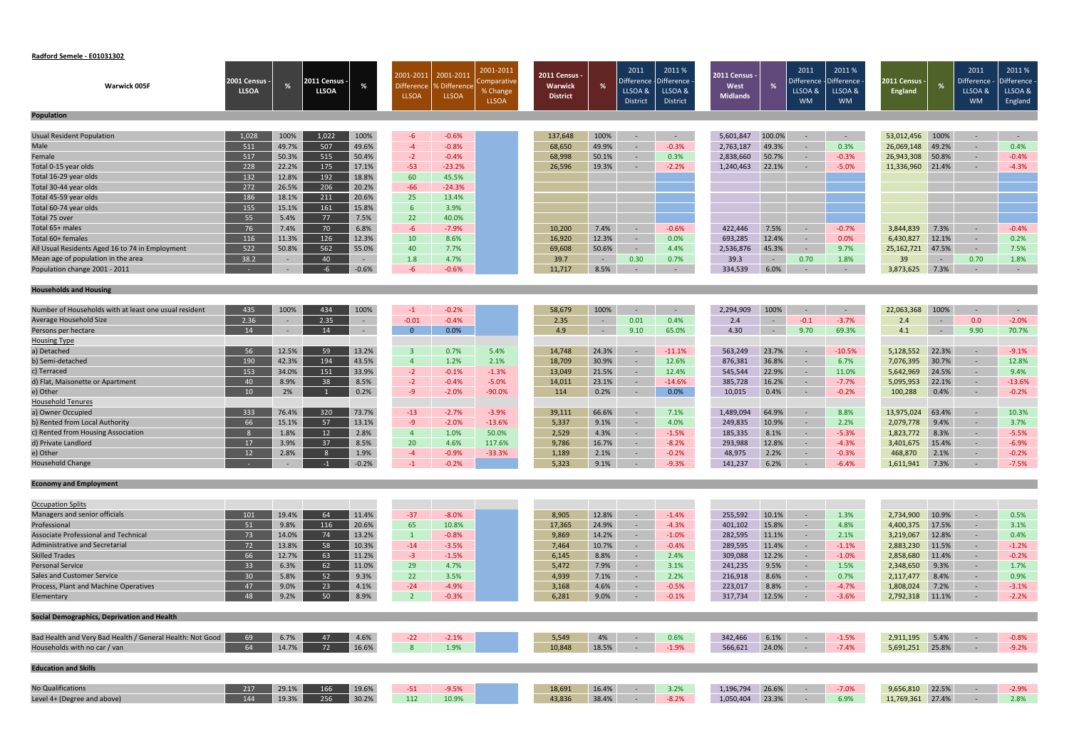#### **Radford Semele ‐ E01031302**

| Warwick 005F                                              | 2001 Census<br><b>LLSOA</b> |        | 2011 Census -<br><b>LLSOA</b> | %       | 2001-2011<br><b>Difference</b><br><b>LLSOA</b> | 2001-2011<br>6 Difference<br><b>LLSOA</b> | 2001-2011<br>Comparative<br>% Change<br><b>LLSOA</b> | <b>2011 Census -</b><br>Warwick<br><b>District</b> | %      | 2011<br>LLSOA &<br><b>District</b> | 2011%<br>Difference - Difference<br>LLSOA &<br>District | 2011 Census -<br>West<br><b>Midlands</b> |            | 2011<br>Difference<br>LLSOA &<br><b>WM</b> | 2011%<br>Difference<br>LLSOA &<br><b>WM</b> | 2011 Census<br><b>England</b> | %              | 2011<br>Difference<br>LLSOA &<br><b>WM</b> | 2011%<br>Difference<br>LLSOA &<br>England |
|-----------------------------------------------------------|-----------------------------|--------|-------------------------------|---------|------------------------------------------------|-------------------------------------------|------------------------------------------------------|----------------------------------------------------|--------|------------------------------------|---------------------------------------------------------|------------------------------------------|------------|--------------------------------------------|---------------------------------------------|-------------------------------|----------------|--------------------------------------------|-------------------------------------------|
| <b>Population</b>                                         |                             |        |                               |         |                                                |                                           |                                                      |                                                    |        |                                    |                                                         |                                          |            |                                            |                                             |                               |                |                                            |                                           |
| Usual Resident Population                                 | 1,028                       | 100%   | 1,022                         | 100%    | $-6$                                           | $-0.6%$                                   |                                                      | 137,648                                            | 100%   | $\sim$                             | $\sim$                                                  | 5,601,847                                | 100.0%     | $\sim$                                     | $\sim$ $-$                                  | 53,012,456                    | 100%           | $\sim$                                     | $\sim$                                    |
| Male                                                      | 511                         | 49.7%  | 507                           | 49.6%   | $-4$                                           | $-0.8%$                                   |                                                      | 68,650                                             | 49.9%  | $\sim$                             | $-0.3%$                                                 | 2,763,187                                | 49.3%      | $\sim$                                     | 0.3%                                        | 26,069,148                    | 49.2%          | $\sim$                                     | 0.4%                                      |
| Female                                                    | 517                         | 50.3%  | 515                           | 50.4%   | $-2$                                           | $-0.4%$                                   |                                                      | 68,998                                             | 50.1%  | $\sim$                             | 0.3%                                                    | 2,838,660                                | 50.7%      | $\sim$                                     | $-0.3%$                                     | 26,943,308                    | 50.8%          | $\sim$                                     | $-0.4%$                                   |
| Total 0-15 year olds                                      | 228                         | 22.2%  | 175                           | 17.1%   | $-53$                                          | $-23.2%$                                  |                                                      | 26,596                                             | 19.3%  | $\sim$                             | $-2.2%$                                                 | 1,240,463                                | 22.1%      | $\sim$                                     | $-5.0%$                                     | 11,336,960                    | 21.4%          | $\sim$                                     | $-4.3%$                                   |
| Total 16-29 year olds                                     | 132                         | 12.8%  | 192                           | 18.8%   | 60                                             | 45.5%                                     |                                                      |                                                    |        |                                    |                                                         |                                          |            |                                            |                                             |                               |                |                                            |                                           |
| Total 30-44 year olds                                     | 272                         | 26.5%  | 206                           | 20.2%   | $-66$                                          | $-24.3%$                                  |                                                      |                                                    |        |                                    |                                                         |                                          |            |                                            |                                             |                               |                |                                            |                                           |
| Total 45-59 year olds                                     | 186                         | 18.1%  | 211                           | 20.6%   | 25                                             | 13.4%                                     |                                                      |                                                    |        |                                    |                                                         |                                          |            |                                            |                                             |                               |                |                                            |                                           |
| Total 60-74 year olds                                     | 155                         | 15.1%  | 161                           | 15.8%   | $6^{\circ}$                                    | 3.9%                                      |                                                      |                                                    |        |                                    |                                                         |                                          |            |                                            |                                             |                               |                |                                            |                                           |
| Total 75 over                                             | 55                          | 5.4%   | 77                            | 7.5%    | 22                                             | 40.0%                                     |                                                      |                                                    |        |                                    |                                                         |                                          |            |                                            |                                             |                               |                |                                            |                                           |
| Total 65+ males                                           | 76                          | 7.4%   | 70                            | 6.8%    | $-6$                                           | $-7.9%$                                   |                                                      | 10,200                                             | 7.4%   | $\overline{a}$                     | $-0.6%$                                                 | 422,446                                  | 7.5%       | $\sim$                                     | $-0.7%$                                     | 3,844,839                     | 7.3%           | $\sim$                                     | $-0.4%$                                   |
| Total 60+ females                                         | 116                         | 11.3%  | 126                           | 12.3%   | 10                                             | 8.6%                                      |                                                      | 16,920                                             | 12.3%  | $\sim$                             | 0.0%                                                    | 693,285                                  | 12.4%      | $\sim$                                     | 0.0%                                        | 6,430,827                     | 12.1%          | $\sim$                                     | 0.2%                                      |
| All Usual Residents Aged 16 to 74 in Employment           | 522                         | 50.8%  | 562                           | 55.0%   | 40                                             | 7.7%                                      |                                                      | 69,608                                             | 50.6%  | $\sim$                             | 4.4%                                                    | 2,536,876                                | 45.3%      | $\sim$ $ \sim$                             | 9.7%                                        | 25,162,721                    | 47.5%          | $\sim$                                     | 7.5%                                      |
| Mean age of population in the area                        | 38.2                        |        | 40                            | $\sim$  | 1.8                                            | 4.7%                                      |                                                      | 39.7                                               | $\sim$ | 0.30                               | 0.7%                                                    | 39.3                                     | $\sim$ $-$ | 0.70                                       | 1.8%                                        | 39                            | $\sim$ $ \sim$ | 0.70                                       | 1.8%                                      |
| Population change 2001 - 2011                             |                             | $\sim$ | $-6$                          | $-0.6%$ | $-6$                                           | $-0.6%$                                   |                                                      | 11,717                                             | 8.5%   | $\sim$                             | $\sim$                                                  | 334,539                                  | 6.0%       | $\sim$                                     | $\sim$ $-$                                  | 3,873,625                     | 7.3%           | $\sim$                                     | $\sim$ $-$                                |
| <b>Households and Housing</b>                             |                             |        |                               |         |                                                |                                           |                                                      |                                                    |        |                                    |                                                         |                                          |            |                                            |                                             |                               |                |                                            |                                           |
| Number of Households with at least one usual resident     | 435                         | 100%   | 434                           | 100%    | $-1$                                           | $-0.2%$                                   |                                                      | 58,679                                             | 100%   |                                    | $\sim$                                                  | 2,294,909                                | 100%       |                                            | $\sim$                                      | 22,063,368                    | 100%           | $\sim$                                     | $\sim$ $-$                                |
| Average Household Size                                    | 2.36                        | $\sim$ | 2.35                          | $\sim$  | $-0.01$                                        | $-0.4%$                                   |                                                      | 2.35                                               | $\sim$ | 0.01                               | 0.4%                                                    | 2.4                                      | $\sim$     | $-0.1$                                     | $-3.7%$                                     | 2.4                           | $\sim$ $-$     | 0.0                                        | $-2.0%$                                   |
| Persons per hectare                                       | 14                          |        | 14                            | $\sim$  | $\overline{0}$                                 | 0.0%                                      |                                                      | 4.9                                                | $\sim$ | 9.10                               | 65.0%                                                   | 4.30                                     | $\sim$     | 9.70                                       | 69.3%                                       | 4.1                           | $\sim$ $-$     | 9.90                                       | 70.7%                                     |
| <b>Housing Type</b>                                       |                             |        |                               |         |                                                |                                           |                                                      |                                                    |        |                                    |                                                         |                                          |            |                                            |                                             |                               |                |                                            |                                           |
| a) Detached                                               | 56                          | 12.5%  | 59                            | 13.2%   | $\overline{\mathbf{3}}$                        | 0.7%                                      | 5.4%                                                 | 14,748                                             | 24.3%  | $\sim$ $-$                         | $-11.1%$                                                | 563,249                                  | 23.7%      | $\sim$                                     | $-10.5%$                                    | 5,128,552                     | 22.3%          | $\sim$                                     | $-9.1%$                                   |
| b) Semi-detached                                          | 190                         | 42.3%  | 194                           | 43.5%   | $\overline{4}$                                 | 1.2%                                      | 2.1%                                                 | 18,709                                             | 30.9%  | $\sim$                             | 12.6%                                                   | 876,381                                  | 36.8%      | $\sim$                                     | 6.7%                                        | 7,076,395                     | 30.7%          | $\sim$                                     | 12.8%                                     |
| c) Terraced                                               | 153                         | 34.0%  | 151                           | 33.9%   | $-2$                                           | $-0.1%$                                   | $-1.3%$                                              | 13,049                                             | 21.5%  | $\sim$                             | 12.4%                                                   | 545,544                                  | 22.9%      | $\sim$                                     | 11.0%                                       | 5,642,969                     | 24.5%          | $\sim$                                     | 9.4%                                      |
| d) Flat, Maisonette or Apartment                          | 40                          | 8.9%   | 38                            | 8.5%    | $-2$                                           | $-0.4%$                                   | $-5.0%$                                              | 14,011                                             | 23.1%  | $\sim$                             | $-14.6%$                                                | 385,728                                  | 16.2%      | $\sim$                                     | $-7.7%$                                     | 5,095,953                     | 22.1%          | $\sim$                                     | $-13.6%$                                  |
| e) Other                                                  | 10 <sup>°</sup>             | 2%     |                               | 0.2%    | $-9$                                           | $-2.0%$                                   | $-90.0%$                                             | 114                                                | 0.2%   | $\sim$                             | 0.0%                                                    | 10,015                                   | 0.4%       | $\sim$                                     | $-0.2%$                                     | 100,288                       | 0.4%           | $\sim$                                     | $-0.2%$                                   |
| <b>Household Tenures</b>                                  |                             |        |                               |         |                                                |                                           |                                                      |                                                    |        |                                    |                                                         |                                          |            |                                            |                                             |                               |                |                                            |                                           |
| a) Owner Occupied                                         | 333                         | 76.4%  | 320                           | 73.7%   | $-13$                                          | $-2.7%$                                   | $-3.9%$                                              | 39,111                                             | 66.6%  |                                    | 7.1%                                                    | 1,489,094                                | 64.9%      |                                            | 8.8%                                        | 13,975,024                    | 63.4%          | $\sim$                                     | 10.3%                                     |
| b) Rented from Local Authority                            | 66                          | 15.1%  | 57                            | 13.1%   | $-9$                                           | $-2.0%$                                   | $-13.6%$                                             | 5,337                                              | 9.1%   | $\sim$                             | 4.0%                                                    | 249,835                                  | 10.9%      | $\sim$                                     | 2.2%                                        | 2,079,778                     | 9.4%           | $\sim$                                     | 3.7%                                      |
| c) Rented from Housing Association                        | 8                           | 1.8%   | 12                            | 2.8%    | $\overline{4}$                                 | 1.0%                                      | 50.0%                                                | 2,529                                              | 4.3%   | $\sim$                             | $-1.5%$                                                 | 185,335                                  | 8.1%       | $\sim$                                     | $-5.3%$                                     | 1,823,772                     | 8.3%           | $\sim$                                     | $-5.5%$                                   |
| d) Private Landlord                                       | 17                          | 3.9%   | 37                            | 8.5%    | 20                                             | 4.6%                                      | 117.6%                                               | 9,786                                              | 16.7%  | $\sim$                             | $-8.2%$                                                 | 293,988                                  | 12.8%      | $\sim$                                     | $-4.3%$                                     | 3,401,675                     | 15.4%          | $\sim$                                     | $-6.9%$                                   |
| e) Other                                                  | 12                          | 2.8%   | 8                             | 1.9%    | $-4$                                           | $-0.9%$                                   | $-33.3%$                                             | 1,189                                              | 2.1%   | $\sim$                             | $-0.2%$                                                 | 48,975                                   | 2.2%       | $\sim$                                     | $-0.3%$                                     | 468,870                       | 2.1%           | $\sim$                                     | $-0.2%$                                   |
| <b>Household Change</b>                                   |                             |        | $-1$                          | $-0.2%$ |                                                | $-0.2%$                                   |                                                      | 5,323                                              | 9.1%   |                                    | $-9.3%$                                                 | 141,237 6.2%                             |            | <b>Contract Contract</b>                   | $-6.4%$                                     | 1,611,941 7.3%                |                | $-7.5\%$                                   |                                           |
| <b>Economy and Employment</b>                             |                             |        |                               |         |                                                |                                           |                                                      |                                                    |        |                                    |                                                         |                                          |            |                                            |                                             |                               |                |                                            |                                           |
| <b>Occupation Splits</b>                                  |                             |        |                               |         |                                                |                                           |                                                      |                                                    |        |                                    |                                                         |                                          |            |                                            |                                             |                               |                |                                            |                                           |
| Managers and senior officials                             | 101                         | 19.4%  | 64                            | 11.4%   | $-37$                                          | $-8.0%$                                   |                                                      | 8,905                                              | 12.8%  |                                    | $-1.4%$                                                 | 255,592                                  | 10.1%      | $\sim$                                     | 1.3%                                        | 2,734,900                     | 10.9%          | $\sim$                                     | 0.5%                                      |
| Professional                                              | 51                          | 9.8%   | 116                           | 20.6%   | 65                                             | 10.8%                                     |                                                      | 17,365                                             | 24.9%  | $\sim$                             | $-4.3%$                                                 | 401,102                                  | 15.8%      | $\sim$                                     | 4.8%                                        | 4,400,375                     | 17.5%          | $\sim$                                     | 3.1%                                      |
| <b>Associate Professional and Technical</b>               | 73                          | 14.0%  | 74                            | 13.2%   | $\vert 1 \vert$                                | $-0.8%$                                   |                                                      | 9,869                                              | 14.2%  | $\sim$                             | $-1.0%$                                                 | 282,595                                  | 11.1%      | $\sim$                                     | 2.1%                                        | 3,219,067                     | 12.8%          | $\sim$ $^{-1}$                             | 0.4%                                      |
| <b>Administrative and Secretarial</b>                     | 72                          | 13.8%  | 58                            | 10.3%   | $-14$                                          | $-3.5%$                                   |                                                      | 7,464                                              | 10.7%  | $\sim$                             | $-0.4%$                                                 | 289,595                                  | 11.4%      | $\sim$                                     | $-1.1%$                                     | 2,883,230                     | 11.5%          | $\sim$                                     | $-1.2%$                                   |
| <b>Skilled Trades</b>                                     | 66                          | 12.7%  | 63                            | 11.2%   | $-3$                                           | $-1.5%$                                   |                                                      | 6,145                                              | 8.8%   | $\sim$                             | 2.4%                                                    | 309,088                                  | 12.2%      | $\sim$                                     | $-1.0%$                                     | 2,858,680                     | 11.4%          | $\sim$                                     | $-0.2%$                                   |
| <b>Personal Service</b>                                   | 33                          | 6.3%   | 62                            | 11.0%   | 29                                             | 4.7%                                      |                                                      | 5,472                                              | 7.9%   | $\sim$                             | 3.1%                                                    | 241,235                                  | 9.5%       | $\sim$                                     | 1.5%                                        | 2,348,650                     | 9.3%           | $\sim$                                     | 1.7%                                      |
| Sales and Customer Service                                | 30 <sup>°</sup>             | 5.8%   | 52                            | 9.3%    | 22                                             | 3.5%                                      |                                                      | 4,939                                              | 7.1%   | $\sim$                             | 2.2%                                                    | 216,918                                  | 8.6%       | $\sim$                                     | 0.7%                                        | 2,117,477                     | 8.4%           | $\sim$                                     | 0.9%                                      |
| Process, Plant and Machine Operatives                     | 47                          | 9.0%   | 23                            | 4.1%    | $-24$                                          | $-4.9%$                                   |                                                      | 3,168                                              | 4.6%   | $\sim$                             | $-0.5%$                                                 | 223,017                                  | 8.8%       | $\sim$                                     | $-4.7%$                                     | 1,808,024                     | 7.2%           | $\sim$                                     | $-3.1%$                                   |
| Elementary                                                | 48                          | 9.2%   | 50                            | 8.9%    | $\overline{2}$                                 | $-0.3%$                                   |                                                      | 6,281                                              | 9.0%   | $\sim$ $-$                         | $-0.1%$                                                 | 317,734                                  | 12.5%      | $\sim$ $ \sim$                             | $-3.6%$                                     | 2,792,318                     | 11.1%          | $\sim$ $-$                                 | $-2.2%$                                   |
| Social Demographics, Deprivation and Health               |                             |        |                               |         |                                                |                                           |                                                      |                                                    |        |                                    |                                                         |                                          |            |                                            |                                             |                               |                |                                            |                                           |
| Bad Health and Very Bad Health / General Health: Not Good | 69                          | 6.7%   | 47                            | 4.6%    | $-22$                                          | $-2.1%$                                   |                                                      | 5,549                                              | 4%     | $\sim$ $ \sim$                     | 0.6%                                                    | 342,466                                  | 6.1%       | $\sim$ $-$                                 | $-1.5%$                                     | 2,911,195                     | 5.4%           | $\sim$ $-$                                 | $-0.8%$                                   |
| Households with no car / van                              | 64                          | 14.7%  | 72                            | 16.6%   | 8                                              | 1.9%                                      |                                                      | 10,848                                             | 18.5%  | $\sim$ $-$                         | $-1.9%$                                                 | 566,621                                  | 24.0%      | $\sim$ $ \sim$                             | $-7.4%$                                     | 5,691,251 25.8%               |                | $\sim$                                     | $-9.2%$                                   |
| <b>Education and Skills</b>                               |                             |        |                               |         |                                                |                                           |                                                      |                                                    |        |                                    |                                                         |                                          |            |                                            |                                             |                               |                |                                            |                                           |
|                                                           |                             |        |                               |         |                                                |                                           |                                                      |                                                    |        |                                    |                                                         |                                          |            |                                            |                                             |                               |                |                                            |                                           |
| <b>No Qualifications</b><br>Level 4+ (Degree and above)   | 217<br>144                  | 29.1%  | 166<br>256                    | 19.6%   | $-51$                                          | $-9.5%$                                   |                                                      | 18,691                                             | 16.4%  | $\sim$ $-$                         | 3.2%                                                    | 1,196,794                                | 26.6%      | $\sim$ $-$                                 | $-7.0%$                                     | 9,656,810                     | 22.5%          | $\sim$ $-$                                 | $-2.9%$                                   |
|                                                           |                             | 19.3%  |                               | 30.2%   | 112                                            | 10.9%                                     |                                                      | 43,836                                             | 38.4%  | $\sim$ $-$                         | $-8.2%$                                                 | 1,050,404                                | 23.3%      | $\sim$ $-$                                 | 6.9%                                        | 11,769,361 27.4%              |                | $\sim$                                     | 2.8%                                      |